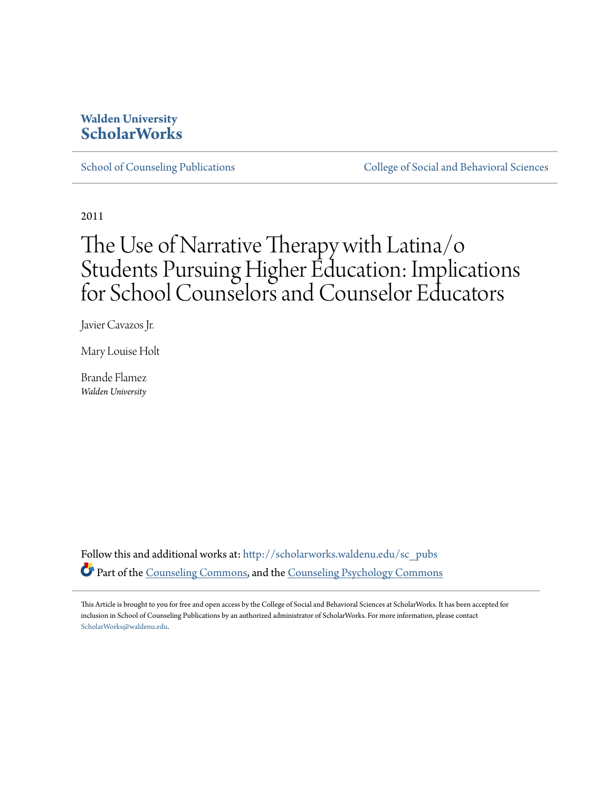#### **Walden University [ScholarWorks](http://scholarworks.waldenu.edu?utm_source=scholarworks.waldenu.edu%2Fsc_pubs%2F21&utm_medium=PDF&utm_campaign=PDFCoverPages)**

[School of Counseling Publications](http://scholarworks.waldenu.edu/sc_pubs?utm_source=scholarworks.waldenu.edu%2Fsc_pubs%2F21&utm_medium=PDF&utm_campaign=PDFCoverPages) [College of Social and Behavioral Sciences](http://scholarworks.waldenu.edu/csbs?utm_source=scholarworks.waldenu.edu%2Fsc_pubs%2F21&utm_medium=PDF&utm_campaign=PDFCoverPages)

2011

## The Use of Narrative Therapy with Latina/o Students Pursuing Higher Education: Implications for School Counselors and Counselor Educators

Javier Cavazos Jr.

Mary Louise Holt

Brande Flamez *Walden University*

Follow this and additional works at: [http://scholarworks.waldenu.edu/sc\\_pubs](http://scholarworks.waldenu.edu/sc_pubs?utm_source=scholarworks.waldenu.edu%2Fsc_pubs%2F21&utm_medium=PDF&utm_campaign=PDFCoverPages) Part of the [Counseling Commons](http://network.bepress.com/hgg/discipline/1268?utm_source=scholarworks.waldenu.edu%2Fsc_pubs%2F21&utm_medium=PDF&utm_campaign=PDFCoverPages), and the [Counseling Psychology Commons](http://network.bepress.com/hgg/discipline/1044?utm_source=scholarworks.waldenu.edu%2Fsc_pubs%2F21&utm_medium=PDF&utm_campaign=PDFCoverPages)

This Article is brought to you for free and open access by the College of Social and Behavioral Sciences at ScholarWorks. It has been accepted for inclusion in School of Counseling Publications by an authorized administrator of ScholarWorks. For more information, please contact [ScholarWorks@waldenu.edu.](mailto:ScholarWorks@waldenu.edu)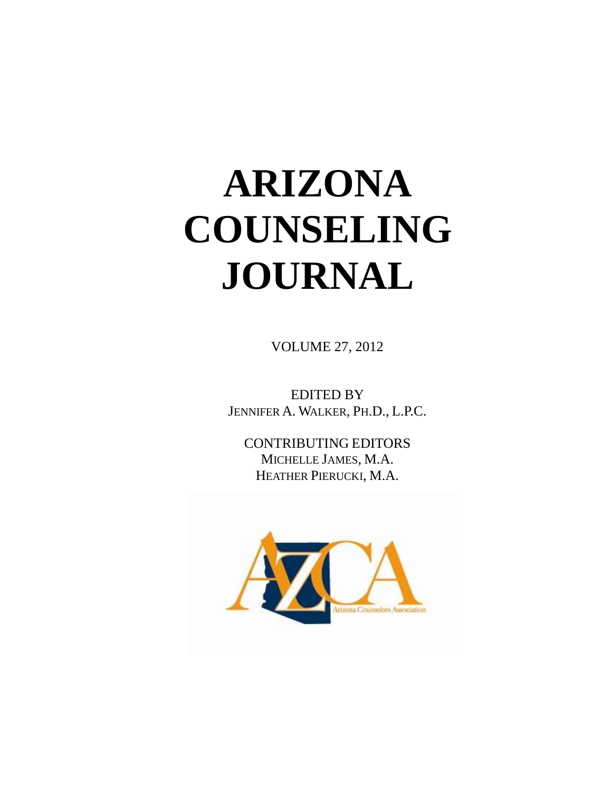# **ARIZONA COUNSELING JOURNAL**

VOLUME 27, 2012

EDITED BY JENNIFER A. WALKER, PH.D., L.P.C.

CONTRIBUTING EDITORS MICHELLE JAMES, M.A. HEATHER PIERUCKI, M.A.

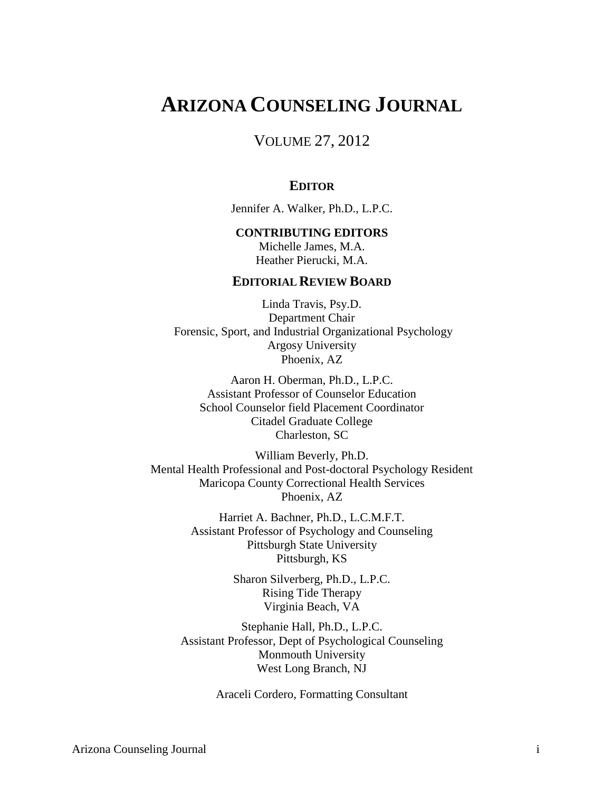### **ARIZONA COUNSELING JOURNAL**

VOLUME 27, 2012

#### **EDITOR**

Jennifer A. Walker, Ph.D., L.P.C.

#### **CONTRIBUTING EDITORS**

Michelle James, M.A. Heather Pierucki, M.A.

#### **EDITORIAL REVIEW BOARD**

Linda Travis, Psy.D. Department Chair Forensic, Sport, and Industrial Organizational Psychology Argosy University Phoenix, AZ

Aaron H. Oberman, Ph.D., L.P.C. Assistant Professor of Counselor Education School Counselor field Placement Coordinator Citadel Graduate College Charleston, SC

William Beverly, Ph.D. Mental Health Professional and Post-doctoral Psychology Resident Maricopa County Correctional Health Services Phoenix, AZ

> Harriet A. Bachner, Ph.D., L.C.M.F.T. Assistant Professor of Psychology and Counseling Pittsburgh State University Pittsburgh, KS

> > Sharon Silverberg, Ph.D., L.P.C. Rising Tide Therapy Virginia Beach, VA

Stephanie Hall, Ph.D., L.P.C. Assistant Professor, Dept of Psychological Counseling Monmouth University West Long Branch, NJ

Araceli Cordero, Formatting Consultant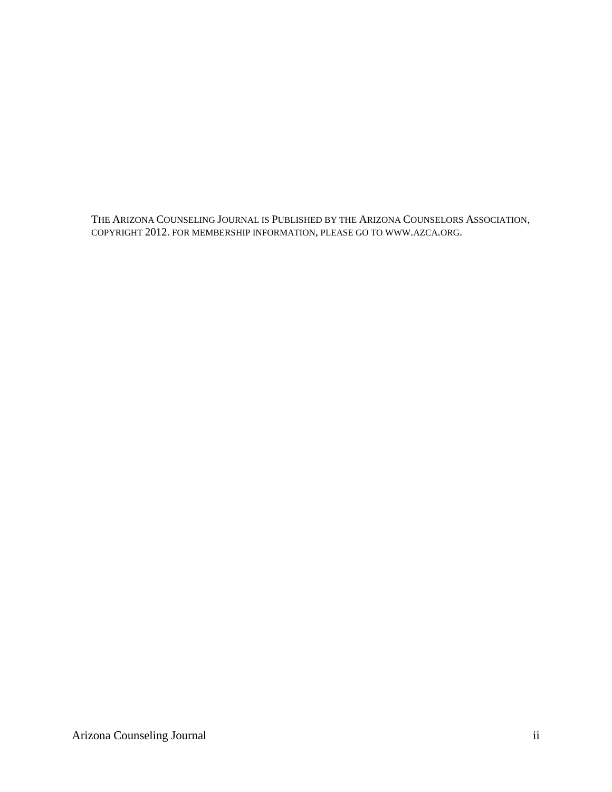THE ARIZONA COUNSELING JOURNAL IS PUBLISHED BY THE ARIZONA COUNSELORS ASSOCIATION, COPYRIGHT 2012. FOR MEMBERSHIP INFORMATION, PLEASE GO TO WWW.AZCA.ORG.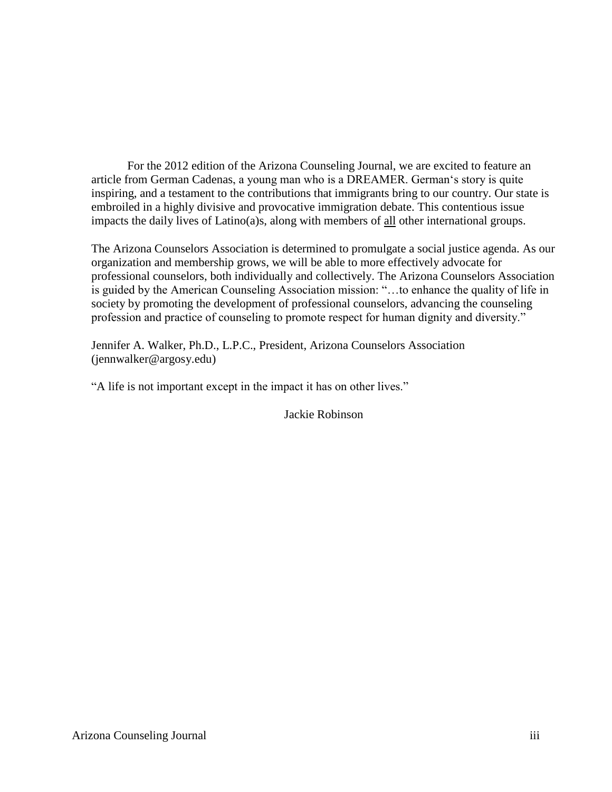For the 2012 edition of the Arizona Counseling Journal, we are excited to feature an article from German Cadenas, a young man who is a DREAMER. German's story is quite inspiring, and a testament to the contributions that immigrants bring to our country. Our state is embroiled in a highly divisive and provocative immigration debate. This contentious issue impacts the daily lives of Latino(a)s, along with members of all other international groups.

The Arizona Counselors Association is determined to promulgate a social justice agenda. As our organization and membership grows, we will be able to more effectively advocate for professional counselors, both individually and collectively. The Arizona Counselors Association is guided by the American Counseling Association mission: "…to enhance the quality of life in society by promoting the development of professional counselors, advancing the counseling profession and practice of counseling to promote respect for human dignity and diversity."

Jennifer A. Walker, Ph.D., L.P.C., President, Arizona Counselors Association (jennwalker@argosy.edu)

"A life is not important except in the impact it has on other lives."

Jackie Robinson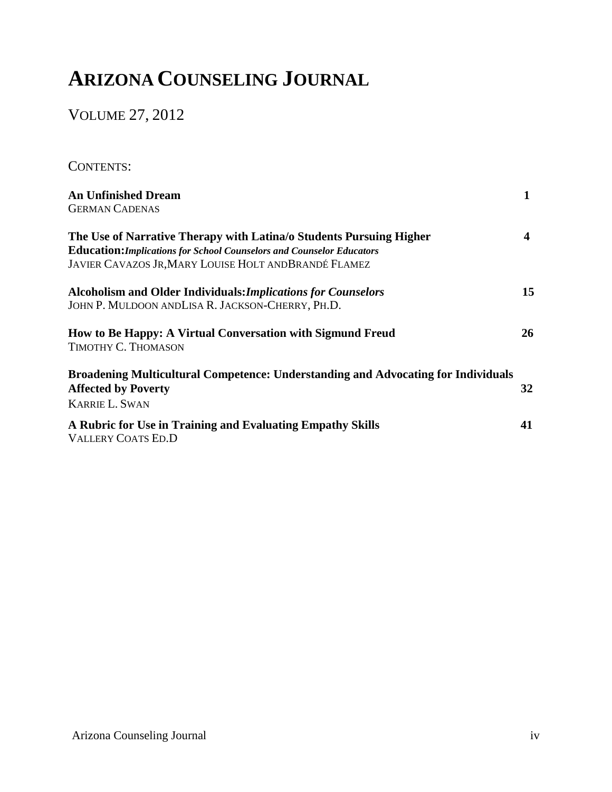## **ARIZONA COUNSELING JOURNAL**

VOLUME 27, 2012

CONTENTS:

| <b>An Unfinished Dream</b>                                                               |    |
|------------------------------------------------------------------------------------------|----|
| <b>GERMAN CADENAS</b>                                                                    |    |
| The Use of Narrative Therapy with Latina/o Students Pursuing Higher                      | 4  |
| <b>Education: Implications for School Counselors and Counselor Educators</b>             |    |
| <b>JAVIER CAVAZOS JR, MARY LOUISE HOLT AND BRANDÉ FLAMEZ</b>                             |    |
| <b>Alcoholism and Older Individuals: Implications for Counselors</b>                     | 15 |
| JOHN P. MULDOON ANDLISA R. JACKSON-CHERRY, PH.D.                                         |    |
| How to Be Happy: A Virtual Conversation with Sigmund Freud                               | 26 |
| TIMOTHY C. THOMASON                                                                      |    |
| <b>Broadening Multicultural Competence: Understanding and Advocating for Individuals</b> |    |
| <b>Affected by Poverty</b>                                                               | 32 |
| <b>KARRIE L. SWAN</b>                                                                    |    |
| A Rubric for Use in Training and Evaluating Empathy Skills                               | 41 |
| <b>VALLERY COATS ED.D</b>                                                                |    |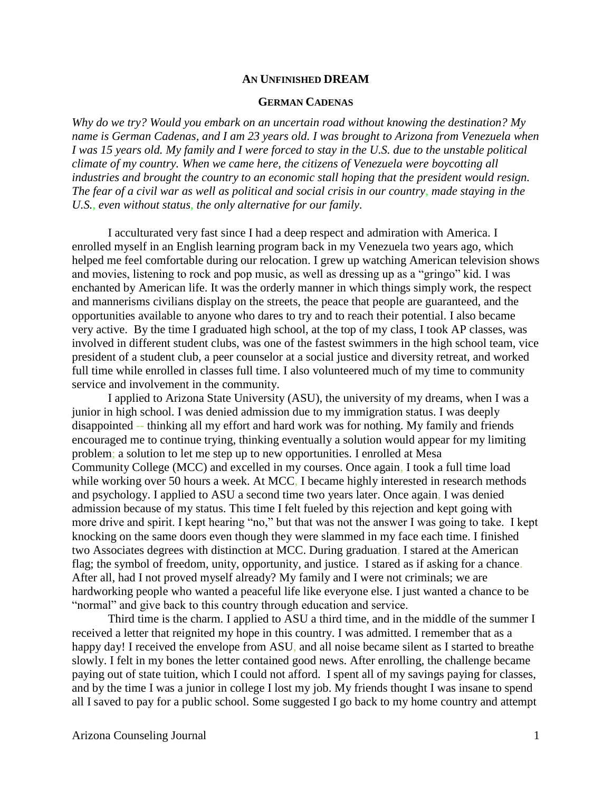#### **AN UNFINISHED DREAM**

#### **GERMAN CADENAS**

*Why do we try? Would you embark on an uncertain road without knowing the destination? My name is German Cadenas, and I am 23 years old. I was brought to Arizona from Venezuela when I was 15 years old. My family and I were forced to stay in the U.S. due to the unstable political climate of my country. When we came here, the citizens of Venezuela were boycotting all industries and brought the country to an economic stall hoping that the president would resign. The fear of a civil war as well as political and social crisis in our country, made staying in the U.S., even without status, the only alternative for our family.*

I acculturated very fast since I had a deep respect and admiration with America. I enrolled myself in an English learning program back in my Venezuela two years ago, which helped me feel comfortable during our relocation. I grew up watching American television shows and movies, listening to rock and pop music, as well as dressing up as a "gringo" kid. I was enchanted by American life. It was the orderly manner in which things simply work, the respect and mannerisms civilians display on the streets, the peace that people are guaranteed, and the opportunities available to anyone who dares to try and to reach their potential. I also became very active. By the time I graduated high school, at the top of my class, I took AP classes, was involved in different student clubs, was one of the fastest swimmers in the high school team, vice president of a student club, a peer counselor at a social justice and diversity retreat, and worked full time while enrolled in classes full time. I also volunteered much of my time to community service and involvement in the community.

I applied to Arizona State University (ASU), the university of my dreams, when I was a junior in high school. I was denied admission due to my immigration status. I was deeply disappointed -- thinking all my effort and hard work was for nothing. My family and friends encouraged me to continue trying, thinking eventually a solution would appear for my limiting problem; a solution to let me step up to new opportunities. I enrolled at Mesa Community College (MCC) and excelled in my courses. Once again, I took a full time load while working over 50 hours a week. At MCC, I became highly interested in research methods and psychology. I applied to ASU a second time two years later. Once again, I was denied admission because of my status. This time I felt fueled by this rejection and kept going with more drive and spirit. I kept hearing "no," but that was not the answer I was going to take. I kept knocking on the same doors even though they were slammed in my face each time. I finished two Associates degrees with distinction at MCC. During graduation, I stared at the American flag; the symbol of freedom, unity, opportunity, and justice. I stared as if asking for a chance. After all, had I not proved myself already? My family and I were not criminals; we are hardworking people who wanted a peaceful life like everyone else. I just wanted a chance to be "normal" and give back to this country through education and service.

Third time is the charm. I applied to ASU a third time, and in the middle of the summer I received a letter that reignited my hope in this country. I was admitted. I remember that as a happy day! I received the envelope from ASU, and all noise became silent as I started to breathe slowly. I felt in my bones the letter contained good news. After enrolling, the challenge became paying out of state tuition, which I could not afford. I spent all of my savings paying for classes, and by the time I was a junior in college I lost my job. My friends thought I was insane to spend all I saved to pay for a public school. Some suggested I go back to my home country and attempt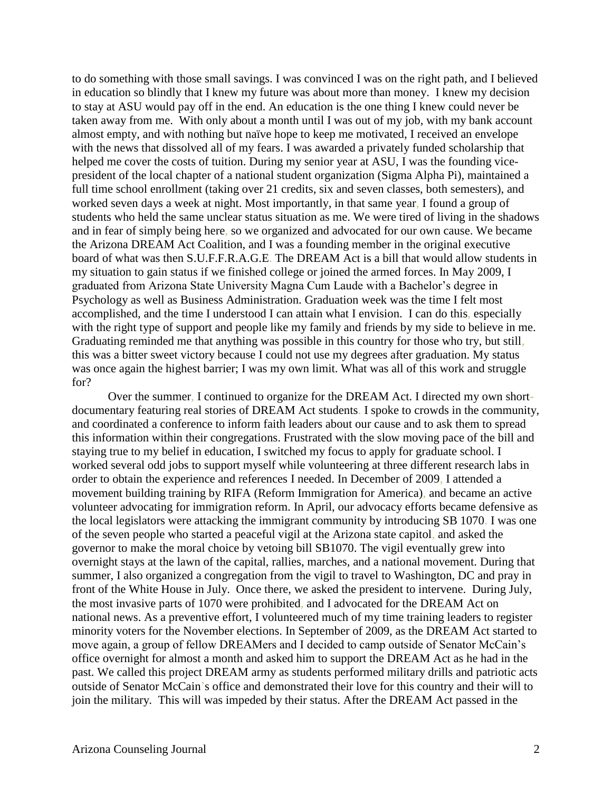to do something with those small savings. I was convinced I was on the right path, and I believed in education so blindly that I knew my future was about more than money. I knew my decision to stay at ASU would pay off in the end. An education is the one thing I knew could never be taken away from me. With only about a month until I was out of my job, with my bank account almost empty, and with nothing but naïve hope to keep me motivated, I received an envelope with the news that dissolved all of my fears. I was awarded a privately funded scholarship that helped me cover the costs of tuition. During my senior year at ASU, I was the founding vicepresident of the local chapter of a national student organization (Sigma Alpha Pi), maintained a full time school enrollment (taking over 21 credits, six and seven classes, both semesters), and worked seven days a week at night. Most importantly, in that same year, I found a group of students who held the same unclear status situation as me. We were tired of living in the shadows and in fear of simply being here, so we organized and advocated for our own cause. We became the Arizona DREAM Act Coalition, and I was a founding member in the original executive board of what was then S.U.F.F.R.A.G.E. The DREAM Act is a bill that would allow students in my situation to gain status if we finished college or joined the armed forces. In May 2009, I graduated from Arizona State University Magna Cum Laude with a Bachelor's degree in Psychology as well as Business Administration. Graduation week was the time I felt most accomplished, and the time I understood I can attain what I envision. I can do this, especially with the right type of support and people like my family and friends by my side to believe in me. Graduating reminded me that anything was possible in this country for those who try, but still, this was a bitter sweet victory because I could not use my degrees after graduation. My status was once again the highest barrier; I was my own limit. What was all of this work and struggle for?

Over the summer, I continued to organize for the DREAM Act. I directed my own shortdocumentary featuring real stories of DREAM Act students. I spoke to crowds in the community, and coordinated a conference to inform faith leaders about our cause and to ask them to spread this information within their congregations. Frustrated with the slow moving pace of the bill and staying true to my belief in education, I switched my focus to apply for graduate school. I worked several odd jobs to support myself while volunteering at three different research labs in order to obtain the experience and references I needed. In December of 2009, I attended a movement building training by RIFA (Reform Immigration for America), and became an active volunteer advocating for immigration reform. In April, our advocacy efforts became defensive as the local legislators were attacking the immigrant community by introducing SB 1070. I was one of the seven people who started a peaceful vigil at the Arizona state capitol, and asked the governor to make the moral choice by vetoing bill SB1070. The vigil eventually grew into overnight stays at the lawn of the capital, rallies, marches, and a national movement. During that summer, I also organized a congregation from the vigil to travel to Washington, DC and pray in front of the White House in July. Once there, we asked the president to intervene. During July, the most invasive parts of 1070 were prohibited, and I advocated for the DREAM Act on national news. As a preventive effort, I volunteered much of my time training leaders to register minority voters for the November elections. In September of 2009, as the DREAM Act started to move again, a group of fellow DREAMers and I decided to camp outside of Senator McCain's office overnight for almost a month and asked him to support the DREAM Act as he had in the past. We called this project DREAM army as students performed military drills and patriotic acts outside of Senator McCain's office and demonstrated their love for this country and their will to join the military. This will was impeded by their status. After the DREAM Act passed in the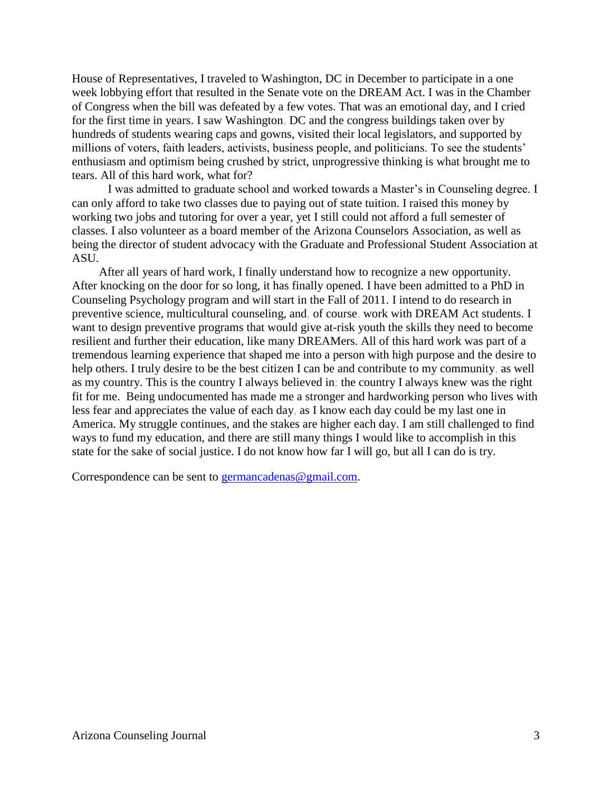House of Representatives, I traveled to Washington, DC in December to participate in a one week lobbying effort that resulted in the Senate vote on the DREAM Act. I was in the Chamber of Congress when the bill was defeated by a few votes. That was an emotional day, and I cried for the first time in years. I saw Washington, DC and the congress buildings taken over by hundreds of students wearing caps and gowns, visited their local legislators, and supported by millions of voters, faith leaders, activists, business people, and politicians. To see the students' enthusiasm and optimism being crushed by strict, unprogressive thinking is what brought me to tears. All of this hard work, what for?

I was admitted to graduate school and worked towards a Master's in Counseling degree. I can only afford to take two classes due to paying out of state tuition. I raised this money by working two jobs and tutoring for over a year, yet I still could not afford a full semester of classes. I also volunteer as a board member of the Arizona Counselors Association, as well as being the director of student advocacy with the Graduate and Professional Student Association at ASU.

After all years of hard work, I finally understand how to recognize a new opportunity. After knocking on the door for so long, it has finally opened. I have been admitted to a PhD in Counseling Psychology program and will start in the Fall of 2011. I intend to do research in preventive science, multicultural counseling, and, of course, work with DREAM Act students. I want to design preventive programs that would give at-risk youth the skills they need to become resilient and further their education, like many DREAMers. All of this hard work was part of a tremendous learning experience that shaped me into a person with high purpose and the desire to help others. I truly desire to be the best citizen I can be and contribute to my community, as well as my country. This is the country I always believed in; the country I always knew was the right fit for me. Being undocumented has made me a stronger and hardworking person who lives with less fear and appreciates the value of each day, as I know each day could be my last one in America. My struggle continues, and the stakes are higher each day. I am still challenged to find ways to fund my education, and there are still many things I would like to accomplish in this state for the sake of social justice. I do not know how far I will go, but all I can do is try.

Correspondence can be sent to germancadenas  $@g$  gmail.com.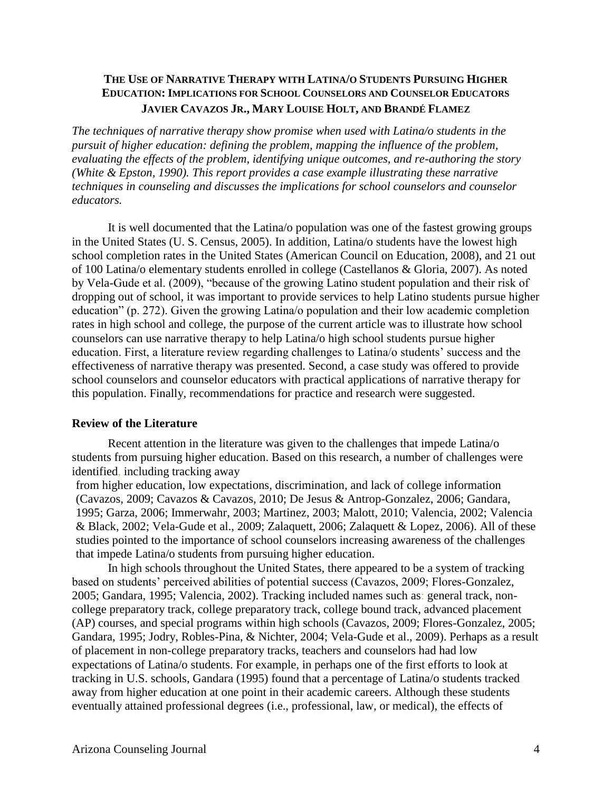#### **THE USE OF NARRATIVE THERAPY WITH LATINA/O STUDENTS PURSUING HIGHER EDUCATION: IMPLICATIONS FOR SCHOOL COUNSELORS AND COUNSELOR EDUCATORS JAVIER CAVAZOS JR., MARY LOUISE HOLT, AND BRANDÉ FLAMEZ**

*The techniques of narrative therapy show promise when used with Latina/o students in the pursuit of higher education: defining the problem, mapping the influence of the problem, evaluating the effects of the problem, identifying unique outcomes, and re-authoring the story (White & Epston, 1990). This report provides a case example illustrating these narrative techniques in counseling and discusses the implications for school counselors and counselor educators.*

It is well documented that the Latina/o population was one of the fastest growing groups in the United States (U. S. Census, 2005). In addition, Latina/o students have the lowest high school completion rates in the United States (American Council on Education, 2008), and 21 out of 100 Latina/o elementary students enrolled in college (Castellanos & Gloria, 2007). As noted by Vela-Gude et al. (2009), "because of the growing Latino student population and their risk of dropping out of school, it was important to provide services to help Latino students pursue higher education" (p. 272). Given the growing Latina/o population and their low academic completion rates in high school and college, the purpose of the current article was to illustrate how school counselors can use narrative therapy to help Latina/o high school students pursue higher education. First, a literature review regarding challenges to Latina/o students' success and the effectiveness of narrative therapy was presented. Second, a case study was offered to provide school counselors and counselor educators with practical applications of narrative therapy for this population. Finally, recommendations for practice and research were suggested.

#### **Review of the Literature**

Recent attention in the literature was given to the challenges that impede Latina/o students from pursuing higher education. Based on this research, a number of challenges were identified, including tracking away

from higher education, low expectations, discrimination, and lack of college information (Cavazos, 2009; Cavazos & Cavazos, 2010; De Jesus & Antrop-Gonzalez, 2006; Gandara, 1995; Garza, 2006; Immerwahr, 2003; Martinez, 2003; Malott, 2010; Valencia, 2002; Valencia & Black, 2002; Vela-Gude et al., 2009; Zalaquett, 2006; Zalaquett & Lopez, 2006). All of these studies pointed to the importance of school counselors increasing awareness of the challenges that impede Latina/o students from pursuing higher education.

In high schools throughout the United States, there appeared to be a system of tracking based on students' perceived abilities of potential success (Cavazos, 2009; Flores-Gonzalez, 2005; Gandara, 1995; Valencia, 2002). Tracking included names such as: general track, noncollege preparatory track, college preparatory track, college bound track, advanced placement (AP) courses, and special programs within high schools (Cavazos, 2009; Flores-Gonzalez, 2005; Gandara, 1995; Jodry, Robles-Pina, & Nichter, 2004; Vela-Gude et al., 2009). Perhaps as a result of placement in non-college preparatory tracks, teachers and counselors had had low expectations of Latina/o students. For example, in perhaps one of the first efforts to look at tracking in U.S. schools, Gandara (1995) found that a percentage of Latina/o students tracked away from higher education at one point in their academic careers. Although these students eventually attained professional degrees (i.e., professional, law, or medical), the effects of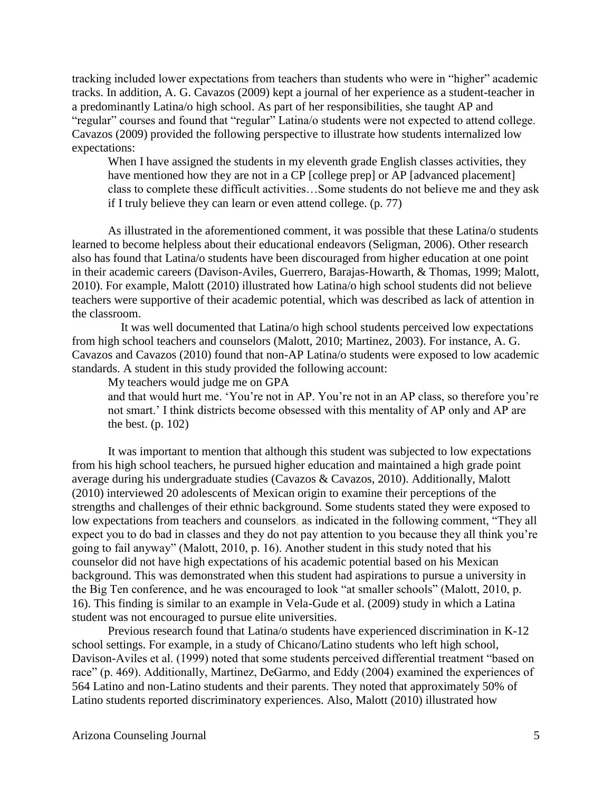tracking included lower expectations from teachers than students who were in "higher" academic tracks. In addition, A. G. Cavazos (2009) kept a journal of her experience as a student-teacher in a predominantly Latina/o high school. As part of her responsibilities, she taught AP and "regular" courses and found that "regular" Latina/o students were not expected to attend college. Cavazos (2009) provided the following perspective to illustrate how students internalized low expectations:

When I have assigned the students in my eleventh grade English classes activities, they have mentioned how they are not in a CP [college prep] or AP [advanced placement] class to complete these difficult activities…Some students do not believe me and they ask if I truly believe they can learn or even attend college. (p. 77)

As illustrated in the aforementioned comment, it was possible that these Latina/o students learned to become helpless about their educational endeavors (Seligman, 2006). Other research also has found that Latina/o students have been discouraged from higher education at one point in their academic careers (Davison-Aviles, Guerrero, Barajas-Howarth, & Thomas, 1999; Malott, 2010). For example, Malott (2010) illustrated how Latina/o high school students did not believe teachers were supportive of their academic potential, which was described as lack of attention in the classroom.

It was well documented that Latina/o high school students perceived low expectations from high school teachers and counselors (Malott, 2010; Martinez, 2003). For instance, A. G. Cavazos and Cavazos (2010) found that non-AP Latina/o students were exposed to low academic standards. A student in this study provided the following account:

My teachers would judge me on GPA

and that would hurt me. 'You're not in AP. You're not in an AP class, so therefore you're not smart.' I think districts become obsessed with this mentality of AP only and AP are the best.  $(p. 102)$ 

It was important to mention that although this student was subjected to low expectations from his high school teachers, he pursued higher education and maintained a high grade point average during his undergraduate studies (Cavazos & Cavazos, 2010). Additionally, Malott (2010) interviewed 20 adolescents of Mexican origin to examine their perceptions of the strengths and challenges of their ethnic background. Some students stated they were exposed to low expectations from teachers and counselors, as indicated in the following comment, "They all expect you to do bad in classes and they do not pay attention to you because they all think you're going to fail anyway" (Malott, 2010, p. 16). Another student in this study noted that his counselor did not have high expectations of his academic potential based on his Mexican background. This was demonstrated when this student had aspirations to pursue a university in the Big Ten conference, and he was encouraged to look "at smaller schools" (Malott, 2010, p. 16). This finding is similar to an example in Vela-Gude et al. (2009) study in which a Latina student was not encouraged to pursue elite universities.

Previous research found that Latina/o students have experienced discrimination in K-12 school settings. For example, in a study of Chicano/Latino students who left high school, Davison-Aviles et al. (1999) noted that some students perceived differential treatment "based on race" (p. 469). Additionally, Martinez, DeGarmo, and Eddy (2004) examined the experiences of 564 Latino and non-Latino students and their parents. They noted that approximately 50% of Latino students reported discriminatory experiences. Also, Malott (2010) illustrated how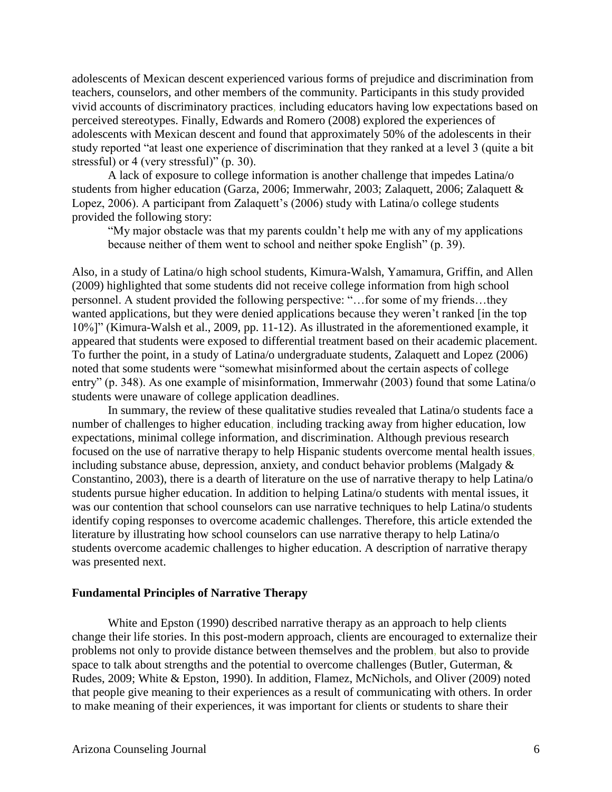adolescents of Mexican descent experienced various forms of prejudice and discrimination from teachers, counselors, and other members of the community. Participants in this study provided vivid accounts of discriminatory practices, including educators having low expectations based on perceived stereotypes. Finally, Edwards and Romero (2008) explored the experiences of adolescents with Mexican descent and found that approximately 50% of the adolescents in their study reported "at least one experience of discrimination that they ranked at a level 3 (quite a bit stressful) or 4 (very stressful)" (p. 30).

A lack of exposure to college information is another challenge that impedes Latina/o students from higher education (Garza, 2006; Immerwahr, 2003; Zalaquett, 2006; Zalaquett & Lopez, 2006). A participant from Zalaquett's (2006) study with Latina/o college students provided the following story:

"My major obstacle was that my parents couldn't help me with any of my applications because neither of them went to school and neither spoke English" (p. 39).

Also, in a study of Latina/o high school students, Kimura-Walsh, Yamamura, Griffin, and Allen (2009) highlighted that some students did not receive college information from high school personnel. A student provided the following perspective: "…for some of my friends…they wanted applications, but they were denied applications because they weren't ranked [in the top 10%]" (Kimura-Walsh et al., 2009, pp. 11-12). As illustrated in the aforementioned example, it appeared that students were exposed to differential treatment based on their academic placement. To further the point, in a study of Latina/o undergraduate students, Zalaquett and Lopez (2006) noted that some students were "somewhat misinformed about the certain aspects of college entry" (p. 348). As one example of misinformation, Immerwahr (2003) found that some Latina/o students were unaware of college application deadlines.

In summary, the review of these qualitative studies revealed that Latina/o students face a number of challenges to higher education, including tracking away from higher education, low expectations, minimal college information, and discrimination. Although previous research focused on the use of narrative therapy to help Hispanic students overcome mental health issues, including substance abuse, depression, anxiety, and conduct behavior problems (Malgady & Constantino, 2003), there is a dearth of literature on the use of narrative therapy to help Latina/o students pursue higher education. In addition to helping Latina/o students with mental issues, it was our contention that school counselors can use narrative techniques to help Latina/o students identify coping responses to overcome academic challenges. Therefore, this article extended the literature by illustrating how school counselors can use narrative therapy to help Latina/o students overcome academic challenges to higher education. A description of narrative therapy was presented next.

#### **Fundamental Principles of Narrative Therapy**

White and Epston (1990) described narrative therapy as an approach to help clients change their life stories. In this post-modern approach, clients are encouraged to externalize their problems not only to provide distance between themselves and the problem, but also to provide space to talk about strengths and the potential to overcome challenges (Butler, Guterman, & Rudes, 2009; White & Epston, 1990). In addition, Flamez, McNichols, and Oliver (2009) noted that people give meaning to their experiences as a result of communicating with others. In order to make meaning of their experiences, it was important for clients or students to share their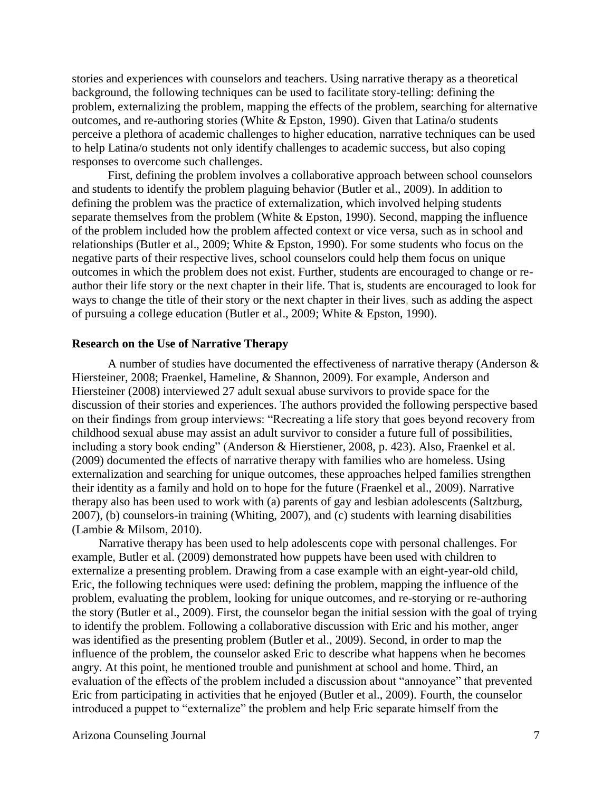stories and experiences with counselors and teachers. Using narrative therapy as a theoretical background, the following techniques can be used to facilitate story-telling: defining the problem, externalizing the problem, mapping the effects of the problem, searching for alternative outcomes, and re-authoring stories (White & Epston, 1990). Given that Latina/o students perceive a plethora of academic challenges to higher education, narrative techniques can be used to help Latina/o students not only identify challenges to academic success, but also coping responses to overcome such challenges.

First, defining the problem involves a collaborative approach between school counselors and students to identify the problem plaguing behavior (Butler et al., 2009). In addition to defining the problem was the practice of externalization, which involved helping students separate themselves from the problem (White & Epston, 1990). Second, mapping the influence of the problem included how the problem affected context or vice versa, such as in school and relationships (Butler et al., 2009; White & Epston, 1990). For some students who focus on the negative parts of their respective lives, school counselors could help them focus on unique outcomes in which the problem does not exist. Further, students are encouraged to change or reauthor their life story or the next chapter in their life. That is, students are encouraged to look for ways to change the title of their story or the next chapter in their lives, such as adding the aspect of pursuing a college education (Butler et al., 2009; White & Epston, 1990).

#### **Research on the Use of Narrative Therapy**

A number of studies have documented the effectiveness of narrative therapy (Anderson  $\&$ Hiersteiner, 2008; Fraenkel, Hameline, & Shannon, 2009). For example, Anderson and Hiersteiner (2008) interviewed 27 adult sexual abuse survivors to provide space for the discussion of their stories and experiences. The authors provided the following perspective based on their findings from group interviews: "Recreating a life story that goes beyond recovery from childhood sexual abuse may assist an adult survivor to consider a future full of possibilities, including a story book ending" (Anderson & Hierstiener, 2008, p. 423). Also, Fraenkel et al. (2009) documented the effects of narrative therapy with families who are homeless. Using externalization and searching for unique outcomes, these approaches helped families strengthen their identity as a family and hold on to hope for the future (Fraenkel et al., 2009). Narrative therapy also has been used to work with (a) parents of gay and lesbian adolescents (Saltzburg, 2007), (b) counselors-in training (Whiting, 2007), and (c) students with learning disabilities (Lambie & Milsom, 2010).

Narrative therapy has been used to help adolescents cope with personal challenges. For example, Butler et al. (2009) demonstrated how puppets have been used with children to externalize a presenting problem. Drawing from a case example with an eight-year-old child, Eric, the following techniques were used: defining the problem, mapping the influence of the problem, evaluating the problem, looking for unique outcomes, and re-storying or re-authoring the story (Butler et al., 2009). First, the counselor began the initial session with the goal of trying to identify the problem. Following a collaborative discussion with Eric and his mother, anger was identified as the presenting problem (Butler et al., 2009). Second, in order to map the influence of the problem, the counselor asked Eric to describe what happens when he becomes angry. At this point, he mentioned trouble and punishment at school and home. Third, an evaluation of the effects of the problem included a discussion about "annoyance" that prevented Eric from participating in activities that he enjoyed (Butler et al., 2009). Fourth, the counselor introduced a puppet to "externalize" the problem and help Eric separate himself from the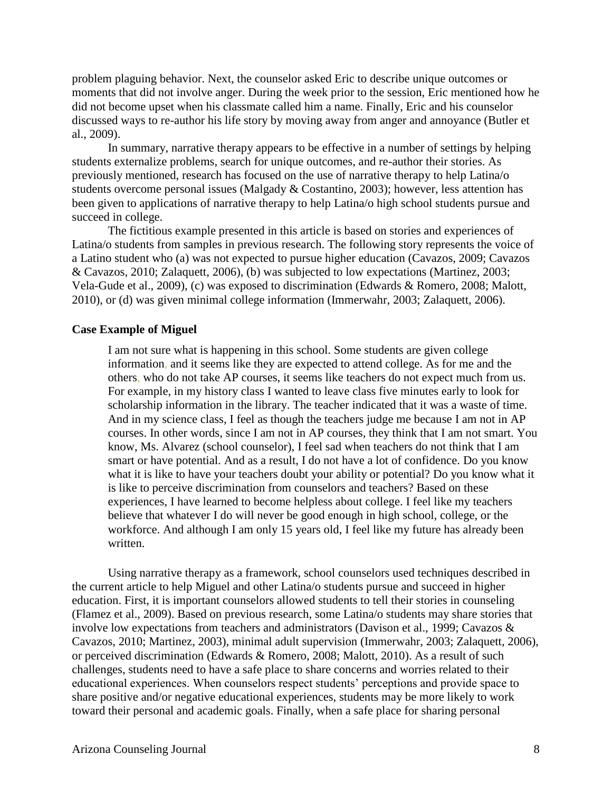problem plaguing behavior. Next, the counselor asked Eric to describe unique outcomes or moments that did not involve anger. During the week prior to the session, Eric mentioned how he did not become upset when his classmate called him a name. Finally, Eric and his counselor discussed ways to re-author his life story by moving away from anger and annoyance (Butler et al., 2009).

In summary, narrative therapy appears to be effective in a number of settings by helping students externalize problems, search for unique outcomes, and re-author their stories. As previously mentioned, research has focused on the use of narrative therapy to help Latina/o students overcome personal issues (Malgady & Costantino, 2003); however, less attention has been given to applications of narrative therapy to help Latina/o high school students pursue and succeed in college.

The fictitious example presented in this article is based on stories and experiences of Latina/o students from samples in previous research. The following story represents the voice of a Latino student who (a) was not expected to pursue higher education (Cavazos, 2009; Cavazos & Cavazos, 2010; Zalaquett, 2006), (b) was subjected to low expectations (Martinez, 2003; Vela-Gude et al., 2009), (c) was exposed to discrimination (Edwards & Romero, 2008; Malott, 2010), or (d) was given minimal college information (Immerwahr, 2003; Zalaquett, 2006).

#### **Case Example of Miguel**

I am not sure what is happening in this school. Some students are given college information, and it seems like they are expected to attend college. As for me and the others, who do not take AP courses, it seems like teachers do not expect much from us. For example, in my history class I wanted to leave class five minutes early to look for scholarship information in the library. The teacher indicated that it was a waste of time. And in my science class, I feel as though the teachers judge me because I am not in AP courses. In other words, since I am not in AP courses, they think that I am not smart. You know, Ms. Alvarez (school counselor), I feel sad when teachers do not think that I am smart or have potential. And as a result, I do not have a lot of confidence. Do you know what it is like to have your teachers doubt your ability or potential? Do you know what it is like to perceive discrimination from counselors and teachers? Based on these experiences, I have learned to become helpless about college. I feel like my teachers believe that whatever I do will never be good enough in high school, college, or the workforce. And although I am only 15 years old, I feel like my future has already been written.

Using narrative therapy as a framework, school counselors used techniques described in the current article to help Miguel and other Latina/o students pursue and succeed in higher education. First, it is important counselors allowed students to tell their stories in counseling (Flamez et al., 2009). Based on previous research, some Latina/o students may share stories that involve low expectations from teachers and administrators (Davison et al., 1999; Cavazos & Cavazos, 2010; Martinez, 2003), minimal adult supervision (Immerwahr, 2003; Zalaquett, 2006), or perceived discrimination (Edwards & Romero, 2008; Malott, 2010). As a result of such challenges, students need to have a safe place to share concerns and worries related to their educational experiences. When counselors respect students' perceptions and provide space to share positive and/or negative educational experiences, students may be more likely to work toward their personal and academic goals. Finally, when a safe place for sharing personal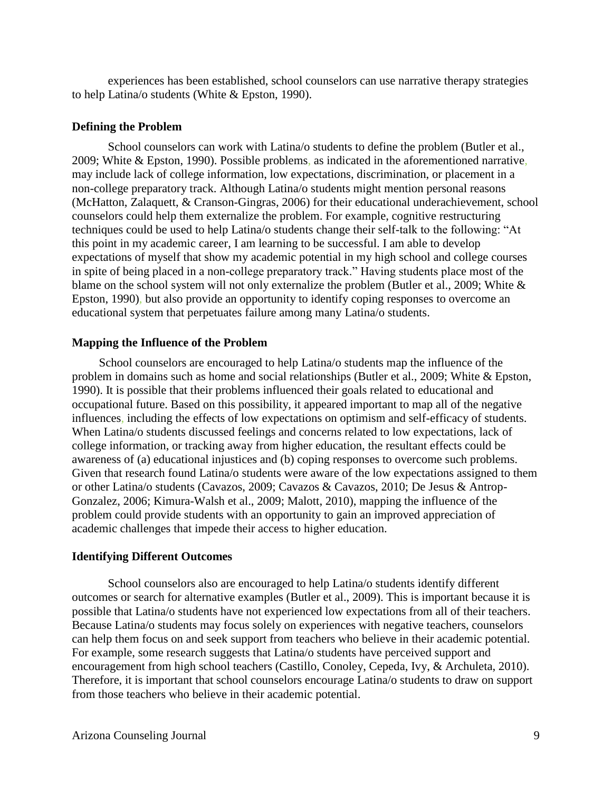experiences has been established, school counselors can use narrative therapy strategies to help Latina/o students (White & Epston, 1990).

#### **Defining the Problem**

School counselors can work with Latina/o students to define the problem (Butler et al., 2009; White & Epston, 1990). Possible problems, as indicated in the aforementioned narrative, may include lack of college information, low expectations, discrimination, or placement in a non-college preparatory track. Although Latina/o students might mention personal reasons (McHatton, Zalaquett, & Cranson-Gingras, 2006) for their educational underachievement, school counselors could help them externalize the problem. For example, cognitive restructuring techniques could be used to help Latina/o students change their self-talk to the following: "At this point in my academic career, I am learning to be successful. I am able to develop expectations of myself that show my academic potential in my high school and college courses in spite of being placed in a non-college preparatory track." Having students place most of the blame on the school system will not only externalize the problem (Butler et al., 2009; White & Epston, 1990), but also provide an opportunity to identify coping responses to overcome an educational system that perpetuates failure among many Latina/o students.

#### **Mapping the Influence of the Problem**

School counselors are encouraged to help Latina/o students map the influence of the problem in domains such as home and social relationships (Butler et al., 2009; White & Epston, 1990). It is possible that their problems influenced their goals related to educational and occupational future. Based on this possibility, it appeared important to map all of the negative influences, including the effects of low expectations on optimism and self-efficacy of students. When Latina/o students discussed feelings and concerns related to low expectations, lack of college information, or tracking away from higher education, the resultant effects could be awareness of (a) educational injustices and (b) coping responses to overcome such problems. Given that research found Latina/o students were aware of the low expectations assigned to them or other Latina/o students (Cavazos, 2009; Cavazos & Cavazos, 2010; De Jesus & Antrop-Gonzalez, 2006; Kimura-Walsh et al., 2009; Malott, 2010), mapping the influence of the problem could provide students with an opportunity to gain an improved appreciation of academic challenges that impede their access to higher education.

#### **Identifying Different Outcomes**

School counselors also are encouraged to help Latina/o students identify different outcomes or search for alternative examples (Butler et al., 2009). This is important because it is possible that Latina/o students have not experienced low expectations from all of their teachers. Because Latina/o students may focus solely on experiences with negative teachers, counselors can help them focus on and seek support from teachers who believe in their academic potential. For example, some research suggests that Latina/o students have perceived support and encouragement from high school teachers (Castillo, Conoley, Cepeda, Ivy, & Archuleta, 2010). Therefore, it is important that school counselors encourage Latina/o students to draw on support from those teachers who believe in their academic potential.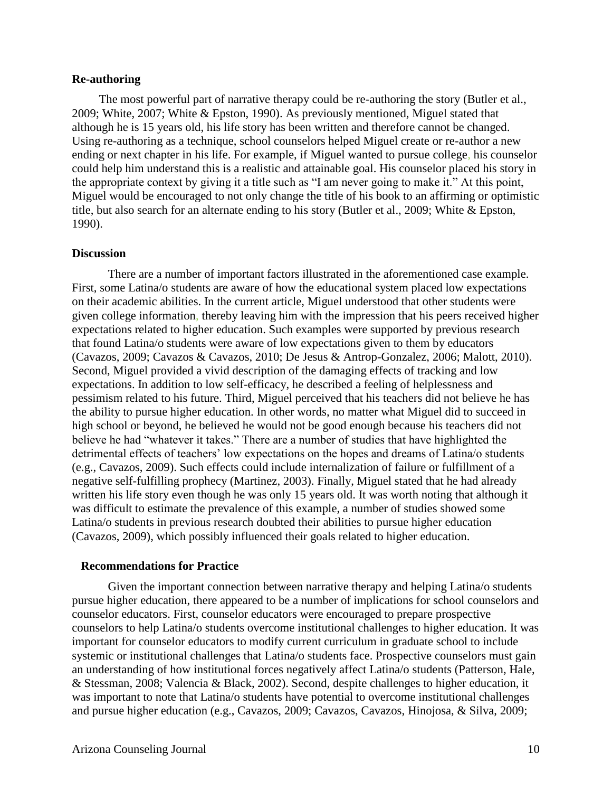#### **Re-authoring**

The most powerful part of narrative therapy could be re-authoring the story (Butler et al., 2009; White, 2007; White & Epston, 1990). As previously mentioned, Miguel stated that although he is 15 years old, his life story has been written and therefore cannot be changed. Using re-authoring as a technique, school counselors helped Miguel create or re-author a new ending or next chapter in his life. For example, if Miguel wanted to pursue college, his counselor could help him understand this is a realistic and attainable goal. His counselor placed his story in the appropriate context by giving it a title such as "I am never going to make it." At this point, Miguel would be encouraged to not only change the title of his book to an affirming or optimistic title, but also search for an alternate ending to his story (Butler et al., 2009; White & Epston, 1990).

#### **Discussion**

There are a number of important factors illustrated in the aforementioned case example. First, some Latina/o students are aware of how the educational system placed low expectations on their academic abilities. In the current article, Miguel understood that other students were given college information, thereby leaving him with the impression that his peers received higher expectations related to higher education. Such examples were supported by previous research that found Latina/o students were aware of low expectations given to them by educators (Cavazos, 2009; Cavazos & Cavazos, 2010; De Jesus & Antrop-Gonzalez, 2006; Malott, 2010). Second, Miguel provided a vivid description of the damaging effects of tracking and low expectations. In addition to low self-efficacy, he described a feeling of helplessness and pessimism related to his future. Third, Miguel perceived that his teachers did not believe he has the ability to pursue higher education. In other words, no matter what Miguel did to succeed in high school or beyond, he believed he would not be good enough because his teachers did not believe he had "whatever it takes." There are a number of studies that have highlighted the detrimental effects of teachers' low expectations on the hopes and dreams of Latina/o students (e.g., Cavazos, 2009). Such effects could include internalization of failure or fulfillment of a negative self-fulfilling prophecy (Martinez, 2003). Finally, Miguel stated that he had already written his life story even though he was only 15 years old. It was worth noting that although it was difficult to estimate the prevalence of this example, a number of studies showed some Latina/o students in previous research doubted their abilities to pursue higher education (Cavazos, 2009), which possibly influenced their goals related to higher education.

#### **Recommendations for Practice**

Given the important connection between narrative therapy and helping Latina/o students pursue higher education, there appeared to be a number of implications for school counselors and counselor educators. First, counselor educators were encouraged to prepare prospective counselors to help Latina/o students overcome institutional challenges to higher education. It was important for counselor educators to modify current curriculum in graduate school to include systemic or institutional challenges that Latina/o students face. Prospective counselors must gain an understanding of how institutional forces negatively affect Latina/o students (Patterson, Hale, & Stessman, 2008; Valencia & Black, 2002). Second, despite challenges to higher education, it was important to note that Latina/o students have potential to overcome institutional challenges and pursue higher education (e.g., Cavazos, 2009; Cavazos, Cavazos, Hinojosa, & Silva, 2009;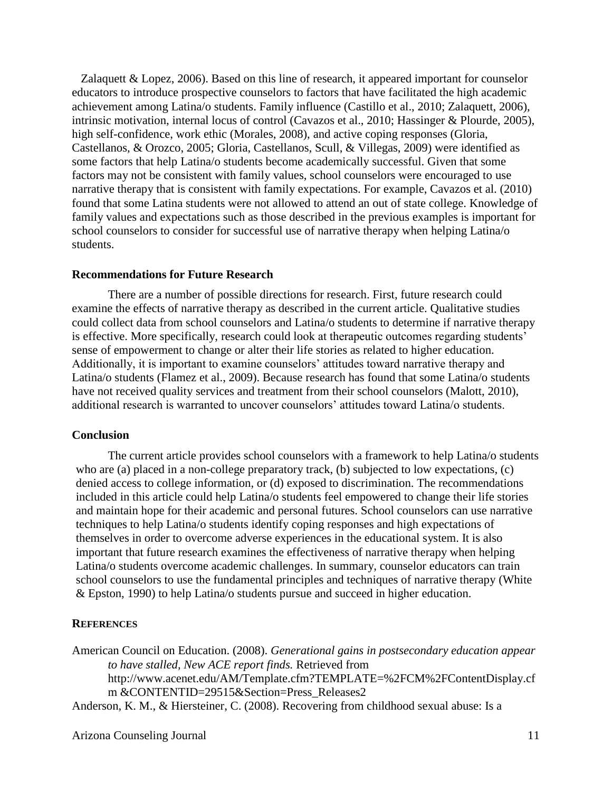Zalaquett & Lopez, 2006). Based on this line of research, it appeared important for counselor educators to introduce prospective counselors to factors that have facilitated the high academic achievement among Latina/o students. Family influence (Castillo et al., 2010; Zalaquett, 2006), intrinsic motivation, internal locus of control (Cavazos et al., 2010; Hassinger & Plourde, 2005), high self-confidence, work ethic (Morales, 2008), and active coping responses (Gloria, Castellanos, & Orozco, 2005; Gloria, Castellanos, Scull, & Villegas, 2009) were identified as some factors that help Latina/o students become academically successful. Given that some factors may not be consistent with family values, school counselors were encouraged to use narrative therapy that is consistent with family expectations. For example, Cavazos et al. (2010) found that some Latina students were not allowed to attend an out of state college. Knowledge of family values and expectations such as those described in the previous examples is important for school counselors to consider for successful use of narrative therapy when helping Latina/o students.

#### **Recommendations for Future Research**

There are a number of possible directions for research. First, future research could examine the effects of narrative therapy as described in the current article. Qualitative studies could collect data from school counselors and Latina/o students to determine if narrative therapy is effective. More specifically, research could look at therapeutic outcomes regarding students' sense of empowerment to change or alter their life stories as related to higher education. Additionally, it is important to examine counselors' attitudes toward narrative therapy and Latina/o students (Flamez et al., 2009). Because research has found that some Latina/o students have not received quality services and treatment from their school counselors (Malott, 2010), additional research is warranted to uncover counselors' attitudes toward Latina/o students.

#### **Conclusion**

The current article provides school counselors with a framework to help Latina/o students who are (a) placed in a non-college preparatory track, (b) subjected to low expectations, (c) denied access to college information, or (d) exposed to discrimination. The recommendations included in this article could help Latina/o students feel empowered to change their life stories and maintain hope for their academic and personal futures. School counselors can use narrative techniques to help Latina/o students identify coping responses and high expectations of themselves in order to overcome adverse experiences in the educational system. It is also important that future research examines the effectiveness of narrative therapy when helping Latina/o students overcome academic challenges. In summary, counselor educators can train school counselors to use the fundamental principles and techniques of narrative therapy (White & Epston, 1990) to help Latina/o students pursue and succeed in higher education.

#### **REFERENCES**

American Council on Education. (2008). *Generational gains in postsecondary education appear to have stalled, New ACE report finds.* Retrieved from http://www.acenet.edu/AM/Template.cfm?TEMPLATE=%2FCM%2FContentDisplay.cf m &CONTENTID=29515&Section=Press\_Releases2

Anderson, K. M., & Hiersteiner, C. (2008). Recovering from childhood sexual abuse: Is a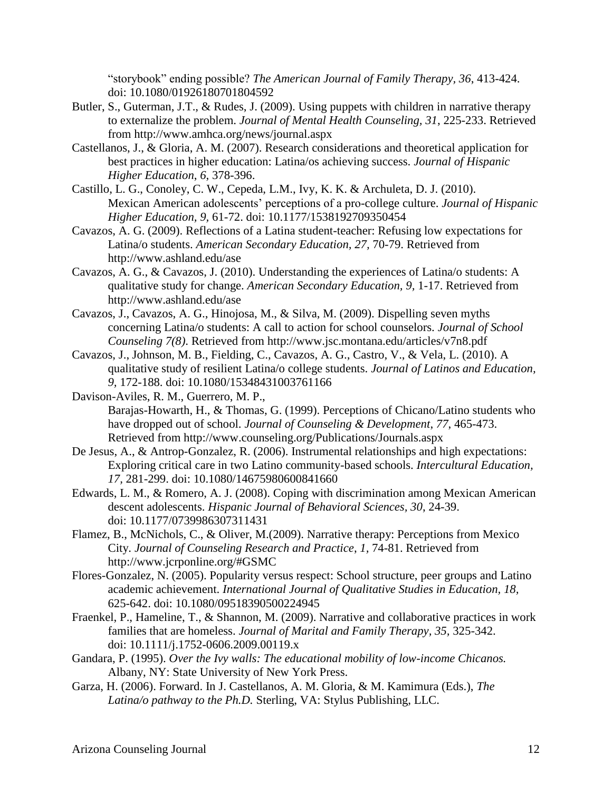"storybook" ending possible? *The American Journal of Family Therapy, 36*, 413-424. doi: 10.1080/01926180701804592

- Butler, S., Guterman, J.T., & Rudes, J. (2009). Using puppets with children in narrative therapy to externalize the problem. *Journal of Mental Health Counseling, 31*, 225-233. Retrieved from http://www.amhca.org/news/journal.aspx
- Castellanos, J., & Gloria, A. M. (2007). Research considerations and theoretical application for best practices in higher education: Latina/os achieving success. *Journal of Hispanic Higher Education*, *6*, 378-396.
- Castillo, L. G., Conoley, C. W., Cepeda, L.M., Ivy, K. K. & Archuleta, D. J. (2010). Mexican American adolescents' perceptions of a pro-college culture. *Journal of Hispanic Higher Education, 9,* 61-72. doi: 10.1177/1538192709350454
- Cavazos, A. G. (2009). Reflections of a Latina student-teacher: Refusing low expectations for Latina/o students. *American Secondary Education, 27,* 70-79. Retrieved from http://www.ashland.edu/ase
- Cavazos, A. G., & Cavazos, J. (2010). Understanding the experiences of Latina/o students: A qualitative study for change. *American Secondary Education, 9,* 1-17. Retrieved from http://www.ashland.edu/ase
- Cavazos, J., Cavazos, A. G., Hinojosa, M., & Silva, M. (2009). Dispelling seven myths concerning Latina/o students: A call to action for school counselors. *Journal of School Counseling 7(8)*. Retrieved from http://www.jsc.montana.edu/articles/v7n8.pdf
- Cavazos, J., Johnson, M. B., Fielding, C., Cavazos, A. G., Castro, V., & Vela, L. (2010). A qualitative study of resilient Latina/o college students. *Journal of Latinos and Education, 9,* 172-188. doi: 10.1080/15348431003761166
- Davison-Aviles, R. M., Guerrero, M. P., Barajas-Howarth, H., & Thomas, G. (1999). Perceptions of Chicano/Latino students who have dropped out of school. *Journal of Counseling & Development*, *77*, 465-473. Retrieved from http://www.counseling.org/Publications/Journals.aspx
- De Jesus, A., & Antrop-Gonzalez, R. (2006). Instrumental relationships and high expectations: Exploring critical care in two Latino community-based schools. *Intercultural Education, 17,* 281-299. doi: 10.1080/14675980600841660
- Edwards, L. M., & Romero, A. J. (2008). Coping with discrimination among Mexican American descent adolescents. *Hispanic Journal of Behavioral Sciences, 30*, 24-39. doi: 10.1177/0739986307311431
- Flamez, B., McNichols, C., & Oliver, M.(2009). Narrative therapy: Perceptions from Mexico City. *Journal of Counseling Research and Practice*, *1,* 74-81. Retrieved from http://www.jcrponline.org/#GSMC
- Flores-Gonzalez, N. (2005). Popularity versus respect: School structure, peer groups and Latino academic achievement. *International Journal of Qualitative Studies in Education, 18,* 625-642. doi: 10.1080/09518390500224945
- Fraenkel, P., Hameline, T., & Shannon, M. (2009). Narrative and collaborative practices in work families that are homeless. *Journal of Marital and Family Therapy, 35,* 325-342. doi: 10.1111/j.1752-0606.2009.00119.x
- Gandara, P. (1995). *Over the Ivy walls: The educational mobility of low-income Chicanos.*  Albany, NY: State University of New York Press.
- Garza, H. (2006). Forward. In J. Castellanos, A. M. Gloria, & M. Kamimura (Eds.), *The Latina/o pathway to the Ph.D.* Sterling, VA: Stylus Publishing, LLC.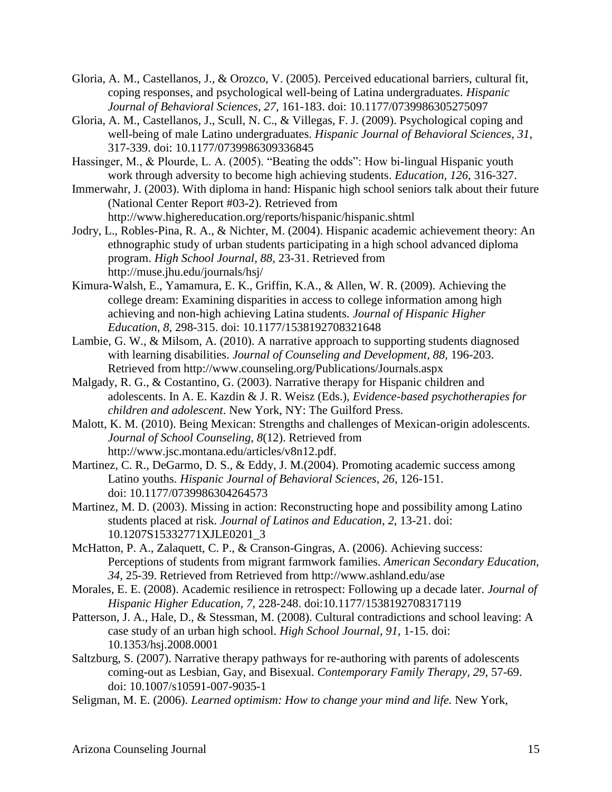- Gloria, A. M., Castellanos, J., & Orozco, V. (2005). Perceived educational barriers, cultural fit, coping responses, and psychological well-being of Latina undergraduates. *Hispanic Journal of Behavioral Sciences, 27,* 161-183. doi: 10.1177/0739986305275097
- Gloria, A. M., Castellanos, J., Scull, N. C., & Villegas, F. J. (2009). Psychological coping and well-being of male Latino undergraduates. *Hispanic Journal of Behavioral Sciences, 31*, 317-339. doi: 10.1177/0739986309336845
- Hassinger, M., & Plourde, L. A. (2005). "Beating the odds": How bi-lingual Hispanic youth work through adversity to become high achieving students. *Education, 126*, 316-327.
- Immerwahr, J. (2003). With diploma in hand: Hispanic high school seniors talk about their future (National Center Report #03-2). Retrieved from http://www.highereducation.org/reports/hispanic/hispanic.shtml
- Jodry, L., Robles-Pina, R. A., & Nichter, M. (2004). Hispanic academic achievement theory: An ethnographic study of urban students participating in a high school advanced diploma program. *High School Journal, 88,* 23-31. Retrieved from http://muse.jhu.edu/journals/hsj/
- Kimura-Walsh, E., Yamamura, E. K., Griffin, K.A., & Allen, W. R. (2009). Achieving the college dream: Examining disparities in access to college information among high achieving and non-high achieving Latina students. *Journal of Hispanic Higher Education, 8,* 298-315. doi: 10.1177/1538192708321648
- Lambie, G. W., & Milsom, A. (2010). A narrative approach to supporting students diagnosed with learning disabilities. *Journal of Counseling and Development, 88,* 196-203. Retrieved from http://www.counseling.org/Publications/Journals.aspx
- Malgady, R. G., & Costantino, G. (2003). Narrative therapy for Hispanic children and adolescents. In A. E. Kazdin & J. R. Weisz (Eds.), *Evidence-based psychotherapies for children and adolescent*. New York, NY: The Guilford Press.
- Malott, K. M. (2010). Being Mexican: Strengths and challenges of Mexican-origin adolescents. *Journal of School Counseling, 8*(12). Retrieved from http://www.jsc.montana.edu/articles/v8n12.pdf.
- Martinez, C. R., DeGarmo, D. S., & Eddy, J. M.(2004). Promoting academic success among Latino youths. *Hispanic Journal of Behavioral Sciences*, *26*, 126-151. doi: 10.1177/0739986304264573
- Martinez, M. D. (2003). Missing in action: Reconstructing hope and possibility among Latino students placed at risk. *Journal of Latinos and Education*, *2*, 13-21. doi: 10.1207S15332771XJLE0201\_3
- McHatton, P. A., Zalaquett, C. P., & Cranson-Gingras, A. (2006). Achieving success: Perceptions of students from migrant farmwork families. *American Secondary Education, 34*, 25-39. Retrieved from Retrieved from http://www.ashland.edu/ase
- Morales, E. E. (2008). Academic resilience in retrospect: Following up a decade later. *Journal of Hispanic Higher Education, 7,* 228-248. doi:10.1177/1538192708317119
- Patterson, J. A., Hale, D., & Stessman, M. (2008). Cultural contradictions and school leaving: A case study of an urban high school. *High School Journal, 91,* 1-15. doi: 10.1353/hsj.2008.0001
- Saltzburg, S. (2007). Narrative therapy pathways for re-authoring with parents of adolescents coming-out as Lesbian, Gay, and Bisexual. *Contemporary Family Therapy, 29,* 57-69. doi: 10.1007/s10591-007-9035-1
- Seligman, M. E. (2006). *Learned optimism: How to change your mind and life.* New York,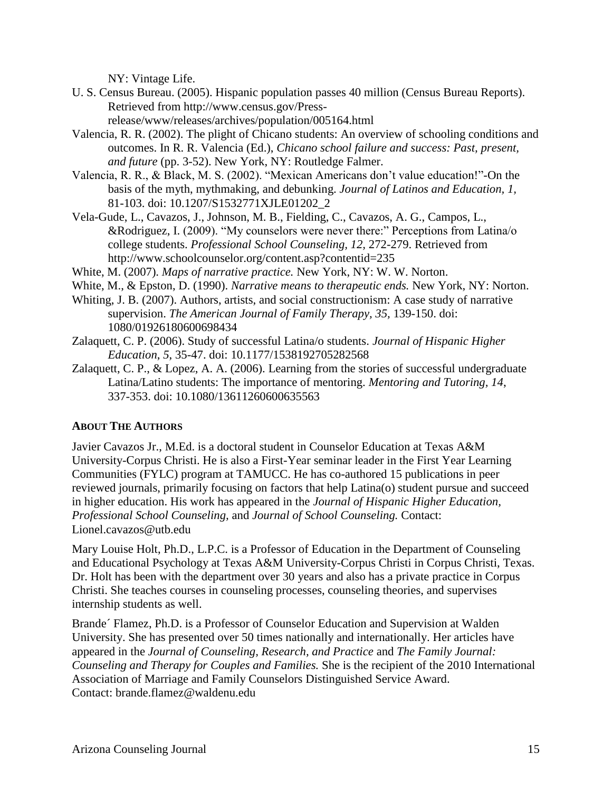NY: Vintage Life.

- U. S. Census Bureau. (2005). Hispanic population passes 40 million (Census Bureau Reports). Retrieved from http://www.census.gov/Pressrelease/www/releases/archives/population/005164.html
- Valencia, R. R. (2002). The plight of Chicano students: An overview of schooling conditions and outcomes. In R. R. Valencia (Ed.), *Chicano school failure and success: Past, present, and future* (pp. 3-52). New York, NY: Routledge Falmer.
- Valencia, R. R., & Black, M. S. (2002). "Mexican Americans don't value education!"-On the basis of the myth, mythmaking, and debunking. *Journal of Latinos and Education, 1,* 81-103. doi: 10.1207/S1532771XJLE01202\_2
- Vela-Gude, L., Cavazos, J., Johnson, M. B., Fielding, C., Cavazos, A. G., Campos, L., &Rodriguez, I. (2009). "My counselors were never there:" Perceptions from Latina/o college students. *Professional School Counseling, 12,* 272-279. Retrieved from http://www.schoolcounselor.org/content.asp?contentid=235
- White, M. (2007). *Maps of narrative practice.* New York, NY: W. W. Norton.
- White, M., & Epston, D. (1990). *Narrative means to therapeutic ends.* New York, NY: Norton.
- Whiting, J. B. (2007). Authors, artists, and social constructionism: A case study of narrative supervision. *The American Journal of Family Therapy, 35,* 139-150. doi: 1080/01926180600698434
- Zalaquett, C. P. (2006). Study of successful Latina/o students. *Journal of Hispanic Higher Education*, *5*, 35-47. doi: 10.1177/1538192705282568
- Zalaquett, C. P., & Lopez, A. A. (2006). Learning from the stories of successful undergraduate Latina/Latino students: The importance of mentoring. *Mentoring and Tutoring, 14*, 337-353. doi: 10.1080/13611260600635563

#### **ABOUT THE AUTHORS**

Javier Cavazos Jr., M.Ed. is a doctoral student in Counselor Education at Texas A&M University-Corpus Christi. He is also a First-Year seminar leader in the First Year Learning Communities (FYLC) program at TAMUCC. He has co-authored 15 publications in peer reviewed journals, primarily focusing on factors that help Latina(o) student pursue and succeed in higher education. His work has appeared in the *Journal of Hispanic Higher Education, Professional School Counseling,* and *Journal of School Counseling.* Contact: Lionel.cavazos@utb.edu

Mary Louise Holt, Ph.D., L.P.C. is a Professor of Education in the Department of Counseling and Educational Psychology at Texas A&M University-Corpus Christi in Corpus Christi, Texas. Dr. Holt has been with the department over 30 years and also has a private practice in Corpus Christi. She teaches courses in counseling processes, counseling theories, and supervises internship students as well.

Brande´ Flamez, Ph.D. is a Professor of Counselor Education and Supervision at Walden University. She has presented over 50 times nationally and internationally. Her articles have appeared in the *Journal of Counseling, Research, and Practice* and *The Family Journal: Counseling and Therapy for Couples and Families.* She is the recipient of the 2010 International Association of Marriage and Family Counselors Distinguished Service Award. Contact: brande.flamez@waldenu.edu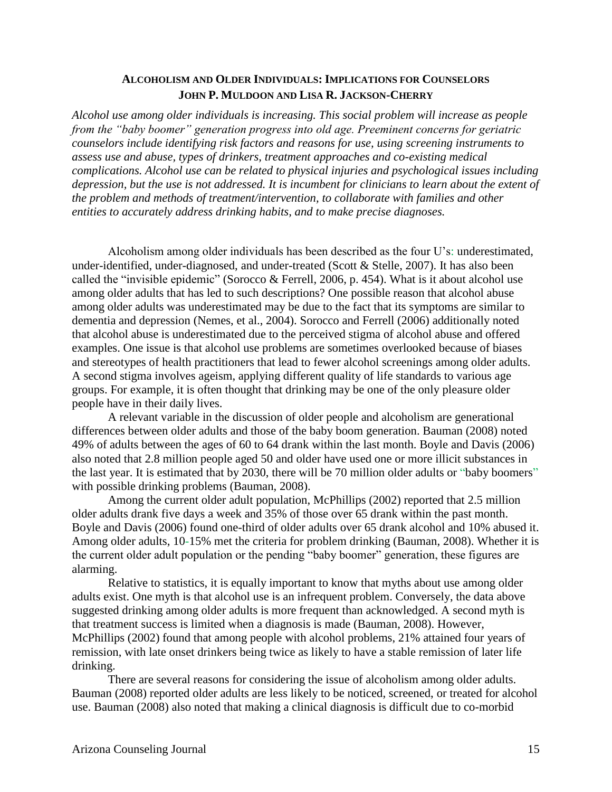#### **ALCOHOLISM AND OLDER INDIVIDUALS: IMPLICATIONS FOR COUNSELORS JOHN P. MULDOON AND LISA R. JACKSON-CHERRY**

*Alcohol use among older individuals is increasing. This social problem will increase as people from the "baby boomer" generation progress into old age. Preeminent concerns for geriatric counselors include identifying risk factors and reasons for use, using screening instruments to assess use and abuse, types of drinkers, treatment approaches and co-existing medical complications. Alcohol use can be related to physical injuries and psychological issues including depression, but the use is not addressed. It is incumbent for clinicians to learn about the extent of the problem and methods of treatment/intervention, to collaborate with families and other entities to accurately address drinking habits, and to make precise diagnoses.* 

Alcoholism among older individuals has been described as the four U's: underestimated, under-identified, under-diagnosed, and under-treated (Scott & Stelle, 2007). It has also been called the "invisible epidemic" (Sorocco & Ferrell, 2006, p. 454). What is it about alcohol use among older adults that has led to such descriptions? One possible reason that alcohol abuse among older adults was underestimated may be due to the fact that its symptoms are similar to dementia and depression (Nemes, et al., 2004). Sorocco and Ferrell (2006) additionally noted that alcohol abuse is underestimated due to the perceived stigma of alcohol abuse and offered examples. One issue is that alcohol use problems are sometimes overlooked because of biases and stereotypes of health practitioners that lead to fewer alcohol screenings among older adults. A second stigma involves ageism, applying different quality of life standards to various age groups. For example, it is often thought that drinking may be one of the only pleasure older people have in their daily lives.

A relevant variable in the discussion of older people and alcoholism are generational differences between older adults and those of the baby boom generation. Bauman (2008) noted 49% of adults between the ages of 60 to 64 drank within the last month. Boyle and Davis (2006) also noted that 2.8 million people aged 50 and older have used one or more illicit substances in the last year. It is estimated that by 2030, there will be 70 million older adults or "baby boomers" with possible drinking problems (Bauman, 2008).

Among the current older adult population, McPhillips (2002) reported that 2.5 million older adults drank five days a week and 35% of those over 65 drank within the past month. Boyle and Davis (2006) found one-third of older adults over 65 drank alcohol and 10% abused it. Among older adults, 10-15% met the criteria for problem drinking (Bauman, 2008). Whether it is the current older adult population or the pending "baby boomer" generation, these figures are alarming.

Relative to statistics, it is equally important to know that myths about use among older adults exist. One myth is that alcohol use is an infrequent problem. Conversely, the data above suggested drinking among older adults is more frequent than acknowledged. A second myth is that treatment success is limited when a diagnosis is made (Bauman, 2008). However, McPhillips (2002) found that among people with alcohol problems, 21% attained four years of remission, with late onset drinkers being twice as likely to have a stable remission of later life drinking.

There are several reasons for considering the issue of alcoholism among older adults. Bauman (2008) reported older adults are less likely to be noticed, screened, or treated for alcohol use. Bauman (2008) also noted that making a clinical diagnosis is difficult due to co-morbid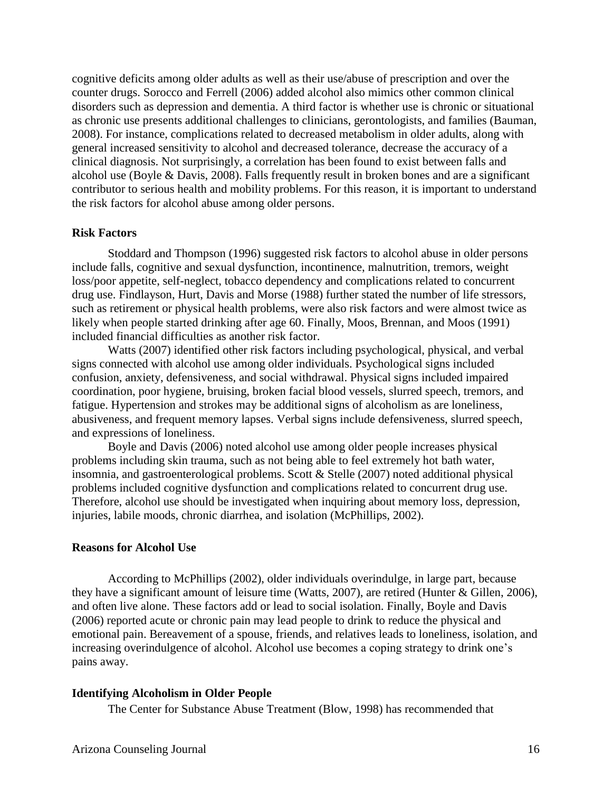cognitive deficits among older adults as well as their use/abuse of prescription and over the counter drugs. Sorocco and Ferrell (2006) added alcohol also mimics other common clinical disorders such as depression and dementia. A third factor is whether use is chronic or situational as chronic use presents additional challenges to clinicians, gerontologists, and families (Bauman, 2008). For instance, complications related to decreased metabolism in older adults, along with general increased sensitivity to alcohol and decreased tolerance, decrease the accuracy of a clinical diagnosis. Not surprisingly, a correlation has been found to exist between falls and alcohol use (Boyle & Davis, 2008). Falls frequently result in broken bones and are a significant contributor to serious health and mobility problems. For this reason, it is important to understand the risk factors for alcohol abuse among older persons.

#### **Risk Factors**

Stoddard and Thompson (1996) suggested risk factors to alcohol abuse in older persons include falls, cognitive and sexual dysfunction, incontinence, malnutrition, tremors, weight loss/poor appetite, self-neglect, tobacco dependency and complications related to concurrent drug use. Findlayson, Hurt, Davis and Morse (1988) further stated the number of life stressors, such as retirement or physical health problems, were also risk factors and were almost twice as likely when people started drinking after age 60. Finally, Moos, Brennan, and Moos (1991) included financial difficulties as another risk factor.

Watts (2007) identified other risk factors including psychological, physical, and verbal signs connected with alcohol use among older individuals. Psychological signs included confusion, anxiety, defensiveness, and social withdrawal. Physical signs included impaired coordination, poor hygiene, bruising, broken facial blood vessels, slurred speech, tremors, and fatigue. Hypertension and strokes may be additional signs of alcoholism as are loneliness, abusiveness, and frequent memory lapses. Verbal signs include defensiveness, slurred speech, and expressions of loneliness.

Boyle and Davis (2006) noted alcohol use among older people increases physical problems including skin trauma, such as not being able to feel extremely hot bath water, insomnia, and gastroenterological problems. Scott & Stelle (2007) noted additional physical problems included cognitive dysfunction and complications related to concurrent drug use. Therefore, alcohol use should be investigated when inquiring about memory loss, depression, injuries, labile moods, chronic diarrhea, and isolation (McPhillips, 2002).

#### **Reasons for Alcohol Use**

According to McPhillips (2002), older individuals overindulge, in large part, because they have a significant amount of leisure time (Watts, 2007), are retired (Hunter & Gillen, 2006), and often live alone. These factors add or lead to social isolation. Finally, Boyle and Davis (2006) reported acute or chronic pain may lead people to drink to reduce the physical and emotional pain. Bereavement of a spouse, friends, and relatives leads to loneliness, isolation, and increasing overindulgence of alcohol. Alcohol use becomes a coping strategy to drink one's pains away.

#### **Identifying Alcoholism in Older People**

The Center for Substance Abuse Treatment (Blow, 1998) has recommended that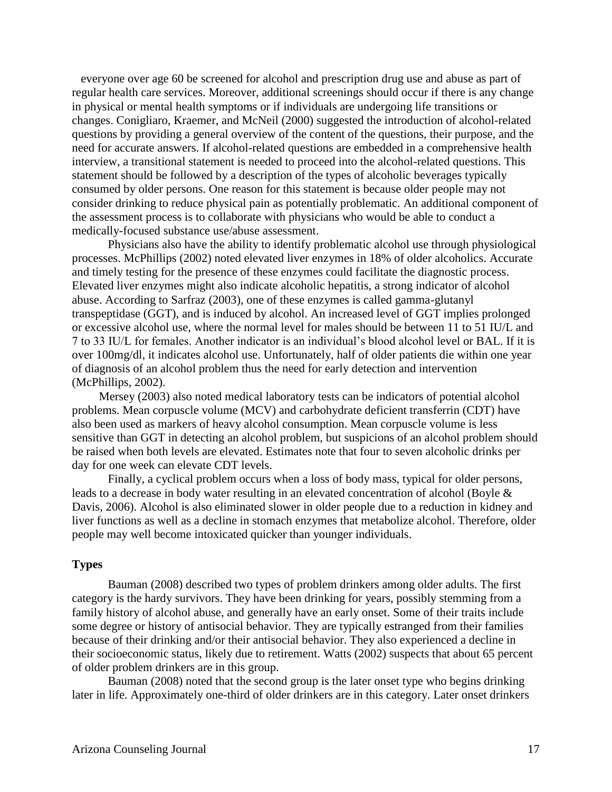everyone over age 60 be screened for alcohol and prescription drug use and abuse as part of regular health care services. Moreover, additional screenings should occur if there is any change in physical or mental health symptoms or if individuals are undergoing life transitions or changes. Conigliaro, Kraemer, and McNeil (2000) suggested the introduction of alcohol-related questions by providing a general overview of the content of the questions, their purpose, and the need for accurate answers. If alcohol-related questions are embedded in a comprehensive health interview, a transitional statement is needed to proceed into the alcohol-related questions. This statement should be followed by a description of the types of alcoholic beverages typically consumed by older persons. One reason for this statement is because older people may not consider drinking to reduce physical pain as potentially problematic. An additional component of the assessment process is to collaborate with physicians who would be able to conduct a medically-focused substance use/abuse assessment.

Physicians also have the ability to identify problematic alcohol use through physiological processes. McPhillips (2002) noted elevated liver enzymes in 18% of older alcoholics. Accurate and timely testing for the presence of these enzymes could facilitate the diagnostic process. Elevated liver enzymes might also indicate alcoholic hepatitis, a strong indicator of alcohol abuse. According to Sarfraz (2003), one of these enzymes is called gamma-glutanyl transpeptidase (GGT), and is induced by alcohol. An increased level of GGT implies prolonged or excessive alcohol use, where the normal level for males should be between 11 to 51 IU/L and 7 to 33 IU/L for females. Another indicator is an individual's blood alcohol level or BAL. If it is over 100mg/dl, it indicates alcohol use. Unfortunately, half of older patients die within one year of diagnosis of an alcohol problem thus the need for early detection and intervention (McPhillips, 2002).

Mersey (2003) also noted medical laboratory tests can be indicators of potential alcohol problems. Mean corpuscle volume (MCV) and carbohydrate deficient transferrin (CDT) have also been used as markers of heavy alcohol consumption. Mean corpuscle volume is less sensitive than GGT in detecting an alcohol problem, but suspicions of an alcohol problem should be raised when both levels are elevated. Estimates note that four to seven alcoholic drinks per day for one week can elevate CDT levels.

Finally, a cyclical problem occurs when a loss of body mass, typical for older persons, leads to a decrease in body water resulting in an elevated concentration of alcohol (Boyle & Davis, 2006). Alcohol is also eliminated slower in older people due to a reduction in kidney and liver functions as well as a decline in stomach enzymes that metabolize alcohol. Therefore, older people may well become intoxicated quicker than younger individuals.

#### **Types**

Bauman (2008) described two types of problem drinkers among older adults. The first category is the hardy survivors. They have been drinking for years, possibly stemming from a family history of alcohol abuse, and generally have an early onset. Some of their traits include some degree or history of antisocial behavior. They are typically estranged from their families because of their drinking and/or their antisocial behavior. They also experienced a decline in their socioeconomic status, likely due to retirement. Watts (2002) suspects that about 65 percent of older problem drinkers are in this group.

Bauman (2008) noted that the second group is the later onset type who begins drinking later in life. Approximately one-third of older drinkers are in this category. Later onset drinkers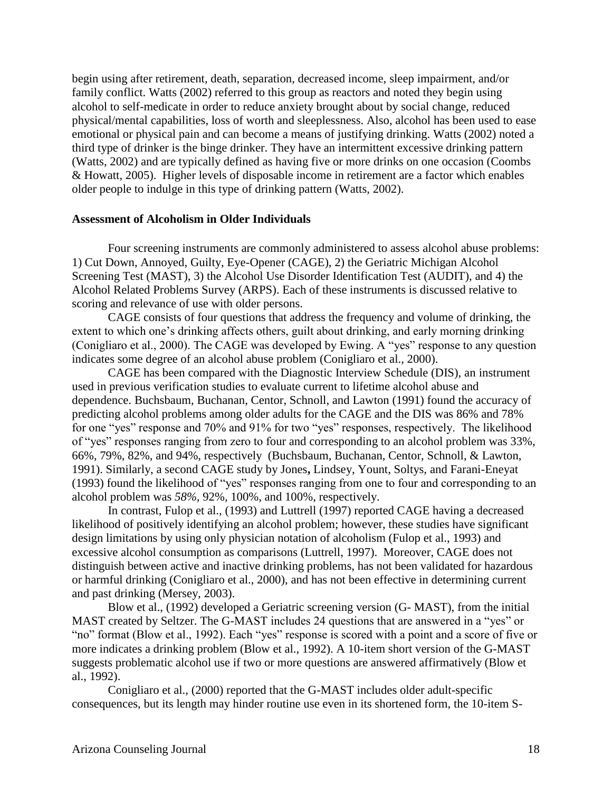begin using after retirement, death, separation, decreased income, sleep impairment, and/or family conflict. Watts (2002) referred to this group as reactors and noted they begin using alcohol to self-medicate in order to reduce anxiety brought about by social change, reduced physical/mental capabilities, loss of worth and sleeplessness. Also, alcohol has been used to ease emotional or physical pain and can become a means of justifying drinking. Watts (2002) noted a third type of drinker is the binge drinker. They have an intermittent excessive drinking pattern (Watts, 2002) and are typically defined as having five or more drinks on one occasion (Coombs & Howatt, 2005). Higher levels of disposable income in retirement are a factor which enables older people to indulge in this type of drinking pattern (Watts, 2002).

#### **Assessment of Alcoholism in Older Individuals**

Four screening instruments are commonly administered to assess alcohol abuse problems: 1) Cut Down, Annoyed, Guilty, Eye-Opener (CAGE), 2) the Geriatric Michigan Alcohol Screening Test (MAST), 3) the Alcohol Use Disorder Identification Test (AUDIT), and 4) the Alcohol Related Problems Survey (ARPS). Each of these instruments is discussed relative to scoring and relevance of use with older persons.

CAGE consists of four questions that address the frequency and volume of drinking, the extent to which one's drinking affects others, guilt about drinking, and early morning drinking (Conigliaro et al., 2000). The CAGE was developed by Ewing. A "yes" response to any question indicates some degree of an alcohol abuse problem (Conigliaro et al., 2000).

CAGE has been compared with the Diagnostic Interview Schedule (DIS), an instrument used in previous verification studies to evaluate current to lifetime alcohol abuse and dependence. Buchsbaum, Buchanan, Centor, Schnoll, and Lawton (1991) found the accuracy of predicting alcohol problems among older adults for the CAGE and the DIS was 86% and 78% for one "yes" response and 70% and 91% for two "yes" responses, respectively. The likelihood of "yes" responses ranging from zero to four and corresponding to an alcohol problem was 33%, 66%, 79%, 82%, and 94%, respectively (Buchsbaum, Buchanan, Centor, Schnoll, & Lawton, 1991). Similarly, a second CAGE study by Jones**,** Lindsey, Yount, Soltys, and Farani-Eneyat (1993) found the likelihood of "yes" responses ranging from one to four and corresponding to an alcohol problem was *58%,* 92%*,* 100%, and 100%, respectively.

In contrast, Fulop et al., (1993) and Luttrell (1997) reported CAGE having a decreased likelihood of positively identifying an alcohol problem; however, these studies have significant design limitations by using only physician notation of alcoholism (Fulop et al., 1993) and excessive alcohol consumption as comparisons (Luttrell, 1997). Moreover, CAGE does not distinguish between active and inactive drinking problems, has not been validated for hazardous or harmful drinking (Conigliaro et al., 2000), and has not been effective in determining current and past drinking (Mersey, 2003).

Blow et al., (1992) developed a Geriatric screening version (G- MAST), from the initial MAST created by Seltzer. The G-MAST includes 24 questions that are answered in a "yes" or "no" format (Blow et al., 1992). Each "yes" response is scored with a point and a score of five or more indicates a drinking problem (Blow et al., 1992). A 10-item short version of the G-MAST suggests problematic alcohol use if two or more questions are answered affirmatively (Blow et al., 1992).

Conigliaro et al., (2000) reported that the G-MAST includes older adult-specific consequences, but its length may hinder routine use even in its shortened form, the 10-item S-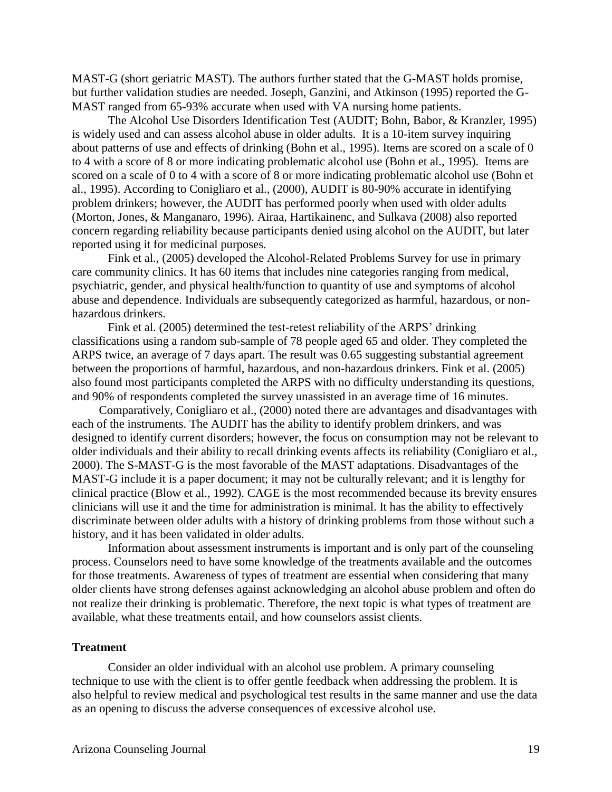MAST-G (short geriatric MAST). The authors further stated that the G-MAST holds promise, but further validation studies are needed. Joseph, Ganzini, and Atkinson (1995) reported the G-MAST ranged from 65-93% accurate when used with VA nursing home patients.

The Alcohol Use Disorders Identification Test (AUDIT; Bohn, Babor, & Kranzler, 1995) is widely used and can assess alcohol abuse in older adults. It is a 10-item survey inquiring about patterns of use and effects of drinking (Bohn et al., 1995). Items are scored on a scale of 0 to 4 with a score of 8 or more indicating problematic alcohol use (Bohn et al., 1995). Items are scored on a scale of 0 to 4 with a score of 8 or more indicating problematic alcohol use (Bohn et al., 1995). According to Conigliaro et al., (2000), AUDIT is 80-90% accurate in identifying problem drinkers; however, the AUDIT has performed poorly when used with older adults (Morton, Jones, & Manganaro, 1996). Airaa, Hartikainenc, and Sulkava (2008) also reported concern regarding reliability because participants denied using alcohol on the AUDIT, but later reported using it for medicinal purposes.

Fink et al., (2005) developed the Alcohol-Related Problems Survey for use in primary care community clinics. It has 60 items that includes nine categories ranging from medical, psychiatric, gender, and physical health/function to quantity of use and symptoms of alcohol abuse and dependence. Individuals are subsequently categorized as harmful, hazardous, or nonhazardous drinkers.

Fink et al. (2005) determined the test-retest reliability of the ARPS' drinking classifications using a random sub-sample of 78 people aged 65 and older. They completed the ARPS twice, an average of 7 days apart. The result was 0.65 suggesting substantial agreement between the proportions of harmful, hazardous, and non-hazardous drinkers. Fink et al. (2005) also found most participants completed the ARPS with no difficulty understanding its questions, and 90% of respondents completed the survey unassisted in an average time of 16 minutes.

Comparatively, Conigliaro et al., (2000) noted there are advantages and disadvantages with each of the instruments. The AUDIT has the ability to identify problem drinkers, and was designed to identify current disorders; however, the focus on consumption may not be relevant to older individuals and their ability to recall drinking events affects its reliability (Conigliaro et al., 2000). The S-MAST-G is the most favorable of the MAST adaptations. Disadvantages of the MAST-G include it is a paper document; it may not be culturally relevant; and it is lengthy for clinical practice (Blow et al., 1992). CAGE is the most recommended because its brevity ensures clinicians will use it and the time for administration is minimal. It has the ability to effectively discriminate between older adults with a history of drinking problems from those without such a history, and it has been validated in older adults.

Information about assessment instruments is important and is only part of the counseling process. Counselors need to have some knowledge of the treatments available and the outcomes for those treatments. Awareness of types of treatment are essential when considering that many older clients have strong defenses against acknowledging an alcohol abuse problem and often do not realize their drinking is problematic. Therefore, the next topic is what types of treatment are available, what these treatments entail, and how counselors assist clients.

#### **Treatment**

Consider an older individual with an alcohol use problem. A primary counseling technique to use with the client is to offer gentle feedback when addressing the problem. It is also helpful to review medical and psychological test results in the same manner and use the data as an opening to discuss the adverse consequences of excessive alcohol use.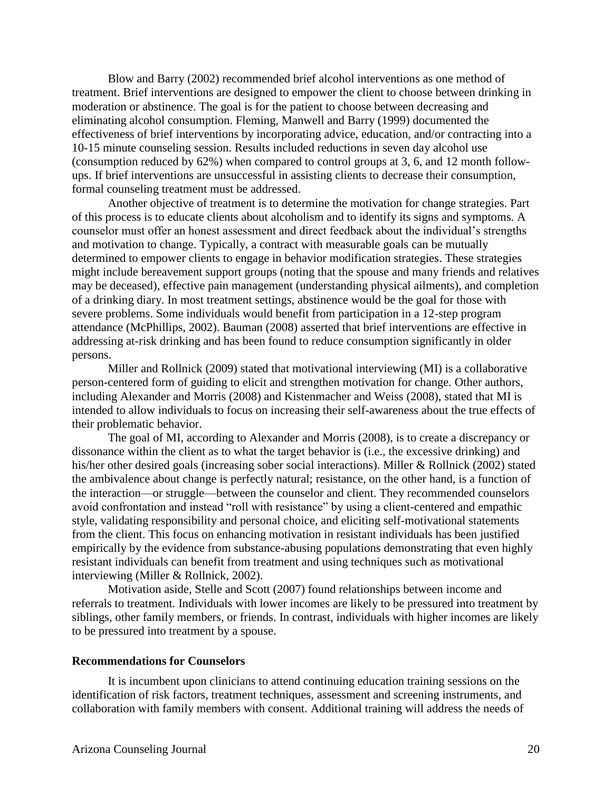Blow and Barry (2002) recommended brief alcohol interventions as one method of treatment. Brief interventions are designed to empower the client to choose between drinking in moderation or abstinence. The goal is for the patient to choose between decreasing and eliminating alcohol consumption. Fleming, Manwell and Barry (1999) documented the effectiveness of brief interventions by incorporating advice, education, and/or contracting into a 10-15 minute counseling session. Results included reductions in seven day alcohol use (consumption reduced by 62%) when compared to control groups at 3, 6, and 12 month followups. If brief interventions are unsuccessful in assisting clients to decrease their consumption, formal counseling treatment must be addressed.

Another objective of treatment is to determine the motivation for change strategies. Part of this process is to educate clients about alcoholism and to identify its signs and symptoms. A counselor must offer an honest assessment and direct feedback about the individual's strengths and motivation to change. Typically, a contract with measurable goals can be mutually determined to empower clients to engage in behavior modification strategies. These strategies might include bereavement support groups (noting that the spouse and many friends and relatives may be deceased), effective pain management (understanding physical ailments), and completion of a drinking diary. In most treatment settings, abstinence would be the goal for those with severe problems. Some individuals would benefit from participation in a 12-step program attendance (McPhillips, 2002). Bauman (2008) asserted that brief interventions are effective in addressing at-risk drinking and has been found to reduce consumption significantly in older persons.

Miller and Rollnick (2009) stated that motivational interviewing (MI) is a collaborative person-centered form of guiding to elicit and strengthen motivation for change. Other authors, including Alexander and Morris (2008) and Kistenmacher and Weiss (2008), stated that MI is intended to allow individuals to focus on increasing their self-awareness about the true effects of their problematic behavior.

The goal of MI, according to Alexander and Morris (2008), is to create a discrepancy or dissonance within the client as to what the target behavior is (i.e., the excessive drinking) and his/her other desired goals (increasing sober social interactions). Miller & Rollnick (2002) stated the ambivalence about change is perfectly natural; resistance, on the other hand, is a function of the interaction—or struggle—between the counselor and client. They recommended counselors avoid confrontation and instead "roll with resistance" by using a client-centered and empathic style, validating responsibility and personal choice, and eliciting self-motivational statements from the client. This focus on enhancing motivation in resistant individuals has been justified empirically by the evidence from substance-abusing populations demonstrating that even highly resistant individuals can benefit from treatment and using techniques such as motivational interviewing (Miller & Rollnick, 2002).

Motivation aside, Stelle and Scott (2007) found relationships between income and referrals to treatment. Individuals with lower incomes are likely to be pressured into treatment by siblings, other family members, or friends. In contrast, individuals with higher incomes are likely to be pressured into treatment by a spouse.

#### **Recommendations for Counselors**

It is incumbent upon clinicians to attend continuing education training sessions on the identification of risk factors, treatment techniques, assessment and screening instruments, and collaboration with family members with consent. Additional training will address the needs of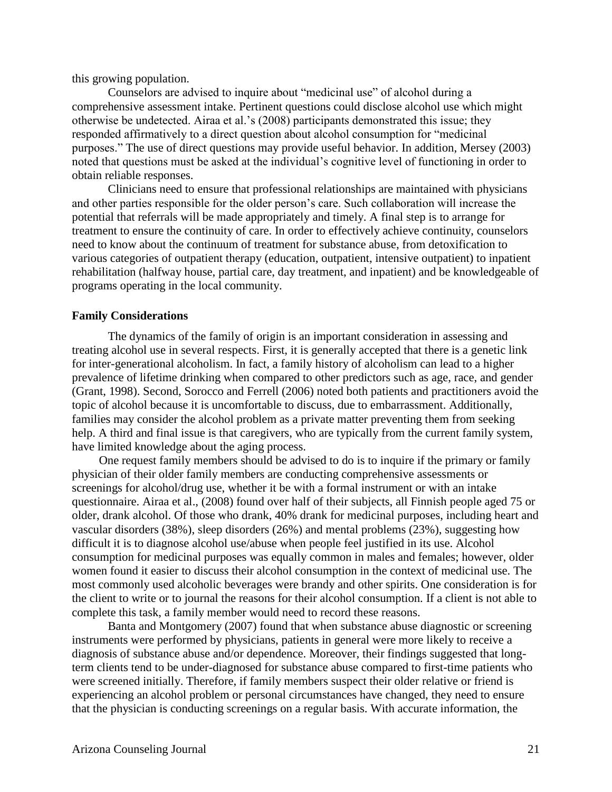this growing population.

Counselors are advised to inquire about "medicinal use" of alcohol during a comprehensive assessment intake. Pertinent questions could disclose alcohol use which might otherwise be undetected. Airaa et al.'s (2008) participants demonstrated this issue; they responded affirmatively to a direct question about alcohol consumption for "medicinal purposes." The use of direct questions may provide useful behavior. In addition, Mersey (2003) noted that questions must be asked at the individual's cognitive level of functioning in order to obtain reliable responses.

Clinicians need to ensure that professional relationships are maintained with physicians and other parties responsible for the older person's care. Such collaboration will increase the potential that referrals will be made appropriately and timely. A final step is to arrange for treatment to ensure the continuity of care. In order to effectively achieve continuity, counselors need to know about the continuum of treatment for substance abuse, from detoxification to various categories of outpatient therapy (education, outpatient, intensive outpatient) to inpatient rehabilitation (halfway house, partial care, day treatment, and inpatient) and be knowledgeable of programs operating in the local community.

#### **Family Considerations**

The dynamics of the family of origin is an important consideration in assessing and treating alcohol use in several respects. First, it is generally accepted that there is a genetic link for inter-generational alcoholism. In fact, a family history of alcoholism can lead to a higher prevalence of lifetime drinking when compared to other predictors such as age, race, and gender (Grant, 1998). Second, Sorocco and Ferrell (2006) noted both patients and practitioners avoid the topic of alcohol because it is uncomfortable to discuss, due to embarrassment. Additionally, families may consider the alcohol problem as a private matter preventing them from seeking help. A third and final issue is that caregivers, who are typically from the current family system, have limited knowledge about the aging process.

One request family members should be advised to do is to inquire if the primary or family physician of their older family members are conducting comprehensive assessments or screenings for alcohol/drug use, whether it be with a formal instrument or with an intake questionnaire. Airaa et al., (2008) found over half of their subjects, all Finnish people aged 75 or older, drank alcohol. Of those who drank, 40% drank for medicinal purposes, including heart and vascular disorders (38%), sleep disorders (26%) and mental problems (23%), suggesting how difficult it is to diagnose alcohol use/abuse when people feel justified in its use. Alcohol consumption for medicinal purposes was equally common in males and females; however, older women found it easier to discuss their alcohol consumption in the context of medicinal use. The most commonly used alcoholic beverages were brandy and other spirits. One consideration is for the client to write or to journal the reasons for their alcohol consumption. If a client is not able to complete this task, a family member would need to record these reasons.

Banta and Montgomery (2007) found that when substance abuse diagnostic or screening instruments were performed by physicians, patients in general were more likely to receive a diagnosis of substance abuse and/or dependence. Moreover, their findings suggested that longterm clients tend to be under-diagnosed for substance abuse compared to first-time patients who were screened initially. Therefore, if family members suspect their older relative or friend is experiencing an alcohol problem or personal circumstances have changed, they need to ensure that the physician is conducting screenings on a regular basis. With accurate information, the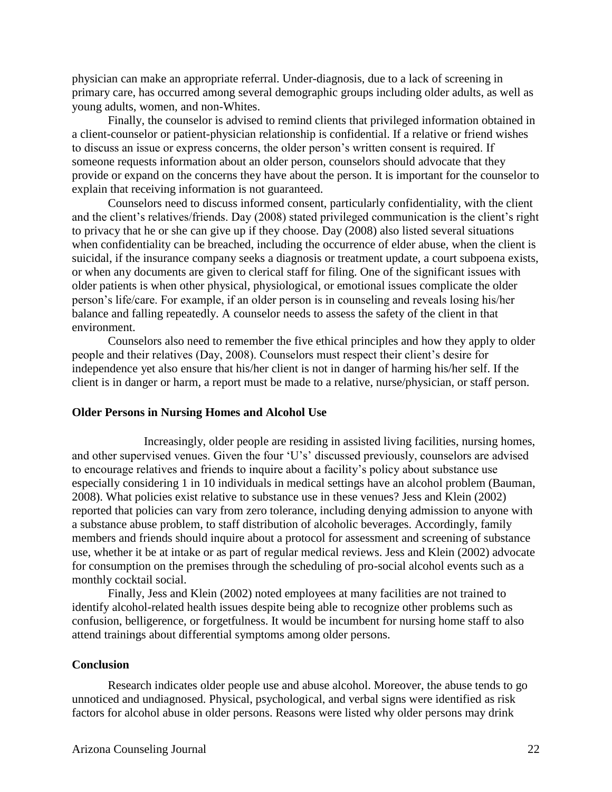physician can make an appropriate referral. Under-diagnosis, due to a lack of screening in primary care, has occurred among several demographic groups including older adults, as well as young adults, women, and non-Whites.

Finally, the counselor is advised to remind clients that privileged information obtained in a client-counselor or patient-physician relationship is confidential. If a relative or friend wishes to discuss an issue or express concerns, the older person's written consent is required. If someone requests information about an older person, counselors should advocate that they provide or expand on the concerns they have about the person. It is important for the counselor to explain that receiving information is not guaranteed.

Counselors need to discuss informed consent, particularly confidentiality, with the client and the client's relatives/friends. Day (2008) stated privileged communication is the client's right to privacy that he or she can give up if they choose. Day (2008) also listed several situations when confidentiality can be breached, including the occurrence of elder abuse, when the client is suicidal, if the insurance company seeks a diagnosis or treatment update, a court subpoena exists, or when any documents are given to clerical staff for filing. One of the significant issues with older patients is when other physical, physiological, or emotional issues complicate the older person's life/care. For example, if an older person is in counseling and reveals losing his/her balance and falling repeatedly. A counselor needs to assess the safety of the client in that environment.

Counselors also need to remember the five ethical principles and how they apply to older people and their relatives (Day, 2008). Counselors must respect their client's desire for independence yet also ensure that his/her client is not in danger of harming his/her self. If the client is in danger or harm, a report must be made to a relative, nurse/physician, or staff person.

#### **Older Persons in Nursing Homes and Alcohol Use**

Increasingly, older people are residing in assisted living facilities, nursing homes, and other supervised venues. Given the four 'U's' discussed previously, counselors are advised to encourage relatives and friends to inquire about a facility's policy about substance use especially considering 1 in 10 individuals in medical settings have an alcohol problem (Bauman, 2008). What policies exist relative to substance use in these venues? Jess and Klein (2002) reported that policies can vary from zero tolerance, including denying admission to anyone with a substance abuse problem, to staff distribution of alcoholic beverages. Accordingly, family members and friends should inquire about a protocol for assessment and screening of substance use, whether it be at intake or as part of regular medical reviews. Jess and Klein (2002) advocate for consumption on the premises through the scheduling of pro-social alcohol events such as a monthly cocktail social.

Finally, Jess and Klein (2002) noted employees at many facilities are not trained to identify alcohol-related health issues despite being able to recognize other problems such as confusion, belligerence, or forgetfulness. It would be incumbent for nursing home staff to also attend trainings about differential symptoms among older persons.

#### **Conclusion**

Research indicates older people use and abuse alcohol. Moreover, the abuse tends to go unnoticed and undiagnosed. Physical, psychological, and verbal signs were identified as risk factors for alcohol abuse in older persons. Reasons were listed why older persons may drink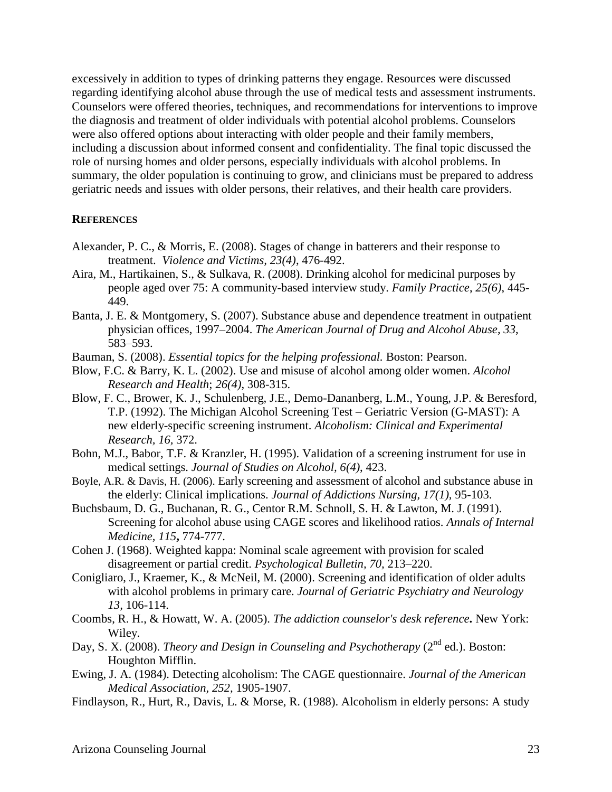excessively in addition to types of drinking patterns they engage. Resources were discussed regarding identifying alcohol abuse through the use of medical tests and assessment instruments. Counselors were offered theories, techniques, and recommendations for interventions to improve the diagnosis and treatment of older individuals with potential alcohol problems. Counselors were also offered options about interacting with older people and their family members, including a discussion about informed consent and confidentiality. The final topic discussed the role of nursing homes and older persons, especially individuals with alcohol problems. In summary, the older population is continuing to grow, and clinicians must be prepared to address geriatric needs and issues with older persons, their relatives, and their health care providers.

#### **REFERENCES**

- Alexander, P. C., & Morris, E. (2008). Stages of change in batterers and their response to treatment. *Violence and Victims, 23(4)*, 476-492.
- Aira, M., Hartikainen, S., & Sulkava, R. (2008). Drinking alcohol for medicinal purposes by people aged over 75: A community-based interview study. *Family Practice*, *25(6)*, 445- 449.
- Banta, J. E. & Montgomery, S. (2007). Substance abuse and dependence treatment in outpatient physician offices, 1997–2004. *The American Journal of Drug and Alcohol Abuse, 33*, 583–593.
- Bauman, S. (2008). *Essential topics for the helping professional.* Boston: Pearson.
- Blow, F.C. & Barry, K. L. (2002). Use and misuse of alcohol among older women. *Alcohol Research and Health*; *26(4)*, 308-315.
- Blow, F. C., Brower, K. J., Schulenberg, J.E., Demo-Dananberg, L.M., Young, J.P. & Beresford, T.P. (1992). The Michigan Alcohol Screening Test – Geriatric Version (G-MAST): A new elderly-specific screening instrument. *Alcoholism: Clinical and Experimental Research, 16,* 372.
- Bohn, M.J., Babor, T.F. & Kranzler, H. (1995). Validation of a screening instrument for use in medical settings. *Journal of Studies on Alcohol, 6(4)*, 423.
- Boyle, A.R. & Davis, H. (2006). Early screening and assessment of alcohol and substance abuse in the elderly: Clinical implications. *Journal of Addictions Nursing, 17(1),* 95-103.
- Buchsbaum, D. G., Buchanan, R. G., Centor R.M. Schnoll, S. H. & Lawton, M. J. (1991). Screening for alcohol abuse using CAGE scores and likelihood ratios. *Annals of Internal Medicine, 115***,** 774-777.
- Cohen J. (1968). Weighted kappa: Nominal scale agreement with provision for scaled disagreement or partial credit. *Psychological Bulletin, 70,* 213–220.
- Conigliaro, J., Kraemer, K., & McNeil, M. (2000). Screening and identification of older adults with alcohol problems in primary care. *Journal of Geriatric Psychiatry and Neurology 13,* 106-114.
- Coombs, R. H., & Howatt, W. A. (2005). *The addiction counselor's desk reference***.** New York: Wiley.
- Day, S. X. (2008). *Theory and Design in Counseling and Psychotherapy* (2<sup>nd</sup> ed.). Boston: Houghton Mifflin.
- Ewing, J. A. (1984). Detecting alcoholism: The CAGE questionnaire. *Journal of the American Medical Association, 252,* 1905-1907.
- Findlayson, R., Hurt, R., Davis, L. & Morse, R. (1988). Alcoholism in elderly persons: A study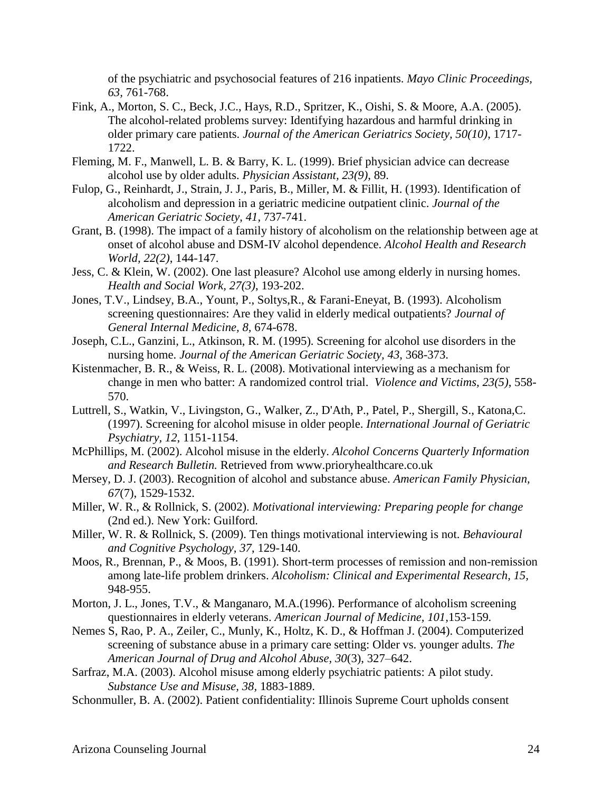of the psychiatric and psychosocial features of 216 inpatients. *Mayo Clinic Proceedings, 63,* 761-768.

- Fink, A., Morton, S. C., Beck, J.C., Hays, R.D., Spritzer, K., Oishi, S. & Moore, A.A. (2005). The alcohol-related problems survey: Identifying hazardous and harmful drinking in older primary care patients. *Journal of the American Geriatrics Society, 50(10)*, 1717- 1722.
- Fleming, M. F., Manwell, L. B. & Barry, K. L. (1999). Brief physician advice can decrease alcohol use by older adults. *Physician Assistant, 23(9)*, 89.
- Fulop, G., Reinhardt, J., Strain, J. J., Paris, B., Miller, M. & Fillit, H. (1993). Identification of alcoholism and depression in a geriatric medicine outpatient clinic. *Journal of the American Geriatric Society*, *41,* 737-741.
- Grant, B. (1998). The impact of a family history of alcoholism on the relationship between age at onset of alcohol abuse and DSM-IV alcohol dependence. *Alcohol Health and Research World, 22(2)*, 144-147.
- Jess, C. & Klein, W. (2002). One last pleasure? Alcohol use among elderly in nursing homes. *Health and Social Work, 27(3)*, 193-202.
- Jones, T.V., Lindsey, B.A., Yount, P., Soltys,R., & Farani-Eneyat, B. (1993). Alcoholism screening questionnaires: Are they valid in elderly medical outpatients? *Journal of General Internal Medicine, 8,* 674-678.
- Joseph, C.L., Ganzini, L., Atkinson, R. M. (1995). Screening for alcohol use disorders in the nursing home. *Journal of the American Geriatric Society, 43*, 368-373.
- Kistenmacher, B. R., & Weiss, R. L. (2008). Motivational interviewing as a mechanism for change in men who batter: A randomized control trial. *Violence and Victims, 23(5)*, 558- 570.
- Luttrell, S., Watkin, V., Livingston, G., Walker, Z., D'Ath, P., Patel, P., Shergill, S., Katona,C. (1997). Screening for alcohol misuse in older people. *International Journal of Geriatric Psychiatry, 12*, 1151-1154.
- McPhillips, M. (2002). Alcohol misuse in the elderly. *Alcohol Concerns Quarterly Information and Research Bulletin.* Retrieved from www.prioryhealthcare.co.uk
- Mersey, D. J. (2003). Recognition of alcohol and substance abuse. *American Family Physician, 67*(7), 1529-1532.
- Miller, W. R., & Rollnick, S. (2002). *Motivational interviewing: Preparing people for change*  (2nd ed.). New York: Guilford.
- Miller, W. R. & Rollnick, S. (2009). Ten things motivational interviewing is not. *Behavioural and Cognitive Psychology, 37*, 129-140.
- Moos, R., Brennan, P., & Moos, B. (1991). Short-term processes of remission and non-remission among late-life problem drinkers. *Alcoholism: Clinical and Experimental Research, 15,*  948-955.
- Morton, J. L., Jones, T.V., & Manganaro, M.A.(1996). Performance of alcoholism screening questionnaires in elderly veterans. *American Journal of Medicine, 101,*153-159*.*
- Nemes S, Rao, P. A., Zeiler, C., Munly, K., Holtz, K. D., & Hoffman J. (2004). Computerized screening of substance abuse in a primary care setting: Older vs. younger adults. *The American Journal of Drug and Alcohol Abuse, 30*(3), 327–642.
- Sarfraz, M.A. (2003). Alcohol misuse among elderly psychiatric patients: A pilot study. *Substance Use and Misuse, 38,* 1883-1889.
- Schonmuller, B. A. (2002). Patient confidentiality: Illinois Supreme Court upholds consent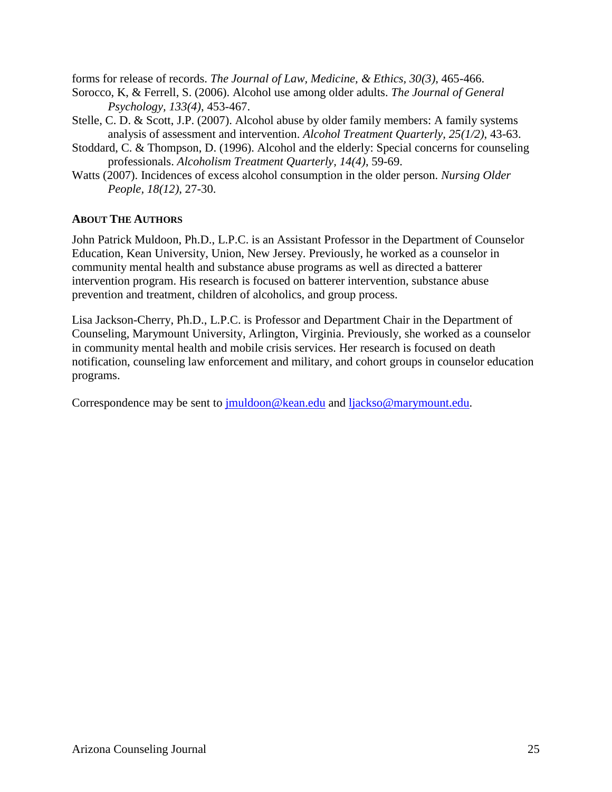forms for release of records. *The Journal of Law, Medicine, & Ethics, 30(3)*, 465-466.

- Sorocco, K, & Ferrell, S. (2006). Alcohol use among older adults. *The Journal of General Psychology, 133(4)*, 453-467.
- Stelle, C. D. & Scott, J.P. (2007). Alcohol abuse by older family members: A family systems analysis of assessment and intervention. *Alcohol Treatment Quarterly, 25(1/2)*, 43-63.
- Stoddard, C. & Thompson, D. (1996). Alcohol and the elderly: Special concerns for counseling professionals. *Alcoholism Treatment Quarterly, 14(4)*, 59-69.
- Watts (2007). Incidences of excess alcohol consumption in the older person. *Nursing Older People, 18(12)*, 27-30.

#### **ABOUT THE AUTHORS**

John Patrick Muldoon, Ph.D., L.P.C. is an Assistant Professor in the Department of Counselor Education, Kean University, Union, New Jersey. Previously, he worked as a counselor in community mental health and substance abuse programs as well as directed a batterer intervention program. His research is focused on batterer intervention, substance abuse prevention and treatment, children of alcoholics, and group process.

Lisa Jackson-Cherry, Ph.D., L.P.C. is Professor and Department Chair in the Department of Counseling, Marymount University, Arlington, Virginia. Previously, she worked as a counselor in community mental health and mobile crisis services. Her research is focused on death notification, counseling law enforcement and military, and cohort groups in counselor education programs.

Correspondence may be sent to [jmuldoon@kean.edu](mailto:jmuldoon@kean.edu) and [ljackso@marymount.edu.](mailto:ljackso@marymount.edu)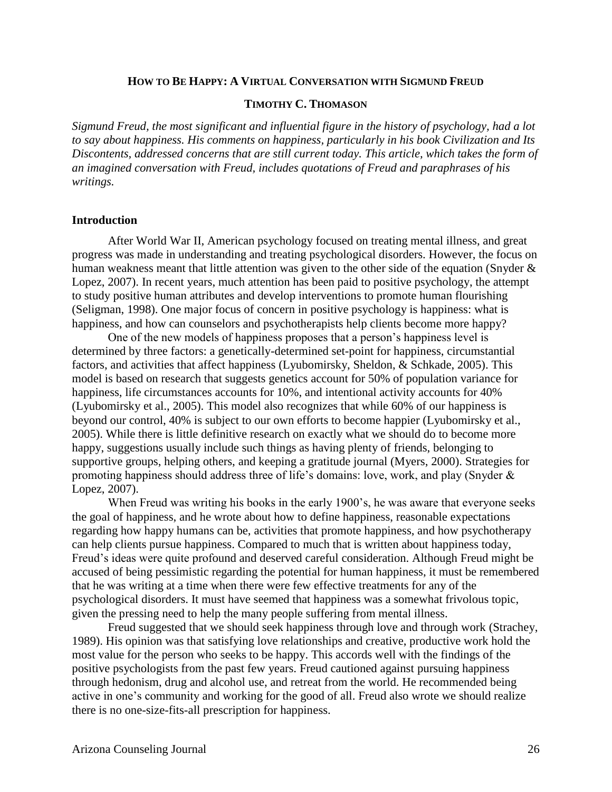#### **HOW TO BE HAPPY: A VIRTUAL CONVERSATION WITH SIGMUND FREUD**

#### **TIMOTHY C. THOMASON**

*Sigmund Freud, the most significant and influential figure in the history of psychology, had a lot to say about happiness. His comments on happiness, particularly in his book Civilization and Its Discontents, addressed concerns that are still current today. This article, which takes the form of an imagined conversation with Freud, includes quotations of Freud and paraphrases of his writings.*

#### **Introduction**

After World War II, American psychology focused on treating mental illness, and great progress was made in understanding and treating psychological disorders. However, the focus on human weakness meant that little attention was given to the other side of the equation (Snyder & Lopez, 2007). In recent years, much attention has been paid to positive psychology, the attempt to study positive human attributes and develop interventions to promote human flourishing (Seligman, 1998). One major focus of concern in positive psychology is happiness: what is happiness, and how can counselors and psychotherapists help clients become more happy?

One of the new models of happiness proposes that a person's happiness level is determined by three factors: a genetically-determined set-point for happiness, circumstantial factors, and activities that affect happiness (Lyubomirsky, Sheldon, & Schkade, 2005). This model is based on research that suggests genetics account for 50% of population variance for happiness, life circumstances accounts for 10%, and intentional activity accounts for 40% (Lyubomirsky et al., 2005). This model also recognizes that while 60% of our happiness is beyond our control, 40% is subject to our own efforts to become happier (Lyubomirsky et al., 2005). While there is little definitive research on exactly what we should do to become more happy, suggestions usually include such things as having plenty of friends, belonging to supportive groups, helping others, and keeping a gratitude journal (Myers, 2000). Strategies for promoting happiness should address three of life's domains: love, work, and play (Snyder & Lopez, 2007).

When Freud was writing his books in the early 1900's, he was aware that everyone seeks the goal of happiness, and he wrote about how to define happiness, reasonable expectations regarding how happy humans can be, activities that promote happiness, and how psychotherapy can help clients pursue happiness. Compared to much that is written about happiness today, Freud's ideas were quite profound and deserved careful consideration. Although Freud might be accused of being pessimistic regarding the potential for human happiness, it must be remembered that he was writing at a time when there were few effective treatments for any of the psychological disorders. It must have seemed that happiness was a somewhat frivolous topic, given the pressing need to help the many people suffering from mental illness.

Freud suggested that we should seek happiness through love and through work (Strachey, 1989). His opinion was that satisfying love relationships and creative, productive work hold the most value for the person who seeks to be happy. This accords well with the findings of the positive psychologists from the past few years. Freud cautioned against pursuing happiness through hedonism, drug and alcohol use, and retreat from the world. He recommended being active in one's community and working for the good of all. Freud also wrote we should realize there is no one-size-fits-all prescription for happiness.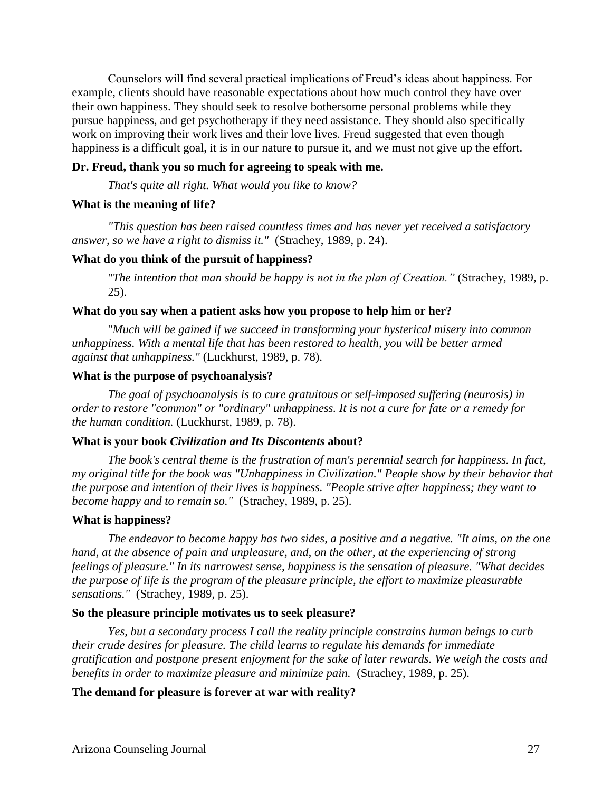Counselors will find several practical implications of Freud's ideas about happiness. For example, clients should have reasonable expectations about how much control they have over their own happiness. They should seek to resolve bothersome personal problems while they pursue happiness, and get psychotherapy if they need assistance. They should also specifically work on improving their work lives and their love lives. Freud suggested that even though happiness is a difficult goal, it is in our nature to pursue it, and we must not give up the effort.

#### **Dr. Freud, thank you so much for agreeing to speak with me.**

*That's quite all right. What would you like to know?*

#### **What is the meaning of life?**

*"This question has been raised countless times and has never yet received a satisfactory answer, so we have a right to dismiss it."* (Strachey, 1989, p. 24).

#### **What do you think of the pursuit of happiness?**

"*The intention that man should be happy is not in the plan of Creation."* (Strachey, 1989, p. 25).

#### **What do you say when a patient asks how you propose to help him or her?**

"*Much will be gained if we succeed in transforming your hysterical misery into common unhappiness. With a mental life that has been restored to health, you will be better armed against that unhappiness."* (Luckhurst, 1989, p. 78).

#### **What is the purpose of psychoanalysis?**

*The goal of psychoanalysis is to cure gratuitous or self-imposed suffering (neurosis) in order to restore "common" or "ordinary" unhappiness. It is not a cure for fate or a remedy for the human condition.* (Luckhurst, 1989, p. 78).

#### **What is your book** *Civilization and Its Discontents* **about?**

*The book's central theme is the frustration of man's perennial search for happiness. In fact, my original title for the book was "Unhappiness in Civilization." People show by their behavior that the purpose and intention of their lives is happiness. "People strive after happiness; they want to become happy and to remain so."* (Strachey, 1989, p. 25).

#### **What is happiness?**

*The endeavor to become happy has two sides, a positive and a negative. "It aims, on the one hand, at the absence of pain and unpleasure, and, on the other, at the experiencing of strong feelings of pleasure." In its narrowest sense, happiness is the sensation of pleasure. "What decides the purpose of life is the program of the pleasure principle, the effort to maximize pleasurable sensations."* (Strachey, 1989, p. 25).

#### **So the pleasure principle motivates us to seek pleasure?**

*Yes, but a secondary process I call the reality principle constrains human beings to curb their crude desires for pleasure. The child learns to regulate his demands for immediate gratification and postpone present enjoyment for the sake of later rewards. We weigh the costs and benefits in order to maximize pleasure and minimize pain.* (Strachey, 1989, p. 25).

#### **The demand for pleasure is forever at war with reality?**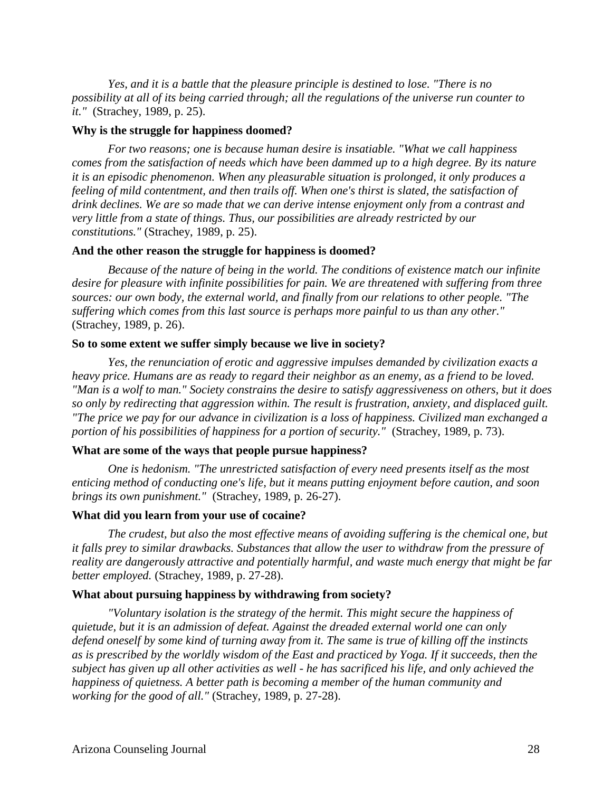*Yes, and it is a battle that the pleasure principle is destined to lose. "There is no possibility at all of its being carried through; all the regulations of the universe run counter to it."* (Strachey, 1989, p. 25).

#### **Why is the struggle for happiness doomed?**

*For two reasons; one is because human desire is insatiable. "What we call happiness comes from the satisfaction of needs which have been dammed up to a high degree. By its nature it is an episodic phenomenon. When any pleasurable situation is prolonged, it only produces a feeling of mild contentment, and then trails off. When one's thirst is slated, the satisfaction of drink declines. We are so made that we can derive intense enjoyment only from a contrast and very little from a state of things. Thus, our possibilities are already restricted by our constitutions."* (Strachey, 1989, p. 25).

#### **And the other reason the struggle for happiness is doomed?**

*Because of the nature of being in the world. The conditions of existence match our infinite desire for pleasure with infinite possibilities for pain. We are threatened with suffering from three sources: our own body, the external world, and finally from our relations to other people. "The suffering which comes from this last source is perhaps more painful to us than any other."*  (Strachey, 1989, p. 26).

#### **So to some extent we suffer simply because we live in society?**

*Yes, the renunciation of erotic and aggressive impulses demanded by civilization exacts a heavy price. Humans are as ready to regard their neighbor as an enemy, as a friend to be loved. "Man is a wolf to man." Society constrains the desire to satisfy aggressiveness on others, but it does so only by redirecting that aggression within. The result is frustration, anxiety, and displaced guilt. "The price we pay for our advance in civilization is a loss of happiness. Civilized man exchanged a portion of his possibilities of happiness for a portion of security."* (Strachey, 1989, p. 73).

#### **What are some of the ways that people pursue happiness?**

*One is hedonism. "The unrestricted satisfaction of every need presents itself as the most enticing method of conducting one's life, but it means putting enjoyment before caution, and soon brings its own punishment."* (Strachey, 1989, p. 26-27).

#### **What did you learn from your use of cocaine?**

*The crudest, but also the most effective means of avoiding suffering is the chemical one, but it falls prey to similar drawbacks. Substances that allow the user to withdraw from the pressure of reality are dangerously attractive and potentially harmful, and waste much energy that might be far better employed.* (Strachey, 1989, p. 27-28).

#### **What about pursuing happiness by withdrawing from society?**

*"Voluntary isolation is the strategy of the hermit. This might secure the happiness of quietude, but it is an admission of defeat. Against the dreaded external world one can only defend oneself by some kind of turning away from it. The same is true of killing off the instincts as is prescribed by the worldly wisdom of the East and practiced by Yoga. If it succeeds, then the subject has given up all other activities as well - he has sacrificed his life, and only achieved the happiness of quietness. A better path is becoming a member of the human community and working for the good of all."* (Strachey, 1989, p. 27-28).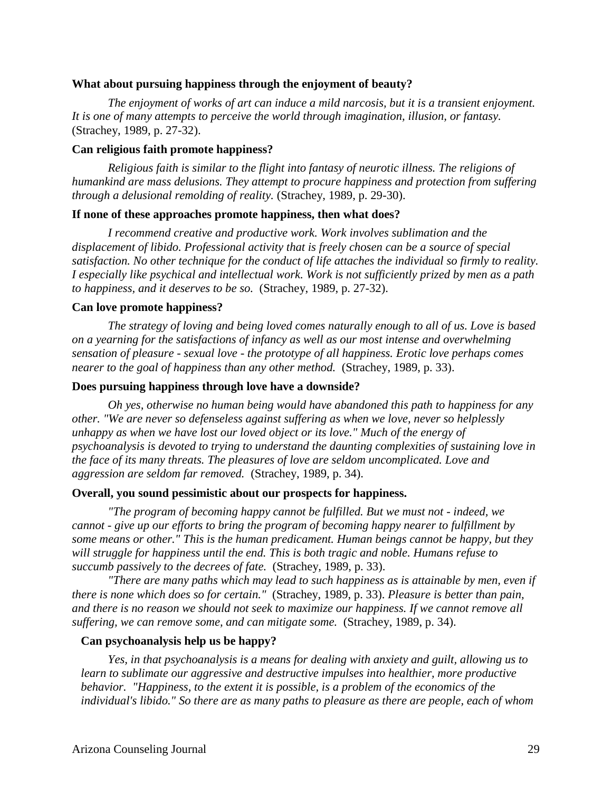#### **What about pursuing happiness through the enjoyment of beauty?**

*The enjoyment of works of art can induce a mild narcosis, but it is a transient enjoyment. It is one of many attempts to perceive the world through imagination, illusion, or fantasy.*  (Strachey, 1989, p. 27-32).

#### **Can religious faith promote happiness?**

*Religious faith is similar to the flight into fantasy of neurotic illness. The religions of humankind are mass delusions. They attempt to procure happiness and protection from suffering through a delusional remolding of reality.* (Strachey, 1989, p. 29-30).

#### **If none of these approaches promote happiness, then what does?**

*I recommend creative and productive work. Work involves sublimation and the displacement of libido. Professional activity that is freely chosen can be a source of special satisfaction. No other technique for the conduct of life attaches the individual so firmly to reality. I especially like psychical and intellectual work. Work is not sufficiently prized by men as a path to happiness, and it deserves to be so.* (Strachey, 1989, p. 27-32).

#### **Can love promote happiness?**

*The strategy of loving and being loved comes naturally enough to all of us. Love is based on a yearning for the satisfactions of infancy as well as our most intense and overwhelming sensation of pleasure - sexual love - the prototype of all happiness. Erotic love perhaps comes nearer to the goal of happiness than any other method.* (Strachey, 1989, p. 33).

#### **Does pursuing happiness through love have a downside?**

*Oh yes, otherwise no human being would have abandoned this path to happiness for any other. "We are never so defenseless against suffering as when we love, never so helplessly unhappy as when we have lost our loved object or its love." Much of the energy of psychoanalysis is devoted to trying to understand the daunting complexities of sustaining love in the face of its many threats. The pleasures of love are seldom uncomplicated. Love and aggression are seldom far removed.* (Strachey, 1989, p. 34).

#### **Overall, you sound pessimistic about our prospects for happiness.**

*"The program of becoming happy cannot be fulfilled. But we must not - indeed, we cannot - give up our efforts to bring the program of becoming happy nearer to fulfillment by some means or other." This is the human predicament. Human beings cannot be happy, but they will struggle for happiness until the end. This is both tragic and noble. Humans refuse to succumb passively to the decrees of fate.* (Strachey, 1989, p. 33).

*"There are many paths which may lead to such happiness as is attainable by men, even if there is none which does so for certain."* (Strachey, 1989, p. 33). *Pleasure is better than pain, and there is no reason we should not seek to maximize our happiness. If we cannot remove all suffering, we can remove some, and can mitigate some.* (Strachey, 1989, p. 34).

#### **Can psychoanalysis help us be happy?**

*Yes, in that psychoanalysis is a means for dealing with anxiety and guilt, allowing us to learn to sublimate our aggressive and destructive impulses into healthier, more productive behavior. "Happiness, to the extent it is possible, is a problem of the economics of the individual's libido." So there are as many paths to pleasure as there are people, each of whom*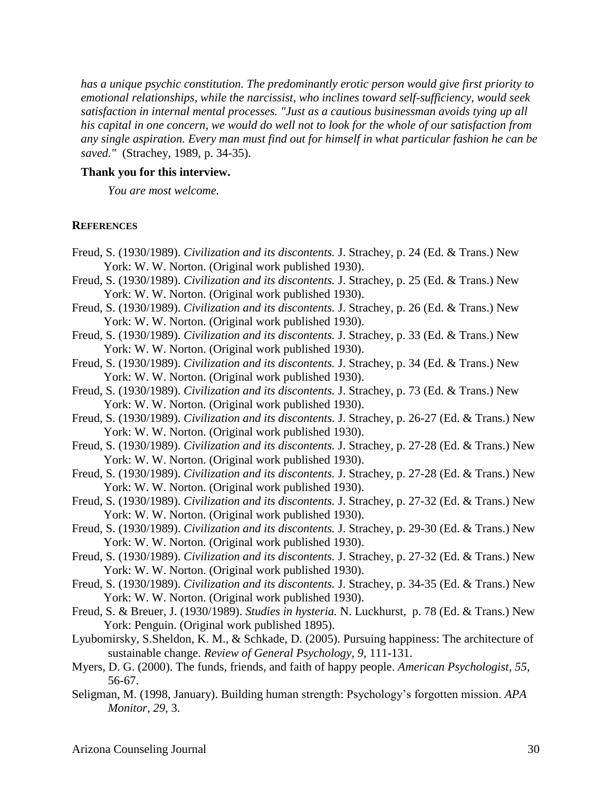*has a unique psychic constitution. The predominantly erotic person would give first priority to emotional relationships, while the narcissist, who inclines toward self-sufficiency, would seek satisfaction in internal mental processes. "Just as a cautious businessman avoids tying up all his capital in one concern, we would do well not to look for the whole of our satisfaction from any single aspiration. Every man must find out for himself in what particular fashion he can be saved."* (Strachey, 1989, p. 34-35).

#### **Thank you for this interview.**

*You are most welcome.*

#### **REFERENCES**

- Freud, S. (1930/1989). *Civilization and its discontents.* J. Strachey, p. 24 (Ed. & Trans.) New York: W. W. Norton. (Original work published 1930).
- Freud, S. (1930/1989). *Civilization and its discontents.* J. Strachey, p. 25 (Ed. & Trans.) New York: W. W. Norton. (Original work published 1930).
- Freud, S. (1930/1989). *Civilization and its discontents.* J. Strachey, p. 26 (Ed. & Trans.) New York: W. W. Norton. (Original work published 1930).
- Freud, S. (1930/1989). *Civilization and its discontents.* J. Strachey, p. 33 (Ed. & Trans.) New York: W. W. Norton. (Original work published 1930).
- Freud, S. (1930/1989). *Civilization and its discontents.* J. Strachey, p. 34 (Ed. & Trans.) New York: W. W. Norton. (Original work published 1930).
- Freud, S. (1930/1989). *Civilization and its discontents.* J. Strachey, p. 73 (Ed. & Trans.) New York: W. W. Norton. (Original work published 1930).
- Freud, S. (1930/1989). *Civilization and its discontents.* J. Strachey, p. 26-27 (Ed. & Trans.) New York: W. W. Norton. (Original work published 1930).
- Freud, S. (1930/1989). *Civilization and its discontents.* J. Strachey, p. 27-28 (Ed. & Trans.) New York: W. W. Norton. (Original work published 1930).
- Freud, S. (1930/1989). *Civilization and its discontents.* J. Strachey, p. 27-28 (Ed. & Trans.) New York: W. W. Norton. (Original work published 1930).
- Freud, S. (1930/1989). *Civilization and its discontents.* J. Strachey, p. 27-32 (Ed. & Trans.) New York: W. W. Norton. (Original work published 1930).
- Freud, S. (1930/1989). *Civilization and its discontents.* J. Strachey, p. 29-30 (Ed. & Trans.) New York: W. W. Norton. (Original work published 1930).
- Freud, S. (1930/1989). *Civilization and its discontents.* J. Strachey, p. 27-32 (Ed. & Trans.) New York: W. W. Norton. (Original work published 1930).
- Freud, S. (1930/1989). *Civilization and its discontents.* J. Strachey, p. 34-35 (Ed. & Trans.) New York: W. W. Norton. (Original work published 1930).
- Freud, S. & Breuer, J. (1930/1989). *Studies in hysteria.* N. Luckhurst, p. 78 (Ed. & Trans.) New York: Penguin. (Original work published 1895).
- Lyubomirsky, S.Sheldon, K. M., & Schkade, D. (2005). Pursuing happiness: The architecture of sustainable change. *Review of General Psychology, 9*, 111-131.
- Myers, D. G. (2000). The funds, friends, and faith of happy people. *American Psychologist, 55*, 56-67.
- Seligman, M. (1998, January). Building human strength: Psychology's forgotten mission. *APA Monitor, 29*, 3.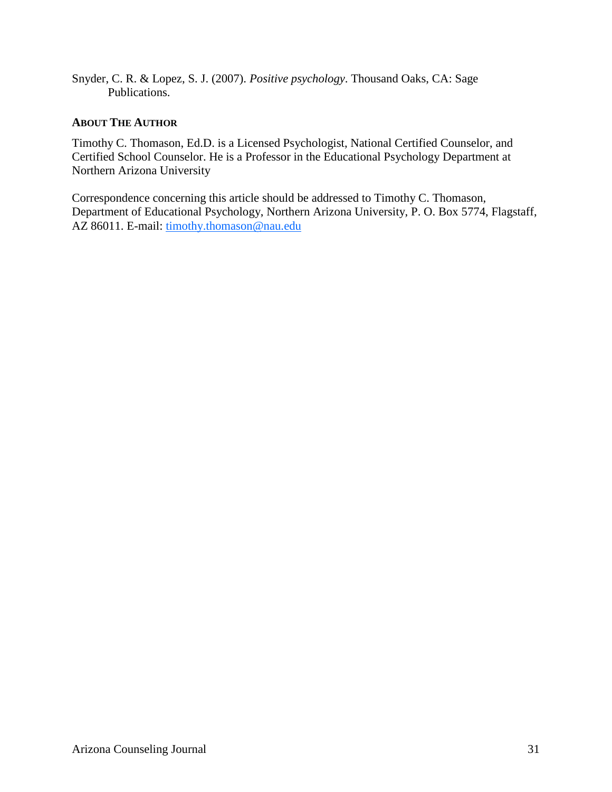Snyder, C. R. & Lopez, S. J. (2007). *Positive psychology*. Thousand Oaks, CA: Sage Publications.

#### **ABOUT THE AUTHOR**

Timothy C. Thomason, Ed.D. is a Licensed Psychologist, National Certified Counselor, and Certified School Counselor. He is a Professor in the Educational Psychology Department at Northern Arizona University

Correspondence concerning this article should be addressed to Timothy C. Thomason, Department of Educational Psychology, Northern Arizona University, P. O. Box 5774, Flagstaff, AZ 86011. E-mail: timothy.thomason@nau.edu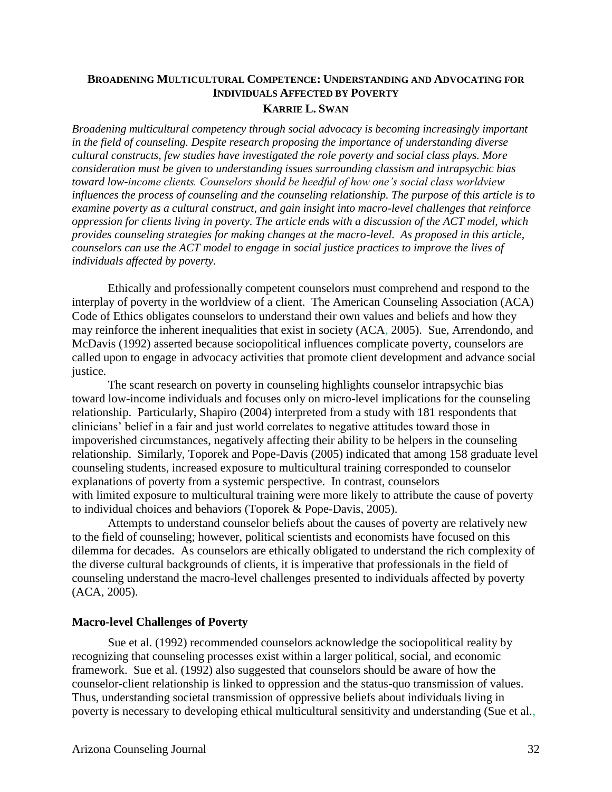#### **BROADENING MULTICULTURAL COMPETENCE: UNDERSTANDING AND ADVOCATING FOR INDIVIDUALS AFFECTED BY POVERTY KARRIE L. SWAN**

*Broadening multicultural competency through social advocacy is becoming increasingly important in the field of counseling. Despite research proposing the importance of understanding diverse cultural constructs, few studies have investigated the role poverty and social class plays. More consideration must be given to understanding issues surrounding classism and intrapsychic bias toward low-income clients. Counselors should be heedful of how one's social class worldview influences the process of counseling and the counseling relationship. The purpose of this article is to examine poverty as a cultural construct, and gain insight into macro-level challenges that reinforce oppression for clients living in poverty. The article ends with a discussion of the ACT model, which provides counseling strategies for making changes at the macro-level. As proposed in this article, counselors can use the ACT model to engage in social justice practices to improve the lives of individuals affected by poverty.* 

Ethically and professionally competent counselors must comprehend and respond to the interplay of poverty in the worldview of a client. The American Counseling Association (ACA) Code of Ethics obligates counselors to understand their own values and beliefs and how they may reinforce the inherent inequalities that exist in society (ACA, 2005). Sue, Arrendondo, and McDavis (1992) asserted because sociopolitical influences complicate poverty, counselors are called upon to engage in advocacy activities that promote client development and advance social justice.

The scant research on poverty in counseling highlights counselor intrapsychic bias toward low-income individuals and focuses only on micro-level implications for the counseling relationship. Particularly, Shapiro (2004) interpreted from a study with 181 respondents that clinicians' belief in a fair and just world correlates to negative attitudes toward those in impoverished circumstances, negatively affecting their ability to be helpers in the counseling relationship. Similarly, Toporek and Pope-Davis (2005) indicated that among 158 graduate level counseling students, increased exposure to multicultural training corresponded to counselor explanations of poverty from a systemic perspective. In contrast, counselors with limited exposure to multicultural training were more likely to attribute the cause of poverty to individual choices and behaviors (Toporek & Pope-Davis, 2005).

Attempts to understand counselor beliefs about the causes of poverty are relatively new to the field of counseling; however, political scientists and economists have focused on this dilemma for decades. As counselors are ethically obligated to understand the rich complexity of the diverse cultural backgrounds of clients, it is imperative that professionals in the field of counseling understand the macro-level challenges presented to individuals affected by poverty (ACA, 2005).

#### **Macro-level Challenges of Poverty**

Sue et al. (1992) recommended counselors acknowledge the sociopolitical reality by recognizing that counseling processes exist within a larger political, social, and economic framework. Sue et al. (1992) also suggested that counselors should be aware of how the counselor-client relationship is linked to oppression and the status-quo transmission of values. Thus, understanding societal transmission of oppressive beliefs about individuals living in poverty is necessary to developing ethical multicultural sensitivity and understanding (Sue et al.,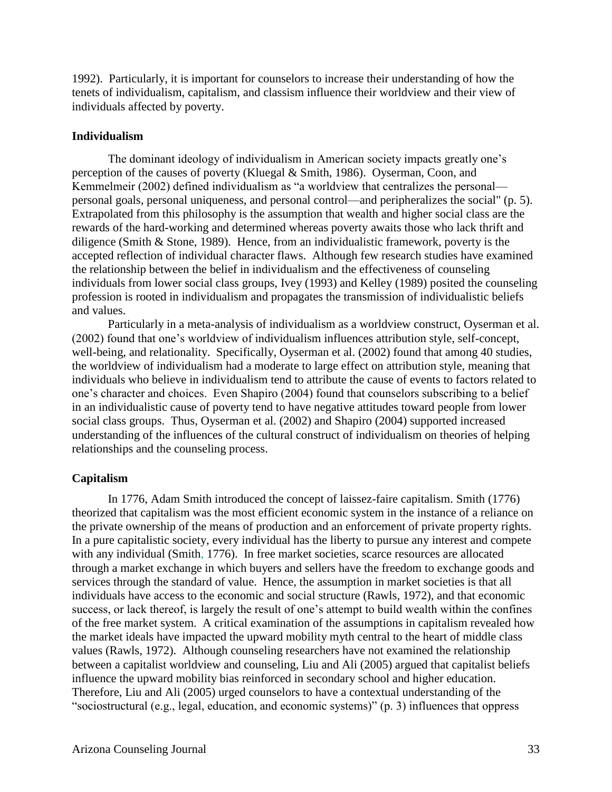1992). Particularly, it is important for counselors to increase their understanding of how the tenets of individualism, capitalism, and classism influence their worldview and their view of individuals affected by poverty.

#### **Individualism**

The dominant ideology of individualism in American society impacts greatly one's perception of the causes of poverty (Kluegal & Smith, 1986). Oyserman, Coon, and Kemmelmeir (2002) defined individualism as "a worldview that centralizes the personal personal goals, personal uniqueness, and personal control—and peripheralizes the social" (p. 5). Extrapolated from this philosophy is the assumption that wealth and higher social class are the rewards of the hard-working and determined whereas poverty awaits those who lack thrift and diligence (Smith & Stone, 1989). Hence, from an individualistic framework, poverty is the accepted reflection of individual character flaws. Although few research studies have examined the relationship between the belief in individualism and the effectiveness of counseling individuals from lower social class groups, Ivey (1993) and Kelley (1989) posited the counseling profession is rooted in individualism and propagates the transmission of individualistic beliefs and values.

Particularly in a meta-analysis of individualism as a worldview construct, Oyserman et al. (2002) found that one's worldview of individualism influences attribution style, self-concept, well-being, and relationality. Specifically, Oyserman et al. (2002) found that among 40 studies, the worldview of individualism had a moderate to large effect on attribution style, meaning that individuals who believe in individualism tend to attribute the cause of events to factors related to one's character and choices. Even Shapiro (2004) found that counselors subscribing to a belief in an individualistic cause of poverty tend to have negative attitudes toward people from lower social class groups. Thus, Oyserman et al. (2002) and Shapiro (2004) supported increased understanding of the influences of the cultural construct of individualism on theories of helping relationships and the counseling process.

#### **Capitalism**

In 1776, Adam Smith introduced the concept of laissez-faire capitalism. Smith (1776) theorized that capitalism was the most efficient economic system in the instance of a reliance on the private ownership of the means of production and an enforcement of private property rights. In a pure capitalistic society, every individual has the liberty to pursue any interest and compete with any individual (Smith, 1776). In free market societies, scarce resources are allocated through a market exchange in which buyers and sellers have the freedom to exchange goods and services through the standard of value. Hence, the assumption in market societies is that all individuals have access to the economic and social structure (Rawls, 1972), and that economic success, or lack thereof, is largely the result of one's attempt to build wealth within the confines of the free market system. A critical examination of the assumptions in capitalism revealed how the market ideals have impacted the upward mobility myth central to the heart of middle class values (Rawls, 1972). Although counseling researchers have not examined the relationship between a capitalist worldview and counseling, Liu and Ali (2005) argued that capitalist beliefs influence the upward mobility bias reinforced in secondary school and higher education. Therefore, Liu and Ali (2005) urged counselors to have a contextual understanding of the "sociostructural (e.g., legal, education, and economic systems)" (p. 3) influences that oppress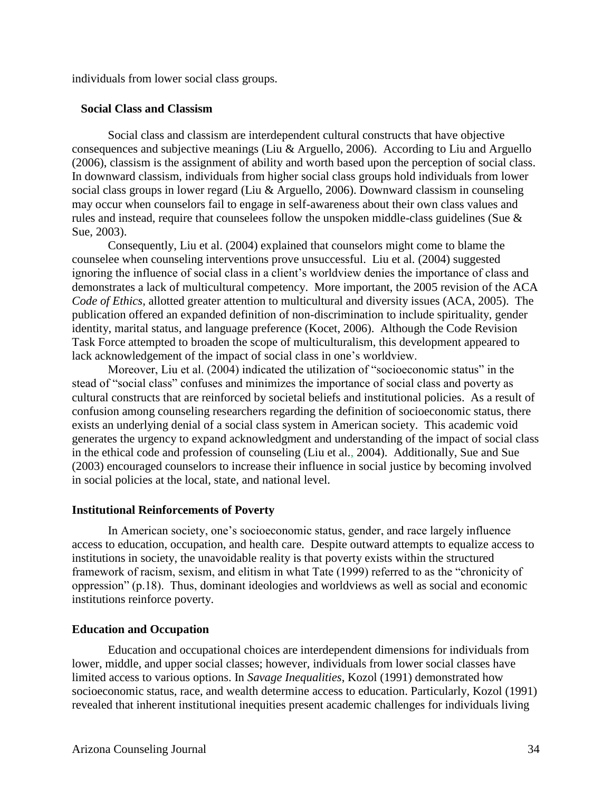individuals from lower social class groups.

#### **Social Class and Classism**

Social class and classism are interdependent cultural constructs that have objective consequences and subjective meanings (Liu & Arguello, 2006). According to Liu and Arguello (2006), classism is the assignment of ability and worth based upon the perception of social class. In downward classism, individuals from higher social class groups hold individuals from lower social class groups in lower regard (Liu & Arguello, 2006). Downward classism in counseling may occur when counselors fail to engage in self-awareness about their own class values and rules and instead, require that counselees follow the unspoken middle-class guidelines (Sue & Sue, 2003).

Consequently, Liu et al. (2004) explained that counselors might come to blame the counselee when counseling interventions prove unsuccessful. Liu et al. (2004) suggested ignoring the influence of social class in a client's worldview denies the importance of class and demonstrates a lack of multicultural competency. More important, the 2005 revision of the ACA *Code of Ethics*, allotted greater attention to multicultural and diversity issues (ACA, 2005). The publication offered an expanded definition of non-discrimination to include spirituality, gender identity, marital status, and language preference (Kocet, 2006). Although the Code Revision Task Force attempted to broaden the scope of multiculturalism, this development appeared to lack acknowledgement of the impact of social class in one's worldview.

Moreover, Liu et al. (2004) indicated the utilization of "socioeconomic status" in the stead of "social class" confuses and minimizes the importance of social class and poverty as cultural constructs that are reinforced by societal beliefs and institutional policies. As a result of confusion among counseling researchers regarding the definition of socioeconomic status, there exists an underlying denial of a social class system in American society. This academic void generates the urgency to expand acknowledgment and understanding of the impact of social class in the ethical code and profession of counseling (Liu et al., 2004). Additionally, Sue and Sue (2003) encouraged counselors to increase their influence in social justice by becoming involved in social policies at the local, state, and national level.

#### **Institutional Reinforcements of Poverty**

In American society, one's socioeconomic status, gender, and race largely influence access to education, occupation, and health care. Despite outward attempts to equalize access to institutions in society, the unavoidable reality is that poverty exists within the structured framework of racism, sexism, and elitism in what Tate (1999) referred to as the "chronicity of oppression" (p.18). Thus, dominant ideologies and worldviews as well as social and economic institutions reinforce poverty.

#### **Education and Occupation**

Education and occupational choices are interdependent dimensions for individuals from lower, middle, and upper social classes; however, individuals from lower social classes have limited access to various options. In *Savage Inequalities*, Kozol (1991) demonstrated how socioeconomic status, race, and wealth determine access to education. Particularly, Kozol (1991) revealed that inherent institutional inequities present academic challenges for individuals living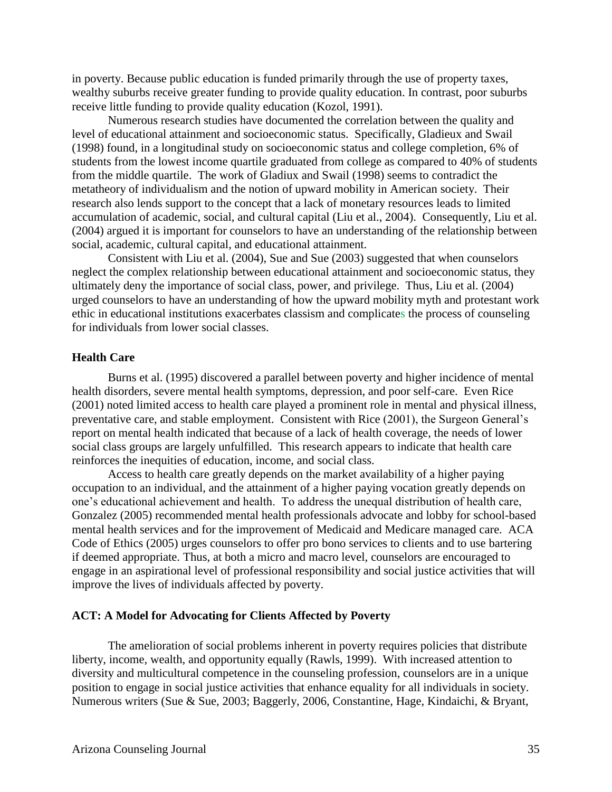in poverty. Because public education is funded primarily through the use of property taxes, wealthy suburbs receive greater funding to provide quality education. In contrast, poor suburbs receive little funding to provide quality education (Kozol, 1991).

Numerous research studies have documented the correlation between the quality and level of educational attainment and socioeconomic status. Specifically, Gladieux and Swail (1998) found, in a longitudinal study on socioeconomic status and college completion, 6% of students from the lowest income quartile graduated from college as compared to 40% of students from the middle quartile. The work of Gladiux and Swail (1998) seems to contradict the metatheory of individualism and the notion of upward mobility in American society. Their research also lends support to the concept that a lack of monetary resources leads to limited accumulation of academic, social, and cultural capital (Liu et al., 2004). Consequently, Liu et al. (2004) argued it is important for counselors to have an understanding of the relationship between social, academic, cultural capital, and educational attainment.

Consistent with Liu et al. (2004), Sue and Sue (2003) suggested that when counselors neglect the complex relationship between educational attainment and socioeconomic status, they ultimately deny the importance of social class, power, and privilege. Thus, Liu et al. (2004) urged counselors to have an understanding of how the upward mobility myth and protestant work ethic in educational institutions exacerbates classism and complicates the process of counseling for individuals from lower social classes.

#### **Health Care**

Burns et al. (1995) discovered a parallel between poverty and higher incidence of mental health disorders, severe mental health symptoms, depression, and poor self-care. Even Rice (2001) noted limited access to health care played a prominent role in mental and physical illness, preventative care, and stable employment. Consistent with Rice (2001), the Surgeon General's report on mental health indicated that because of a lack of health coverage, the needs of lower social class groups are largely unfulfilled. This research appears to indicate that health care reinforces the inequities of education, income, and social class.

Access to health care greatly depends on the market availability of a higher paying occupation to an individual, and the attainment of a higher paying vocation greatly depends on one's educational achievement and health. To address the unequal distribution of health care, Gonzalez (2005) recommended mental health professionals advocate and lobby for school-based mental health services and for the improvement of Medicaid and Medicare managed care. ACA Code of Ethics (2005) urges counselors to offer pro bono services to clients and to use bartering if deemed appropriate. Thus, at both a micro and macro level, counselors are encouraged to engage in an aspirational level of professional responsibility and social justice activities that will improve the lives of individuals affected by poverty.

#### **ACT: A Model for Advocating for Clients Affected by Poverty**

The amelioration of social problems inherent in poverty requires policies that distribute liberty, income, wealth, and opportunity equally (Rawls, 1999). With increased attention to diversity and multicultural competence in the counseling profession, counselors are in a unique position to engage in social justice activities that enhance equality for all individuals in society. Numerous writers (Sue & Sue, 2003; Baggerly, 2006, Constantine, Hage, Kindaichi, & Bryant,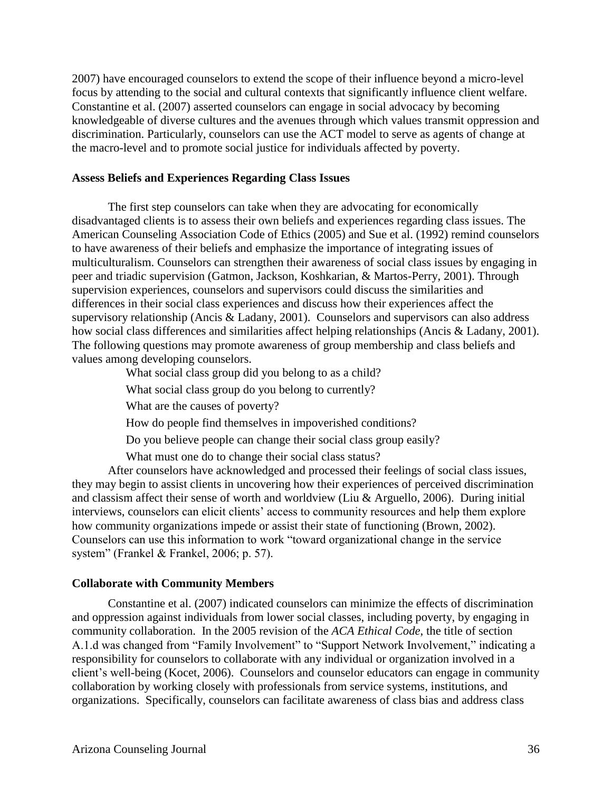2007) have encouraged counselors to extend the scope of their influence beyond a micro-level focus by attending to the social and cultural contexts that significantly influence client welfare. Constantine et al. (2007) asserted counselors can engage in social advocacy by becoming knowledgeable of diverse cultures and the avenues through which values transmit oppression and discrimination. Particularly, counselors can use the ACT model to serve as agents of change at the macro-level and to promote social justice for individuals affected by poverty.

#### **Assess Beliefs and Experiences Regarding Class Issues**

The first step counselors can take when they are advocating for economically disadvantaged clients is to assess their own beliefs and experiences regarding class issues. The American Counseling Association Code of Ethics (2005) and Sue et al. (1992) remind counselors to have awareness of their beliefs and emphasize the importance of integrating issues of multiculturalism. Counselors can strengthen their awareness of social class issues by engaging in peer and triadic supervision (Gatmon, Jackson, Koshkarian, & Martos-Perry, 2001). Through supervision experiences, counselors and supervisors could discuss the similarities and differences in their social class experiences and discuss how their experiences affect the supervisory relationship (Ancis & Ladany, 2001). Counselors and supervisors can also address how social class differences and similarities affect helping relationships (Ancis & Ladany, 2001). The following questions may promote awareness of group membership and class beliefs and values among developing counselors.

What social class group did you belong to as a child?

What social class group do you belong to currently?

What are the causes of poverty?

How do people find themselves in impoverished conditions?

Do you believe people can change their social class group easily?

What must one do to change their social class status?

After counselors have acknowledged and processed their feelings of social class issues, they may begin to assist clients in uncovering how their experiences of perceived discrimination and classism affect their sense of worth and worldview (Liu & Arguello, 2006). During initial interviews, counselors can elicit clients' access to community resources and help them explore how community organizations impede or assist their state of functioning (Brown, 2002). Counselors can use this information to work "toward organizational change in the service system" (Frankel & Frankel, 2006; p. 57).

#### **Collaborate with Community Members**

Constantine et al. (2007) indicated counselors can minimize the effects of discrimination and oppression against individuals from lower social classes, including poverty, by engaging in community collaboration. In the 2005 revision of the *ACA Ethical Code*, the title of section A.1.d was changed from "Family Involvement" to "Support Network Involvement," indicating a responsibility for counselors to collaborate with any individual or organization involved in a client's well-being (Kocet, 2006). Counselors and counselor educators can engage in community collaboration by working closely with professionals from service systems, institutions, and organizations. Specifically, counselors can facilitate awareness of class bias and address class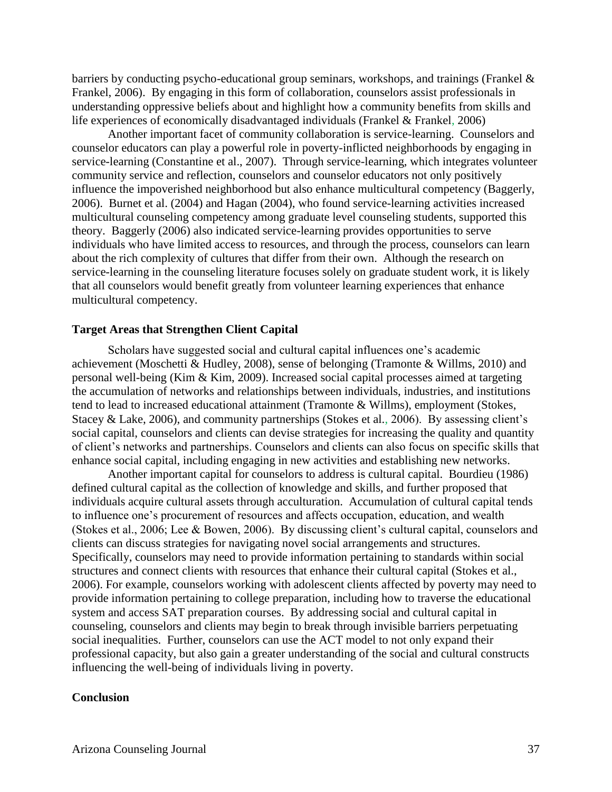barriers by conducting psycho-educational group seminars, workshops, and trainings (Frankel  $\&$ Frankel, 2006). By engaging in this form of collaboration, counselors assist professionals in understanding oppressive beliefs about and highlight how a community benefits from skills and life experiences of economically disadvantaged individuals (Frankel & Frankel, 2006)

Another important facet of community collaboration is service-learning. Counselors and counselor educators can play a powerful role in poverty-inflicted neighborhoods by engaging in service-learning (Constantine et al., 2007). Through service-learning, which integrates volunteer community service and reflection, counselors and counselor educators not only positively influence the impoverished neighborhood but also enhance multicultural competency (Baggerly, 2006). Burnet et al. (2004) and Hagan (2004), who found service-learning activities increased multicultural counseling competency among graduate level counseling students, supported this theory. Baggerly (2006) also indicated service-learning provides opportunities to serve individuals who have limited access to resources, and through the process, counselors can learn about the rich complexity of cultures that differ from their own. Although the research on service-learning in the counseling literature focuses solely on graduate student work, it is likely that all counselors would benefit greatly from volunteer learning experiences that enhance multicultural competency.

#### **Target Areas that Strengthen Client Capital**

Scholars have suggested social and cultural capital influences one's academic achievement (Moschetti  $\&$  Hudley, 2008), sense of belonging (Tramonte  $\&$  Willms, 2010) and personal well-being (Kim & Kim, 2009). Increased social capital processes aimed at targeting the accumulation of networks and relationships between individuals, industries, and institutions tend to lead to increased educational attainment (Tramonte & Willms), employment (Stokes, Stacey & Lake, 2006), and community partnerships (Stokes et al., 2006). By assessing client's social capital, counselors and clients can devise strategies for increasing the quality and quantity of client's networks and partnerships. Counselors and clients can also focus on specific skills that enhance social capital, including engaging in new activities and establishing new networks.

Another important capital for counselors to address is cultural capital. Bourdieu (1986) defined cultural capital as the collection of knowledge and skills, and further proposed that individuals acquire cultural assets through acculturation. Accumulation of cultural capital tends to influence one's procurement of resources and affects occupation, education, and wealth (Stokes et al., 2006; Lee & Bowen, 2006). By discussing client's cultural capital, counselors and clients can discuss strategies for navigating novel social arrangements and structures. Specifically, counselors may need to provide information pertaining to standards within social structures and connect clients with resources that enhance their cultural capital (Stokes et al., 2006). For example, counselors working with adolescent clients affected by poverty may need to provide information pertaining to college preparation, including how to traverse the educational system and access SAT preparation courses. By addressing social and cultural capital in counseling, counselors and clients may begin to break through invisible barriers perpetuating social inequalities. Further, counselors can use the ACT model to not only expand their professional capacity, but also gain a greater understanding of the social and cultural constructs influencing the well-being of individuals living in poverty.

#### **Conclusion**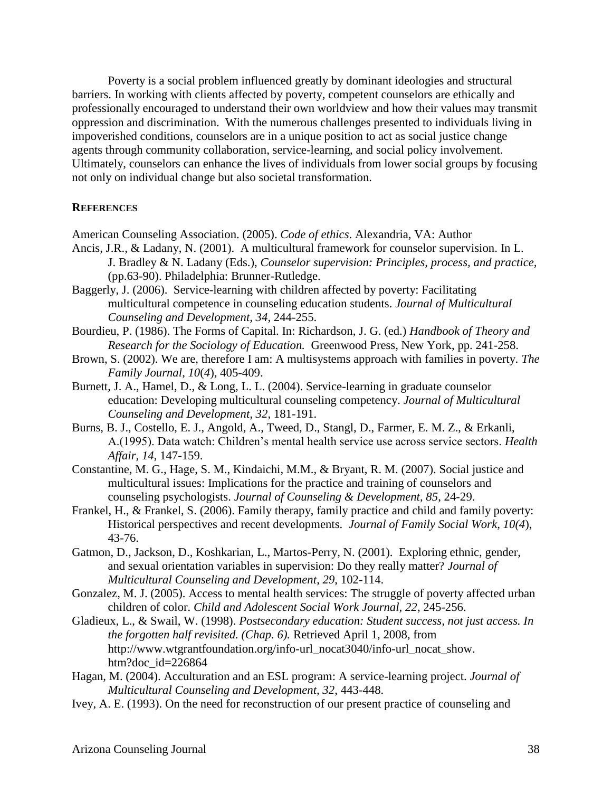Poverty is a social problem influenced greatly by dominant ideologies and structural barriers. In working with clients affected by poverty, competent counselors are ethically and professionally encouraged to understand their own worldview and how their values may transmit oppression and discrimination. With the numerous challenges presented to individuals living in impoverished conditions, counselors are in a unique position to act as social justice change agents through community collaboration, service-learning, and social policy involvement. Ultimately, counselors can enhance the lives of individuals from lower social groups by focusing not only on individual change but also societal transformation.

#### **REFERENCES**

American Counseling Association. (2005). *Code of ethics*. Alexandria, VA: Author

- Ancis, J.R., & Ladany, N. (2001). A multicultural framework for counselor supervision. In L. J. Bradley & N. Ladany (Eds.), *Counselor supervision: Principles, process, and practice,* (pp.63-90). Philadelphia: Brunner-Rutledge.
- Baggerly, J. (2006). Service-learning with children affected by poverty: Facilitating multicultural competence in counseling education students. *Journal of Multicultural Counseling and Development, 34*, 244-255.
- Bourdieu, P. (1986). The Forms of Capital. In: Richardson, J. G. (ed.) *Handbook of Theory and Research for the Sociology of Education.* Greenwood Press, New York, pp. 241-258.
- Brown, S. (2002). We are, therefore I am: A multisystems approach with families in poverty. *The Family Journal*, *10*(*4*), 405-409.
- Burnett, J. A., Hamel, D., & Long, L. L. (2004). Service-learning in graduate counselor education: Developing multicultural counseling competency. *Journal of Multicultural Counseling and Development, 32*, 181-191.
- Burns, B. J., Costello, E. J., Angold, A., Tweed, D., Stangl, D., Farmer, E. M. Z., & Erkanli, A.(1995). Data watch: Children's mental health service use across service sectors. *Health Affair, 14*, 147-159.
- Constantine, M. G., Hage, S. M., Kindaichi, M.M., & Bryant, R. M. (2007). Social justice and multicultural issues: Implications for the practice and training of counselors and counseling psychologists. *Journal of Counseling & Development, 85*, 24-29.
- Frankel, H., & Frankel, S. (2006). Family therapy, family practice and child and family poverty: Historical perspectives and recent developments. *Journal of Family Social Work, 10(4*), 43-76.
- Gatmon, D., Jackson, D., Koshkarian, L., Martos-Perry, N. (2001). Exploring ethnic, gender, and sexual orientation variables in supervision: Do they really matter? *Journal of Multicultural Counseling and Development*, *29*, 102-114.
- Gonzalez, M. J. (2005). Access to mental health services: The struggle of poverty affected urban children of color. *Child and Adolescent Social Work Journal, 22*, 245-256.
- Gladieux, L., & Swail, W. (1998). *Postsecondary education: Student success, not just access. In the forgotten half revisited. (Chap. 6).* Retrieved April 1, 2008, from http://www.wtgrantfoundation.org/info-url\_nocat3040/info-url\_nocat\_show. htm?doc\_id=226864
- Hagan, M. (2004). Acculturation and an ESL program: A service-learning project. *Journal of Multicultural Counseling and Development, 32*, 443-448.
- Ivey, A. E. (1993). On the need for reconstruction of our present practice of counseling and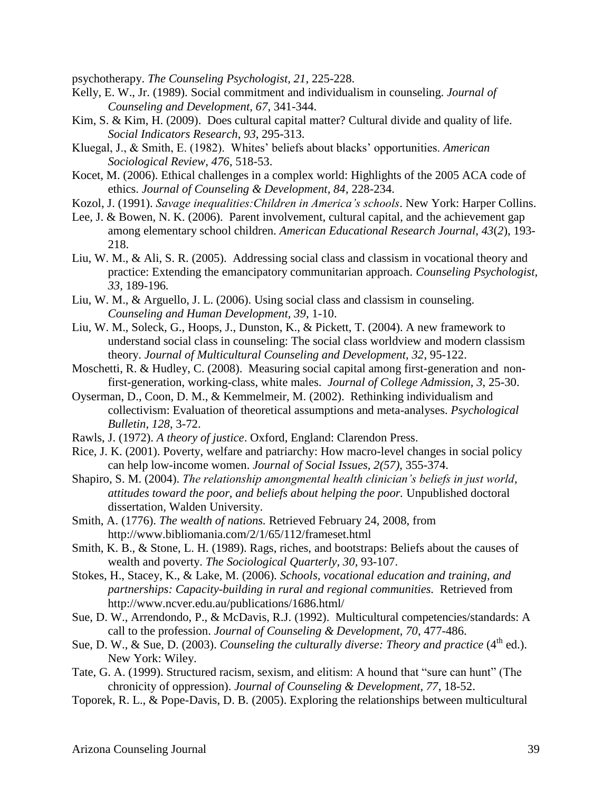psychotherapy. *The Counseling Psychologist, 21*, 225-228.

- Kelly, E. W., Jr. (1989). Social commitment and individualism in counseling. *Journal of Counseling and Development, 67*, 341-344.
- Kim, S. & Kim, H. (2009). Does cultural capital matter? Cultural divide and quality of life. *Social Indicators Research*, *93*, 295-313.
- Kluegal, J., & Smith, E. (1982). Whites' beliefs about blacks' opportunities. *American Sociological Review, 476*, 518-53.
- Kocet, M. (2006). Ethical challenges in a complex world: Highlights of the 2005 ACA code of ethics. *Journal of Counseling & Development, 84*, 228-234.
- Kozol, J. (1991). *Savage inequalities:Children in America's schools*. New York: Harper Collins.
- Lee, J. & Bowen, N. K. (2006). Parent involvement, cultural capital, and the achievement gap among elementary school children. *American Educational Research Journal*, *43*(*2*), 193- 218.
- Liu, W. M., & Ali, S. R. (2005). Addressing social class and classism in vocational theory and practice: Extending the emancipatory communitarian approach. *Counseling Psychologist, 33,* 189-196*.*
- Liu, W. M., & Arguello, J. L. (2006). Using social class and classism in counseling. *Counseling and Human Development, 39*, 1-10.
- Liu, W. M., Soleck, G., Hoops, J., Dunston, K., & Pickett, T. (2004). A new framework to understand social class in counseling: The social class worldview and modern classism theory. *Journal of Multicultural Counseling and Development, 32*, 95-122.
- Moschetti, R. & Hudley, C. (2008). Measuring social capital among first-generation and nonfirst-generation, working-class, white males. *Journal of College Admission*, *3*, 25-30.
- Oyserman, D., Coon, D. M., & Kemmelmeir, M. (2002). Rethinking individualism and collectivism: Evaluation of theoretical assumptions and meta-analyses. *Psychological Bulletin, 128*, 3-72.
- Rawls, J. (1972). *A theory of justice*. Oxford, England: Clarendon Press.
- Rice, J. K. (2001). Poverty, welfare and patriarchy: How macro-level changes in social policy can help low-income women. *Journal of Social Issues, 2(57)*, 355-374.
- Shapiro, S. M. (2004). *The relationship amongmental health clinician's beliefs in just world, attitudes toward the poor, and beliefs about helping the poor.* Unpublished doctoral dissertation, Walden University.
- Smith, A. (1776). *The wealth of nations.* Retrieved February 24, 2008, from http://www.bibliomania.com/2/1/65/112/frameset.html
- Smith, K. B., & Stone, L. H. (1989). Rags, riches, and bootstraps: Beliefs about the causes of wealth and poverty. *The Sociological Quarterly, 30*, 93-107.
- Stokes, H., Stacey, K., & Lake, M. (2006). *Schools, vocational education and training, and partnerships: Capacity-building in rural and regional communities.* Retrieved from http://www.ncver.edu.au/publications/1686.html/
- Sue, D. W., Arrendondo, P., & McDavis, R.J. (1992). Multicultural competencies/standards: A call to the profession. *Journal of Counseling & Development, 70*, 477-486.
- Sue, D. W., & Sue, D. (2003). *Counseling the culturally diverse: Theory and practice* (4<sup>th</sup> ed.). New York: Wiley.
- Tate, G. A. (1999). Structured racism, sexism, and elitism: A hound that "sure can hunt" (The chronicity of oppression). *Journal of Counseling & Development, 77*, 18-52.
- Toporek, R. L., & Pope-Davis, D. B. (2005). Exploring the relationships between multicultural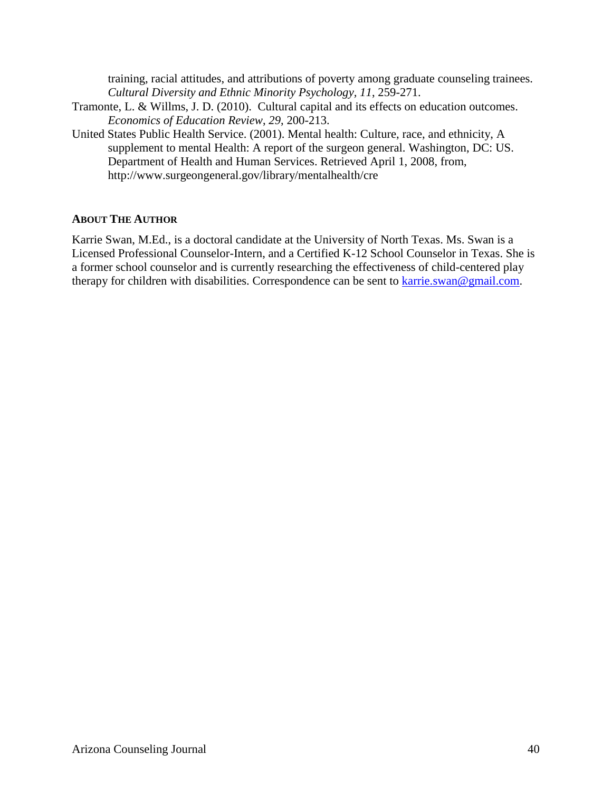training, racial attitudes, and attributions of poverty among graduate counseling trainees. *Cultural Diversity and Ethnic Minority Psychology, 11*, 259-271.

- Tramonte, L. & Willms, J. D. (2010). Cultural capital and its effects on education outcomes. *Economics of Education Review*, *29*, 200-213.
- United States Public Health Service. (2001). Mental health: Culture, race, and ethnicity, A supplement to mental Health: A report of the surgeon general. Washington, DC: US. Department of Health and Human Services. Retrieved April 1, 2008, from, http://www.surgeongeneral.gov/library/mentalhealth/cre

#### **ABOUT THE AUTHOR**

Karrie Swan, M.Ed., is a doctoral candidate at the University of North Texas. Ms. Swan is a Licensed Professional Counselor-Intern, and a Certified K-12 School Counselor in Texas. She is a former school counselor and is currently researching the effectiveness of child-centered play therapy for children with disabilities. Correspondence can be sent to [karrie.swan@gmail.com.](mailto:karrie.swan@gmail.com)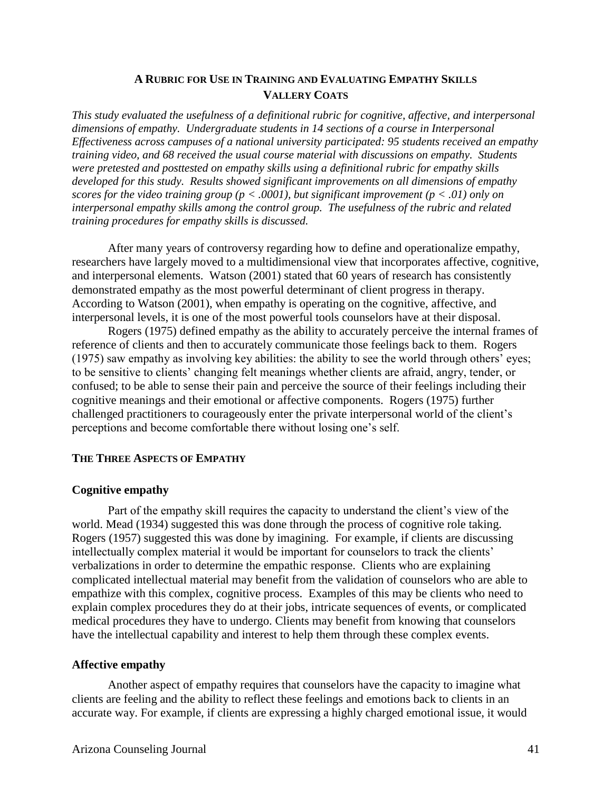#### **A RUBRIC FOR USE IN TRAINING AND EVALUATING EMPATHY SKILLS VALLERY COATS**

*This study evaluated the usefulness of a definitional rubric for cognitive, affective, and interpersonal dimensions of empathy. Undergraduate students in 14 sections of a course in Interpersonal Effectiveness across campuses of a national university participated: 95 students received an empathy training video, and 68 received the usual course material with discussions on empathy. Students were pretested and posttested on empathy skills using a definitional rubric for empathy skills developed for this study. Results showed significant improvements on all dimensions of empathy scores for the video training group (p < .0001), but significant improvement (p < .01) only on interpersonal empathy skills among the control group. The usefulness of the rubric and related training procedures for empathy skills is discussed.*

After many years of controversy regarding how to define and operationalize empathy, researchers have largely moved to a multidimensional view that incorporates affective, cognitive, and interpersonal elements. Watson (2001) stated that 60 years of research has consistently demonstrated empathy as the most powerful determinant of client progress in therapy. According to Watson (2001), when empathy is operating on the cognitive, affective, and interpersonal levels, it is one of the most powerful tools counselors have at their disposal.

Rogers (1975) defined empathy as the ability to accurately perceive the internal frames of reference of clients and then to accurately communicate those feelings back to them. Rogers (1975) saw empathy as involving key abilities: the ability to see the world through others' eyes; to be sensitive to clients' changing felt meanings whether clients are afraid, angry, tender, or confused; to be able to sense their pain and perceive the source of their feelings including their cognitive meanings and their emotional or affective components. Rogers (1975) further challenged practitioners to courageously enter the private interpersonal world of the client's perceptions and become comfortable there without losing one's self.

#### **THE THREE ASPECTS OF EMPATHY**

#### **Cognitive empathy**

Part of the empathy skill requires the capacity to understand the client's view of the world. Mead (1934) suggested this was done through the process of cognitive role taking. Rogers (1957) suggested this was done by imagining. For example, if clients are discussing intellectually complex material it would be important for counselors to track the clients' verbalizations in order to determine the empathic response. Clients who are explaining complicated intellectual material may benefit from the validation of counselors who are able to empathize with this complex, cognitive process. Examples of this may be clients who need to explain complex procedures they do at their jobs, intricate sequences of events, or complicated medical procedures they have to undergo. Clients may benefit from knowing that counselors have the intellectual capability and interest to help them through these complex events.

#### **Affective empathy**

Another aspect of empathy requires that counselors have the capacity to imagine what clients are feeling and the ability to reflect these feelings and emotions back to clients in an accurate way. For example, if clients are expressing a highly charged emotional issue, it would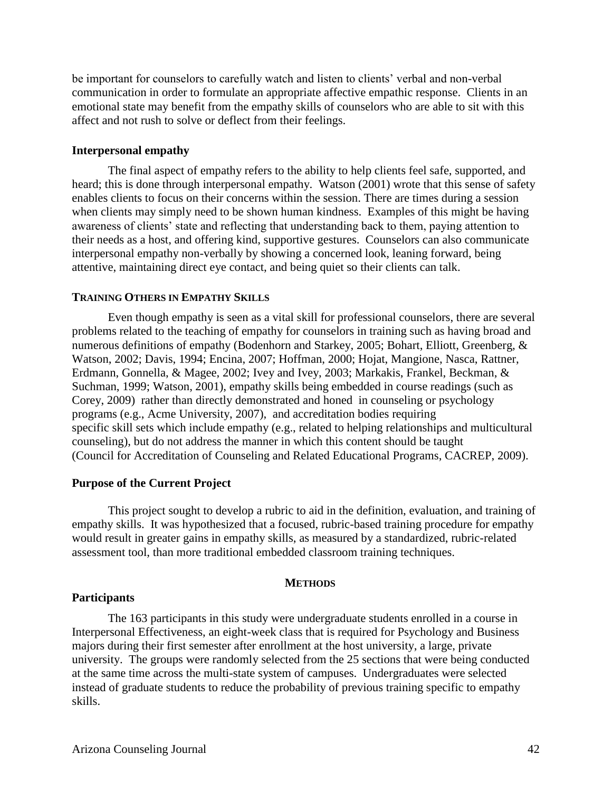be important for counselors to carefully watch and listen to clients' verbal and non-verbal communication in order to formulate an appropriate affective empathic response. Clients in an emotional state may benefit from the empathy skills of counselors who are able to sit with this affect and not rush to solve or deflect from their feelings.

#### **Interpersonal empathy**

The final aspect of empathy refers to the ability to help clients feel safe, supported, and heard; this is done through interpersonal empathy. Watson (2001) wrote that this sense of safety enables clients to focus on their concerns within the session. There are times during a session when clients may simply need to be shown human kindness. Examples of this might be having awareness of clients' state and reflecting that understanding back to them, paying attention to their needs as a host, and offering kind, supportive gestures. Counselors can also communicate interpersonal empathy non-verbally by showing a concerned look, leaning forward, being attentive, maintaining direct eye contact, and being quiet so their clients can talk.

#### **TRAINING OTHERS IN EMPATHY SKILLS**

Even though empathy is seen as a vital skill for professional counselors, there are several problems related to the teaching of empathy for counselors in training such as having broad and numerous definitions of empathy (Bodenhorn and Starkey, 2005; Bohart, Elliott, Greenberg, & Watson, 2002; Davis, 1994; Encina, 2007; Hoffman, 2000; Hojat, Mangione, Nasca, Rattner, Erdmann, Gonnella, & Magee, 2002; Ivey and Ivey, 2003; Markakis, Frankel, Beckman, & Suchman, 1999; Watson, 2001), empathy skills being embedded in course readings (such as Corey, 2009) rather than directly demonstrated and honed in counseling or psychology programs (e.g., Acme University, 2007), and accreditation bodies requiring specific skill sets which include empathy (e.g., related to helping relationships and multicultural counseling), but do not address the manner in which this content should be taught (Council for Accreditation of Counseling and Related Educational Programs, CACREP, 2009).

#### **Purpose of the Current Project**

This project sought to develop a rubric to aid in the definition, evaluation, and training of empathy skills. It was hypothesized that a focused, rubric-based training procedure for empathy would result in greater gains in empathy skills, as measured by a standardized, rubric-related assessment tool, than more traditional embedded classroom training techniques.

#### **METHODS**

#### **Participants**

The 163 participants in this study were undergraduate students enrolled in a course in Interpersonal Effectiveness, an eight-week class that is required for Psychology and Business majors during their first semester after enrollment at the host university, a large, private university. The groups were randomly selected from the 25 sections that were being conducted at the same time across the multi-state system of campuses. Undergraduates were selected instead of graduate students to reduce the probability of previous training specific to empathy skills.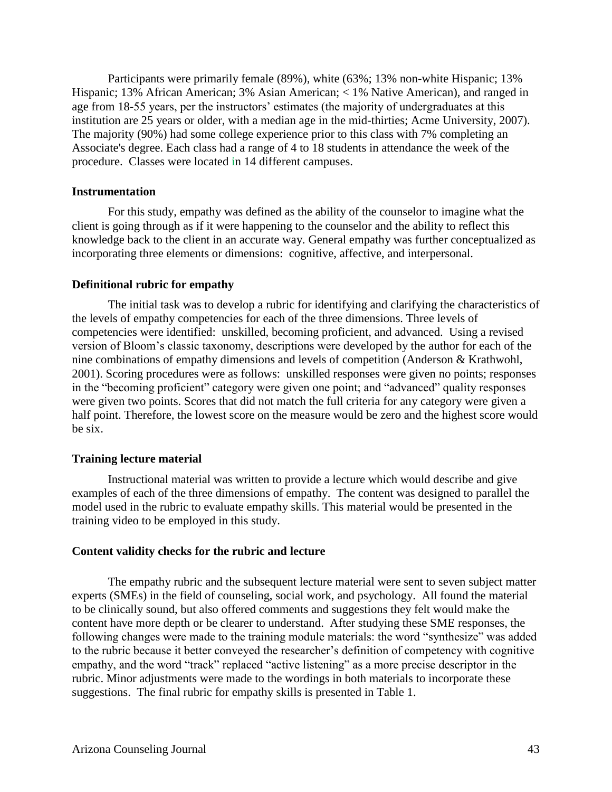Participants were primarily female (89%), white (63%; 13% non-white Hispanic; 13% Hispanic; 13% African American; 3% Asian American; < 1% Native American), and ranged in age from 18-55 years, per the instructors' estimates (the majority of undergraduates at this institution are 25 years or older, with a median age in the mid-thirties; Acme University, 2007). The majority (90%) had some college experience prior to this class with 7% completing an Associate's degree. Each class had a range of 4 to 18 students in attendance the week of the procedure. Classes were located in 14 different campuses.

#### **Instrumentation**

For this study, empathy was defined as the ability of the counselor to imagine what the client is going through as if it were happening to the counselor and the ability to reflect this knowledge back to the client in an accurate way. General empathy was further conceptualized as incorporating three elements or dimensions: cognitive, affective, and interpersonal.

#### **Definitional rubric for empathy**

The initial task was to develop a rubric for identifying and clarifying the characteristics of the levels of empathy competencies for each of the three dimensions. Three levels of competencies were identified: unskilled, becoming proficient, and advanced. Using a revised version of Bloom's classic taxonomy, descriptions were developed by the author for each of the nine combinations of empathy dimensions and levels of competition (Anderson & Krathwohl, 2001). Scoring procedures were as follows: unskilled responses were given no points; responses in the "becoming proficient" category were given one point; and "advanced" quality responses were given two points. Scores that did not match the full criteria for any category were given a half point. Therefore, the lowest score on the measure would be zero and the highest score would be six.

#### **Training lecture material**

Instructional material was written to provide a lecture which would describe and give examples of each of the three dimensions of empathy. The content was designed to parallel the model used in the rubric to evaluate empathy skills. This material would be presented in the training video to be employed in this study.

#### **Content validity checks for the rubric and lecture**

The empathy rubric and the subsequent lecture material were sent to seven subject matter experts (SMEs) in the field of counseling, social work, and psychology. All found the material to be clinically sound, but also offered comments and suggestions they felt would make the content have more depth or be clearer to understand. After studying these SME responses, the following changes were made to the training module materials: the word "synthesize" was added to the rubric because it better conveyed the researcher's definition of competency with cognitive empathy, and the word "track" replaced "active listening" as a more precise descriptor in the rubric. Minor adjustments were made to the wordings in both materials to incorporate these suggestions. The final rubric for empathy skills is presented in Table 1.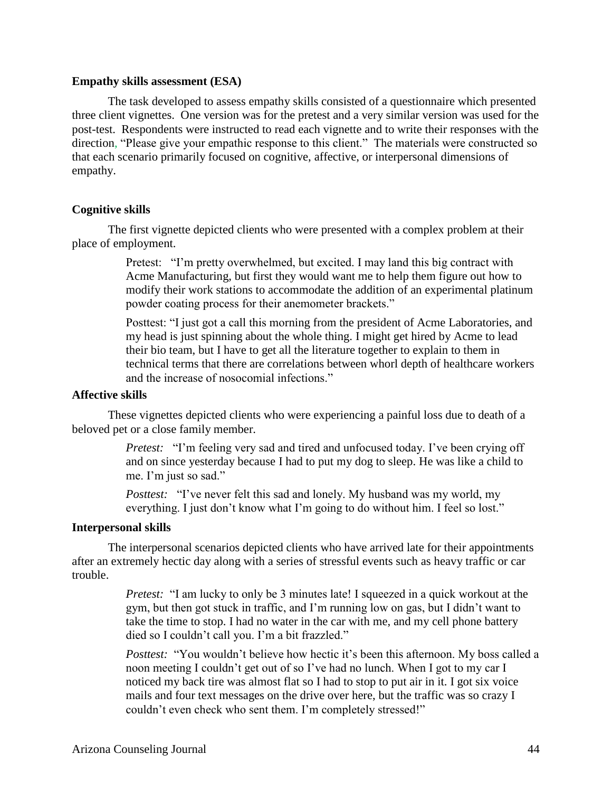#### **Empathy skills assessment (ESA)**

The task developed to assess empathy skills consisted of a questionnaire which presented three client vignettes. One version was for the pretest and a very similar version was used for the post-test. Respondents were instructed to read each vignette and to write their responses with the direction, "Please give your empathic response to this client." The materials were constructed so that each scenario primarily focused on cognitive, affective, or interpersonal dimensions of empathy.

#### **Cognitive skills**

The first vignette depicted clients who were presented with a complex problem at their place of employment.

> Pretest: "I'm pretty overwhelmed, but excited. I may land this big contract with Acme Manufacturing, but first they would want me to help them figure out how to modify their work stations to accommodate the addition of an experimental platinum powder coating process for their anemometer brackets."

> Posttest: "I just got a call this morning from the president of Acme Laboratories, and my head is just spinning about the whole thing. I might get hired by Acme to lead their bio team, but I have to get all the literature together to explain to them in technical terms that there are correlations between whorl depth of healthcare workers and the increase of nosocomial infections."

#### **Affective skills**

These vignettes depicted clients who were experiencing a painful loss due to death of a beloved pet or a close family member.

> *Pretest:* "I'm feeling very sad and tired and unfocused today. I've been crying off and on since yesterday because I had to put my dog to sleep. He was like a child to me. I'm just so sad."

*Posttest:* "I've never felt this sad and lonely. My husband was my world, my everything. I just don't know what I'm going to do without him. I feel so lost."

#### **Interpersonal skills**

The interpersonal scenarios depicted clients who have arrived late for their appointments after an extremely hectic day along with a series of stressful events such as heavy traffic or car trouble.

> *Pretest:* "I am lucky to only be 3 minutes late! I squeezed in a quick workout at the gym, but then got stuck in traffic, and I'm running low on gas, but I didn't want to take the time to stop. I had no water in the car with me, and my cell phone battery died so I couldn't call you. I'm a bit frazzled."

*Posttest:* "You wouldn't believe how hectic it's been this afternoon. My boss called a noon meeting I couldn't get out of so I've had no lunch. When I got to my car I noticed my back tire was almost flat so I had to stop to put air in it. I got six voice mails and four text messages on the drive over here, but the traffic was so crazy I couldn't even check who sent them. I'm completely stressed!"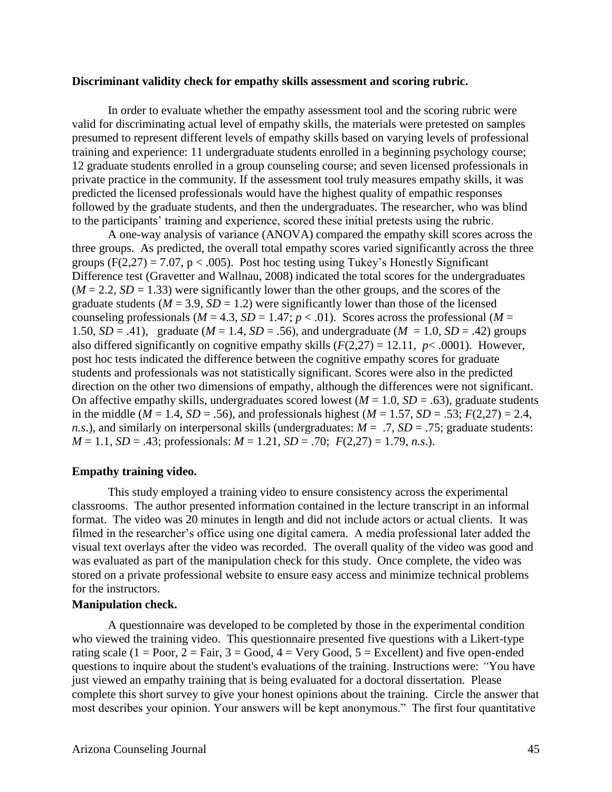#### **Discriminant validity check for empathy skills assessment and scoring rubric.**

In order to evaluate whether the empathy assessment tool and the scoring rubric were valid for discriminating actual level of empathy skills, the materials were pretested on samples presumed to represent different levels of empathy skills based on varying levels of professional training and experience: 11 undergraduate students enrolled in a beginning psychology course; 12 graduate students enrolled in a group counseling course; and seven licensed professionals in private practice in the community. If the assessment tool truly measures empathy skills, it was predicted the licensed professionals would have the highest quality of empathic responses followed by the graduate students, and then the undergraduates. The researcher, who was blind to the participants' training and experience, scored these initial pretests using the rubric.

A one-way analysis of variance (ANOVA) compared the empathy skill scores across the three groups. As predicted, the overall total empathy scores varied significantly across the three groups  $(F(2,27) = 7.07, p < .005)$ . Post hoc testing using Tukey's Honestly Significant Difference test (Gravetter and Wallnau, 2008) indicated the total scores for the undergraduates  $(M = 2.2, SD = 1.33)$  were significantly lower than the other groups, and the scores of the graduate students ( $M = 3.9$ ,  $SD = 1.2$ ) were significantly lower than those of the licensed counseling professionals ( $M = 4.3$ ,  $SD = 1.47$ ;  $p < .01$ ). Scores across the professional ( $M =$ 1.50, *SD* = .41), graduate (*M* = 1.4, *SD* = .56), and undergraduate (*M* = 1.0, *SD* = .42) groups also differed significantly on cognitive empathy skills  $(F(2,27) = 12.11, p < .0001)$ . However, post hoc tests indicated the difference between the cognitive empathy scores for graduate students and professionals was not statistically significant. Scores were also in the predicted direction on the other two dimensions of empathy, although the differences were not significant. On affective empathy skills, undergraduates scored lowest  $(M = 1.0, SD = .63)$ , graduate students in the middle ( $M = 1.4$ ,  $SD = .56$ ), and professionals highest ( $M = 1.57$ ,  $SD = .53$ ;  $F(2,27) = 2.4$ , *n.s.*), and similarly on interpersonal skills (undergraduates:  $M = .7$ ,  $SD = .75$ ; graduate students:  $M = 1.1$ ,  $SD = .43$ ; professionals:  $M = 1.21$ ,  $SD = .70$ ;  $F(2,27) = 1.79$ , *n.s.*).

#### **Empathy training video.**

This study employed a training video to ensure consistency across the experimental classrooms. The author presented information contained in the lecture transcript in an informal format. The video was 20 minutes in length and did not include actors or actual clients. It was filmed in the researcher's office using one digital camera. A media professional later added the visual text overlays after the video was recorded. The overall quality of the video was good and was evaluated as part of the manipulation check for this study. Once complete, the video was stored on a private professional website to ensure easy access and minimize technical problems for the instructors.

#### **Manipulation check.**

A questionnaire was developed to be completed by those in the experimental condition who viewed the training video. This questionnaire presented five questions with a Likert-type rating scale (1 = Poor, 2 = Fair, 3 = Good, 4 = Very Good, 5 = Excellent) and five open-ended questions to inquire about the student's evaluations of the training. Instructions were: *"*You have just viewed an empathy training that is being evaluated for a doctoral dissertation. Please complete this short survey to give your honest opinions about the training. Circle the answer that most describes your opinion. Your answers will be kept anonymous." The first four quantitative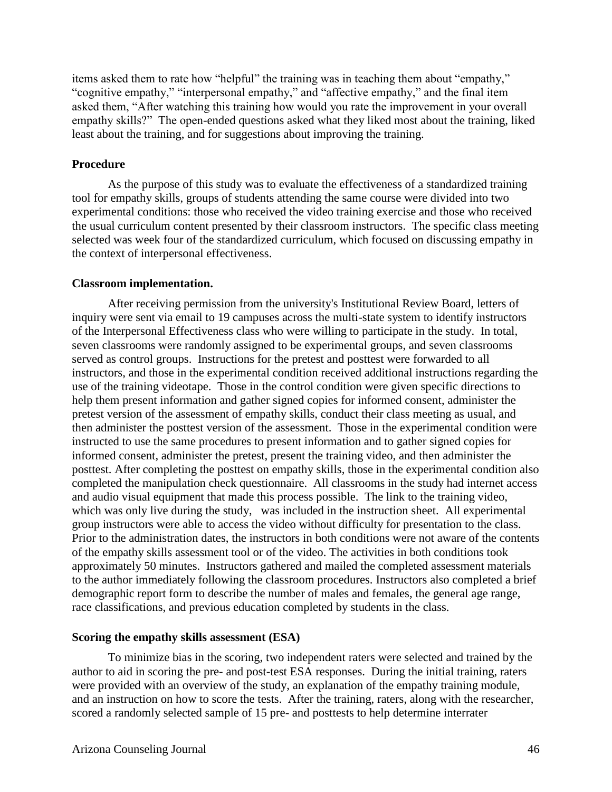items asked them to rate how "helpful" the training was in teaching them about "empathy," "cognitive empathy," "interpersonal empathy," and "affective empathy," and the final item asked them, "After watching this training how would you rate the improvement in your overall empathy skills?" The open-ended questions asked what they liked most about the training, liked least about the training, and for suggestions about improving the training.

#### **Procedure**

As the purpose of this study was to evaluate the effectiveness of a standardized training tool for empathy skills, groups of students attending the same course were divided into two experimental conditions: those who received the video training exercise and those who received the usual curriculum content presented by their classroom instructors. The specific class meeting selected was week four of the standardized curriculum, which focused on discussing empathy in the context of interpersonal effectiveness.

#### **Classroom implementation.**

After receiving permission from the university's Institutional Review Board, letters of inquiry were sent via email to 19 campuses across the multi-state system to identify instructors of the Interpersonal Effectiveness class who were willing to participate in the study. In total, seven classrooms were randomly assigned to be experimental groups, and seven classrooms served as control groups. Instructions for the pretest and posttest were forwarded to all instructors, and those in the experimental condition received additional instructions regarding the use of the training videotape. Those in the control condition were given specific directions to help them present information and gather signed copies for informed consent, administer the pretest version of the assessment of empathy skills, conduct their class meeting as usual, and then administer the posttest version of the assessment. Those in the experimental condition were instructed to use the same procedures to present information and to gather signed copies for informed consent, administer the pretest, present the training video, and then administer the posttest. After completing the posttest on empathy skills, those in the experimental condition also completed the manipulation check questionnaire. All classrooms in the study had internet access and audio visual equipment that made this process possible. The link to the training video, which was only live during the study, was included in the instruction sheet. All experimental group instructors were able to access the video without difficulty for presentation to the class. Prior to the administration dates, the instructors in both conditions were not aware of the contents of the empathy skills assessment tool or of the video. The activities in both conditions took approximately 50 minutes. Instructors gathered and mailed the completed assessment materials to the author immediately following the classroom procedures. Instructors also completed a brief demographic report form to describe the number of males and females, the general age range, race classifications, and previous education completed by students in the class.

#### **Scoring the empathy skills assessment (ESA)**

To minimize bias in the scoring, two independent raters were selected and trained by the author to aid in scoring the pre- and post-test ESA responses. During the initial training, raters were provided with an overview of the study, an explanation of the empathy training module, and an instruction on how to score the tests. After the training, raters, along with the researcher, scored a randomly selected sample of 15 pre- and posttests to help determine interrater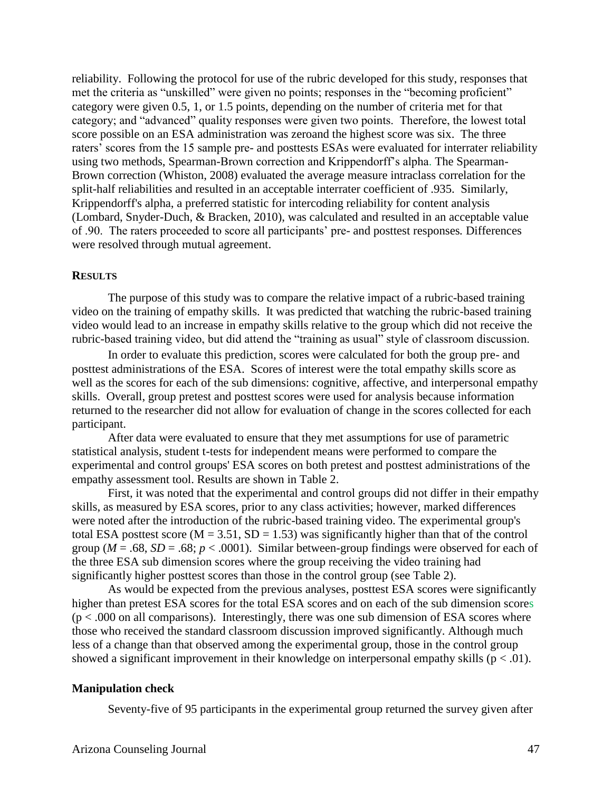reliability. Following the protocol for use of the rubric developed for this study, responses that met the criteria as "unskilled" were given no points; responses in the "becoming proficient" category were given 0.5, 1, or 1.5 points, depending on the number of criteria met for that category; and "advanced" quality responses were given two points. Therefore, the lowest total score possible on an ESA administration was zeroand the highest score was six. The three raters' scores from the 15 sample pre- and posttests ESAs were evaluated for interrater reliability using two methods, Spearman-Brown correction and Krippendorff's alpha. The Spearman-Brown correction (Whiston, 2008) evaluated the average measure intraclass correlation for the split-half reliabilities and resulted in an acceptable interrater coefficient of .935. Similarly, Krippendorff's alpha, a preferred statistic for intercoding reliability for content analysis (Lombard, Snyder-Duch, & Bracken, 2010), was calculated and resulted in an acceptable value of .90. The raters proceeded to score all participants' pre- and posttest responses*.* Differences were resolved through mutual agreement.

#### **RESULTS**

The purpose of this study was to compare the relative impact of a rubric-based training video on the training of empathy skills. It was predicted that watching the rubric-based training video would lead to an increase in empathy skills relative to the group which did not receive the rubric-based training video, but did attend the "training as usual" style of classroom discussion.

In order to evaluate this prediction, scores were calculated for both the group pre- and posttest administrations of the ESA. Scores of interest were the total empathy skills score as well as the scores for each of the sub dimensions: cognitive, affective, and interpersonal empathy skills. Overall, group pretest and posttest scores were used for analysis because information returned to the researcher did not allow for evaluation of change in the scores collected for each participant.

After data were evaluated to ensure that they met assumptions for use of parametric statistical analysis, student t-tests for independent means were performed to compare the experimental and control groups' ESA scores on both pretest and posttest administrations of the empathy assessment tool. Results are shown in Table 2.

First, it was noted that the experimental and control groups did not differ in their empathy skills, as measured by ESA scores, prior to any class activities; however, marked differences were noted after the introduction of the rubric-based training video. The experimental group's total ESA posttest score ( $M = 3.51$ , SD = 1.53) was significantly higher than that of the control group ( $M = .68$ ,  $SD = .68$ ;  $p < .0001$ ). Similar between-group findings were observed for each of the three ESA sub dimension scores where the group receiving the video training had significantly higher posttest scores than those in the control group (see Table 2).

As would be expected from the previous analyses, posttest ESA scores were significantly higher than pretest ESA scores for the total ESA scores and on each of the sub dimension scores  $(p < .000$  on all comparisons). Interestingly, there was one sub dimension of ESA scores where those who received the standard classroom discussion improved significantly. Although much less of a change than that observed among the experimental group, those in the control group showed a significant improvement in their knowledge on interpersonal empathy skills ( $p < .01$ ).

#### **Manipulation check**

Seventy-five of 95 participants in the experimental group returned the survey given after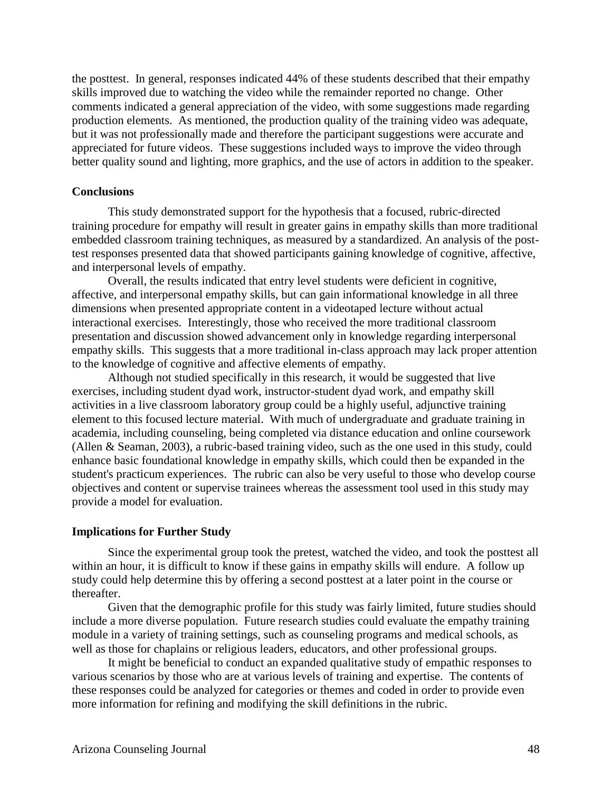the posttest. In general, responses indicated 44% of these students described that their empathy skills improved due to watching the video while the remainder reported no change. Other comments indicated a general appreciation of the video, with some suggestions made regarding production elements. As mentioned, the production quality of the training video was adequate, but it was not professionally made and therefore the participant suggestions were accurate and appreciated for future videos. These suggestions included ways to improve the video through better quality sound and lighting, more graphics, and the use of actors in addition to the speaker.

#### **Conclusions**

This study demonstrated support for the hypothesis that a focused, rubric-directed training procedure for empathy will result in greater gains in empathy skills than more traditional embedded classroom training techniques, as measured by a standardized. An analysis of the posttest responses presented data that showed participants gaining knowledge of cognitive, affective, and interpersonal levels of empathy.

Overall, the results indicated that entry level students were deficient in cognitive, affective, and interpersonal empathy skills, but can gain informational knowledge in all three dimensions when presented appropriate content in a videotaped lecture without actual interactional exercises. Interestingly, those who received the more traditional classroom presentation and discussion showed advancement only in knowledge regarding interpersonal empathy skills. This suggests that a more traditional in-class approach may lack proper attention to the knowledge of cognitive and affective elements of empathy.

Although not studied specifically in this research, it would be suggested that live exercises, including student dyad work, instructor-student dyad work, and empathy skill activities in a live classroom laboratory group could be a highly useful, adjunctive training element to this focused lecture material. With much of undergraduate and graduate training in academia, including counseling, being completed via distance education and online coursework (Allen & Seaman, 2003), a rubric-based training video, such as the one used in this study, could enhance basic foundational knowledge in empathy skills, which could then be expanded in the student's practicum experiences. The rubric can also be very useful to those who develop course objectives and content or supervise trainees whereas the assessment tool used in this study may provide a model for evaluation.

#### **Implications for Further Study**

Since the experimental group took the pretest, watched the video, and took the posttest all within an hour, it is difficult to know if these gains in empathy skills will endure. A follow up study could help determine this by offering a second posttest at a later point in the course or thereafter.

Given that the demographic profile for this study was fairly limited, future studies should include a more diverse population. Future research studies could evaluate the empathy training module in a variety of training settings, such as counseling programs and medical schools, as well as those for chaplains or religious leaders, educators, and other professional groups.

It might be beneficial to conduct an expanded qualitative study of empathic responses to various scenarios by those who are at various levels of training and expertise. The contents of these responses could be analyzed for categories or themes and coded in order to provide even more information for refining and modifying the skill definitions in the rubric.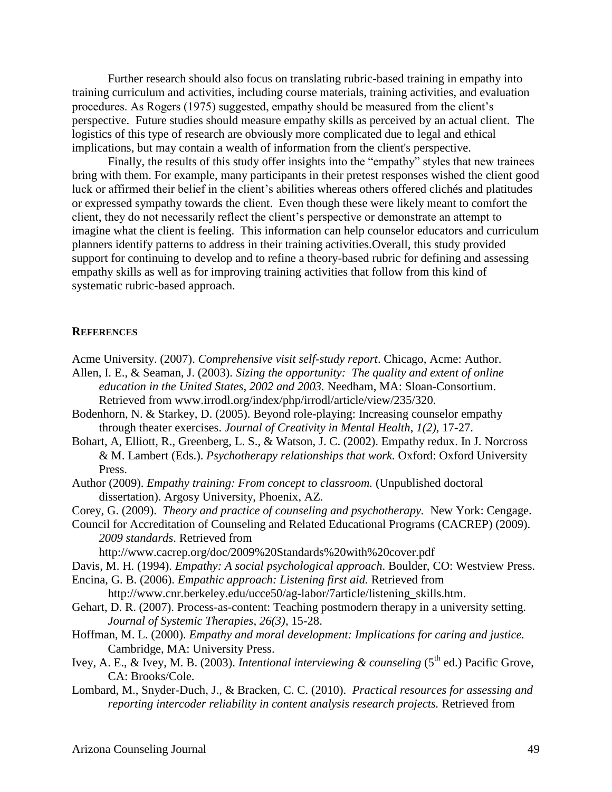Further research should also focus on translating rubric-based training in empathy into training curriculum and activities, including course materials, training activities, and evaluation procedures. As Rogers (1975) suggested, empathy should be measured from the client's perspective. Future studies should measure empathy skills as perceived by an actual client. The logistics of this type of research are obviously more complicated due to legal and ethical implications, but may contain a wealth of information from the client's perspective.

Finally, the results of this study offer insights into the "empathy" styles that new trainees bring with them. For example, many participants in their pretest responses wished the client good luck or affirmed their belief in the client's abilities whereas others offered clichés and platitudes or expressed sympathy towards the client. Even though these were likely meant to comfort the client, they do not necessarily reflect the client's perspective or demonstrate an attempt to imagine what the client is feeling. This information can help counselor educators and curriculum planners identify patterns to address in their training activities.Overall, this study provided support for continuing to develop and to refine a theory-based rubric for defining and assessing empathy skills as well as for improving training activities that follow from this kind of systematic rubric-based approach.

#### **REFERENCES**

- Acme University. (2007). *Comprehensive visit self-study report*. Chicago, Acme: Author.
- Allen, I. E., & Seaman, J. (2003). *Sizing the opportunity: The quality and extent of online education in the United States, 2002 and 2003.* Needham, MA: Sloan-Consortium. Retrieved from www.irrodl.org/index/php/irrodl/article/view/235/320.
- Bodenhorn, N. & Starkey, D. (2005). Beyond role-playing: Increasing counselor empathy through theater exercises. *Journal of Creativity in Mental Health*, *1(2),* 17-27.
- Bohart, A, Elliott, R., Greenberg, L. S., & Watson, J. C. (2002). Empathy redux. In J. Norcross & M. Lambert (Eds.). *Psychotherapy relationships that work.* Oxford: Oxford University Press.
- Author (2009). *Empathy training: From concept to classroom.* (Unpublished doctoral dissertation). Argosy University, Phoenix, AZ.
- Corey, G. (2009). *Theory and practice of counseling and psychotherapy.* New York: Cengage.
- Council for Accreditation of Counseling and Related Educational Programs (CACREP) (2009). *2009 standards*. Retrieved from

http://www.cacrep.org/doc/2009%20Standards%20with%20cover.pdf

- Davis, M. H. (1994). *Empathy: A social psychological approach*. Boulder, CO: Westview Press.
- Encina, G. B. (2006). *Empathic approach: Listening first aid.* Retrieved from http://www.cnr.berkeley.edu/ucce50/ag-labor/7article/listening\_skills.htm.
- Gehart, D. R. (2007). Process-as-content: Teaching postmodern therapy in a university setting. *Journal of Systemic Therapies*, *26(3)*, 15-28.
- Hoffman, M. L. (2000). *Empathy and moral development: Implications for caring and justice.* Cambridge, MA: University Press.
- Ivey, A. E., & Ivey, M. B. (2003). *Intentional interviewing & counseling* (5<sup>th</sup> ed.) Pacific Grove, CA: Brooks/Cole.
- Lombard, M., Snyder-Duch, J., & Bracken, C. C. (2010). *Practical resources for assessing and reporting intercoder reliability in content analysis research projects.* Retrieved from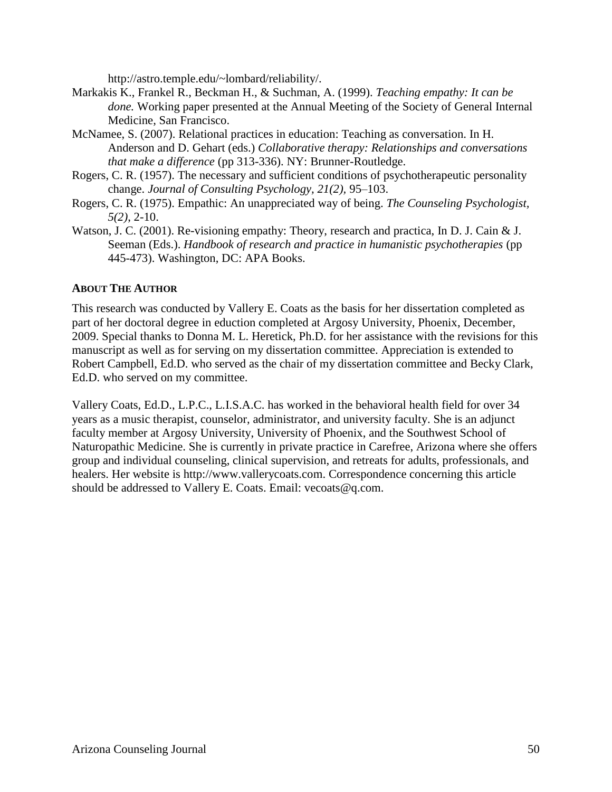http://astro.temple.edu/~lombard/reliability/.

- Markakis K., Frankel R., Beckman H., & Suchman, A. (1999). *Teaching empathy: It can be done.* Working paper presented at the Annual Meeting of the Society of General Internal Medicine, San Francisco.
- McNamee, S. (2007). Relational practices in education: Teaching as conversation. In H. Anderson and D. Gehart (eds.) *Collaborative therapy: Relationships and conversations that make a difference* (pp 313-336). NY: Brunner-Routledge.
- Rogers, C. R. (1957). The necessary and sufficient conditions of psychotherapeutic personality change. *Journal of Consulting Psychology, 21(2),* 95–103.
- Rogers, C. R. (1975). Empathic: An unappreciated way of being. *The Counseling Psychologist, 5(2)*, 2-10.
- Watson, J. C. (2001). Re-visioning empathy: Theory, research and practica, In D. J. Cain & J. Seeman (Eds.). *Handbook of research and practice in humanistic psychotherapies* (pp) 445-473). Washington, DC: APA Books.

#### **ABOUT THE AUTHOR**

This research was conducted by Vallery E. Coats as the basis for her dissertation completed as part of her doctoral degree in eduction completed at Argosy University, Phoenix, December, 2009. Special thanks to Donna M. L. Heretick, Ph.D. for her assistance with the revisions for this manuscript as well as for serving on my dissertation committee. Appreciation is extended to Robert Campbell, Ed.D. who served as the chair of my dissertation committee and Becky Clark, Ed.D. who served on my committee.

Vallery Coats, Ed.D., L.P.C., L.I.S.A.C. has worked in the behavioral health field for over 34 years as a music therapist, counselor, administrator, and university faculty. She is an adjunct faculty member at Argosy University, University of Phoenix, and the Southwest School of Naturopathic Medicine. She is currently in private practice in Carefree, Arizona where she offers group and individual counseling, clinical supervision, and retreats for adults, professionals, and healers. Her website is http://www.vallerycoats.com. Correspondence concerning this article should be addressed to Vallery E. Coats. Email: vecoats@q.com.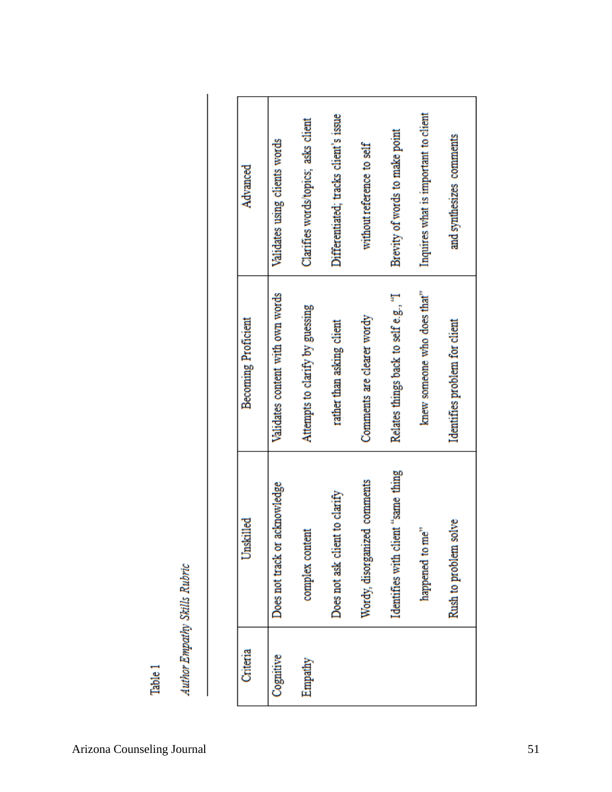| ŝ      |
|--------|
| j<br>ļ |
| Ś      |
| i      |

| Advanced                   | Validates using clients words    | Clarifies words/topics; asks client | Differentiated; tracks client's issue | without reference to self    | Brevity of words to make point       | Inquires what is important to client | and synthesizes comments      |  |
|----------------------------|----------------------------------|-------------------------------------|---------------------------------------|------------------------------|--------------------------------------|--------------------------------------|-------------------------------|--|
| <b>Becoming Proficient</b> | Validates content with own words | Attempts to clarify by guessing     | rather than asking client             | Comments are clearer wordy   | Relates things back to self e.g., "I | knew someone who does that"          | Identifies problem for client |  |
| Unskilled                  | Does not track or acknowledge    | complex content                     | Does not ask client to clarify        | Wordy, disorganized comments | Identifies with client "same thing   | happened to me"                      | Rush to problem solve         |  |
| Criteria                   | Cognitive                        | Empathy                             |                                       |                              |                                      |                                      |                               |  |

Table 1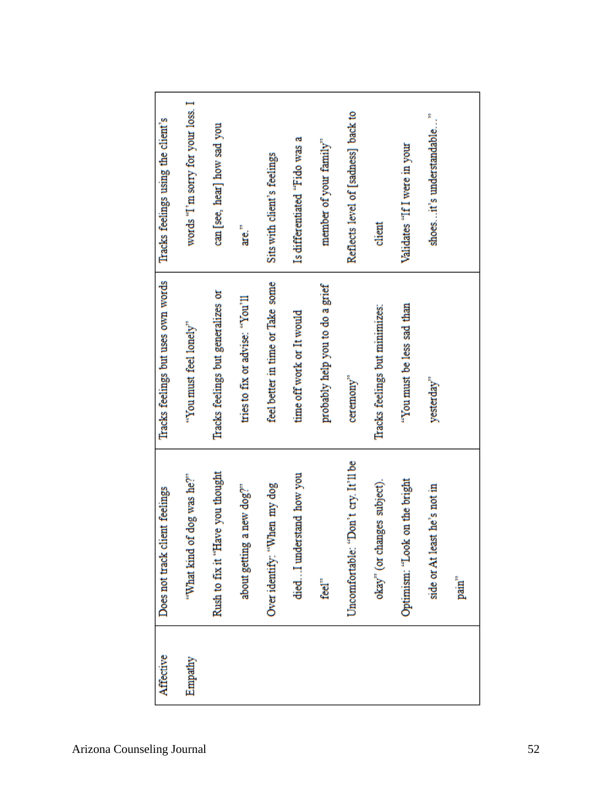| Affective | Does not track client feelings      | Tracks feelings but uses own words | Tracks feelings using the client's  |
|-----------|-------------------------------------|------------------------------------|-------------------------------------|
| Empathy   | "What kind of dog was he?"          | "You must feel lonely"             | words "I'm sorry for your loss. I   |
|           | Rush to fix it "Have you thought    | Tracks feelings but generalizes or | can [see, hear] how sad you         |
|           | about getting a new dog?"           | tries to fix or advise: "You'll    | are."                               |
|           | Over identify: "When my dog         | feel better in time or Take some   | Sits with client's feelings         |
|           | diedI understand how you            | time off work or It would          | Is differentiated "Fido was a       |
|           | feel <sup>"</sup>                   | probably help you to do a grief    | member of your family"              |
|           | Uncomfortable: "Don't cry. It'll be | ceremony"                          | Reflects level of [sadness] back to |
|           | okay" (or changes subject).         | Tracks feelings but minimizes:     | client                              |
|           | Optimism: "Look on the bright       | "You must be less sad than         | Validates "If I were in your        |
|           | side or At least he's not in        | yesterday"                         | R<br>shoes it's understandable      |
|           | pain"                               |                                    |                                     |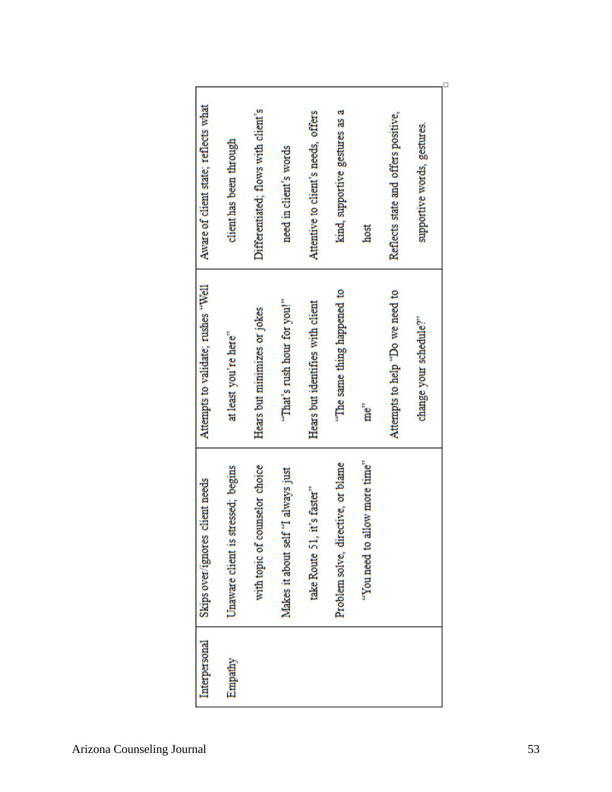| Problem solve, directive, or blame<br>with topic of counselor choice<br>Makes it about self "I always just<br>take Route 51, it's faster" | "That's rush hour for you!"<br>Hears but identifies with client<br>Hears but minimizes or jokes<br>at least you're here" | Aware of client state; reflects what<br>Differentiated; flows with client's<br>Attentive to client's needs, offers<br>client has been through<br>need in client's words |
|-------------------------------------------------------------------------------------------------------------------------------------------|--------------------------------------------------------------------------------------------------------------------------|-------------------------------------------------------------------------------------------------------------------------------------------------------------------------|
| "You need to allow more time"                                                                                                             | "The same thing happened to<br>Attempts to help "Do we need to<br>change your schedule?"<br>me <sup>"</sup>              | kind, supportive gestures as a<br>Reflects state and offers positive,<br>supportive words, gestures.<br>host                                                            |